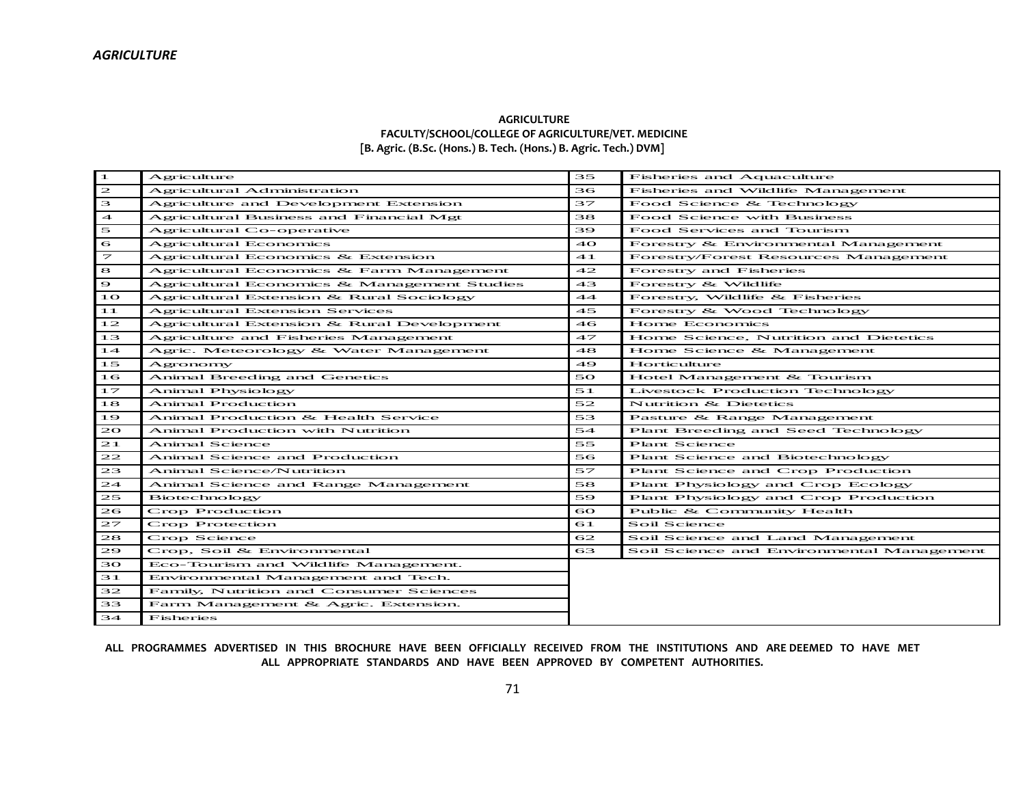## **AGRICULTURE FACULTY/SCHOOL/COLLEGE OF AGRICULTURE/VET. MEDICINE [B. Agric. (B.Sc. (Hons.) B. Tech. (Hons.) B. Agric. Tech.) DVM]**

| $\blacksquare$           | Agriculture                                 | 35    | Fisheries and Aquaculture                   |
|--------------------------|---------------------------------------------|-------|---------------------------------------------|
| $\mathbf{z}$             | Agricultural Administration                 | 36    | Fisheries and Wildlife Management           |
| 3                        | Agriculture and Development Extension       | 37    | Food Science & Technology                   |
| $\overline{\mathbf{4}}$  | Agricultural Business and Financial Mgt     | 38    | Food Science with Business                  |
| $\mathbf{5}$             | Agricultural Co-operative                   | 39    | Food Services and Tourism                   |
| 6                        | Agricultural Economics                      | 40    | Forestry & Environmental Management         |
| $\overline{\phantom{a}}$ | Agricultural Economics & Extension          | $-41$ | <b>Forestry/Forest Resources Management</b> |
| 8                        | Agricultural Economics & Farm Management    | 42    | Forestry and Fisheries                      |
| $\bullet$                | Agricultural Economics & Management Studies | 43    | Forestry & Wildlife                         |
| 1 O                      | Agricultural Extension & Rural Sociology    | 44    | Forestry, Wildlife & Fisheries              |
| 11                       | <b>Agricultural Extension Services</b>      | 45    | Forestry & Wood Technology                  |
| 12                       | Agricultural Extension & Rural Development  | 46    | Home Economics                              |
| 13                       | Agriculture and Fisheries Management        | 47    | Home Science, Nutrition and Dietetics       |
| 14                       | Agric. Meteorology & Water Management       | 48    | Home Science & Management                   |
| 15                       | Agronomy                                    | 49    | Horticulture                                |
| 16                       | Animal Breeding and Genetics                | 50    | Hotel Management & Tourism                  |
| 17                       | Animal Physiology                           | 51    | Livestock Production Technology             |
| 18                       | <b>Animal Production</b>                    | 52    | Nutrition & Dietetics                       |
| 19                       | Animal Production & Health Service          | 53    | Pasture & Range Management                  |
| 20                       | <b>Animal Production with Nutrition</b>     | 54    | Plant Breeding and Seed Technology          |
| 21                       | Animal Science                              | 55    | Plant Science                               |
| 22                       | Animal Science and Production               | 56    | Plant Science and Biotechnology             |
| 23                       | Animal Science/Nutrition                    | 57    | Plant Science and Crop Production           |
| 24                       | Animal Science and Range Management         | 58    | Plant Physiology and Crop Ecology           |
| 25                       | <b>Biotechnology</b>                        | 59    | Plant Physiology and Crop Production        |
| 26                       | Crop Production                             | 60    | Public & Community Health                   |
| 27                       | Crop Protection                             | 61    | Soil Science                                |
| 28                       | Crop Science                                | 62    | Soil Science and Land Management            |
| 29                       | Crop, Soil & Environmental                  | 63    | Soil Science and Environmental Management   |
| 30                       | Eco-Tourism and Wildlife Management.        |       |                                             |
| 31                       | Environmental Management and Tech.          |       |                                             |
| 32                       | Family, Nutrition and Consumer Sciences     |       |                                             |
| 33                       | Farm Management & Agric. Extension.         |       |                                             |
| 34                       | Fisheries                                   |       |                                             |

**ALL PROGRAMMES ADVERTISED IN THIS BROCHURE HAVE BEEN OFFICIALLY RECEIVED FROM THE INSTITUTIONS AND ARE DEEMED TO HAVE MET ALL APPROPRIATE STANDARDS AND HAVE BEEN APPROVED BY COMPETENT AUTHORITIES.**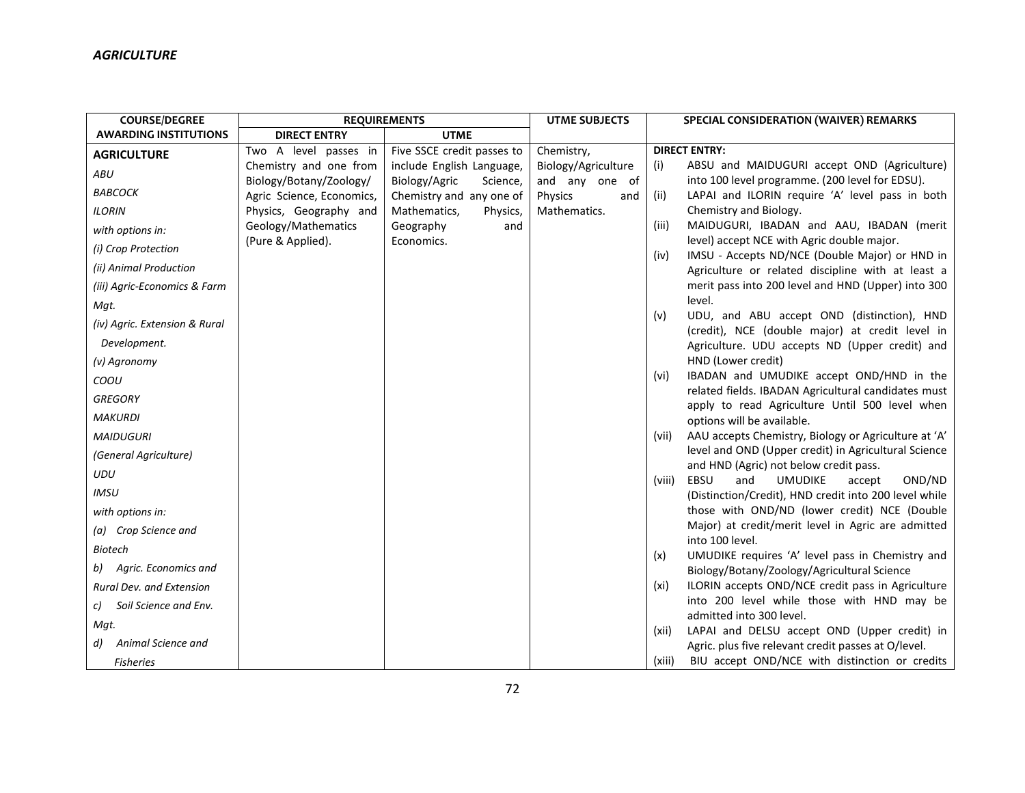| <b>COURSE/DEGREE</b>          |                                                      | <b>REQUIREMENTS</b>                                   | <b>UTME SUBJECTS</b>             | SPECIAL CONSIDERATION (WAIVER) REMARKS                                                                       |
|-------------------------------|------------------------------------------------------|-------------------------------------------------------|----------------------------------|--------------------------------------------------------------------------------------------------------------|
| <b>AWARDING INSTITUTIONS</b>  | <b>DIRECT ENTRY</b>                                  | <b>UTME</b>                                           |                                  |                                                                                                              |
| <b>AGRICULTURE</b>            | Two A level passes in                                | Five SSCE credit passes to                            | Chemistry,                       | <b>DIRECT ENTRY:</b>                                                                                         |
| <b>ABU</b>                    | Chemistry and one from                               | include English Language,                             | Biology/Agriculture              | (i)<br>ABSU and MAIDUGURI accept OND (Agriculture)                                                           |
| <b>BABCOCK</b>                | Biology/Botany/Zoology/<br>Agric Science, Economics, | Biology/Agric<br>Science,<br>Chemistry and any one of | and any one of<br>Physics<br>and | into 100 level programme. (200 level for EDSU).<br>LAPAI and ILORIN require 'A' level pass in both<br>(ii)   |
| <b>ILORIN</b>                 | Physics, Geography and                               | Mathematics,<br>Physics,                              | Mathematics.                     | Chemistry and Biology.                                                                                       |
| with options in:              | Geology/Mathematics                                  | Geography<br>and                                      |                                  | (iii)<br>MAIDUGURI, IBADAN and AAU, IBADAN (merit                                                            |
| (i) Crop Protection           | (Pure & Applied).                                    | Economics.                                            |                                  | level) accept NCE with Agric double major.<br>IMSU - Accepts ND/NCE (Double Major) or HND in<br>(iv)         |
| (ii) Animal Production        |                                                      |                                                       |                                  | Agriculture or related discipline with at least a                                                            |
| (iii) Agric-Economics & Farm  |                                                      |                                                       |                                  | merit pass into 200 level and HND (Upper) into 300                                                           |
| Mqt.                          |                                                      |                                                       |                                  | level.                                                                                                       |
| (iv) Agric. Extension & Rural |                                                      |                                                       |                                  | UDU, and ABU accept OND (distinction), HND<br>(v)<br>(credit), NCE (double major) at credit level in         |
| Development.                  |                                                      |                                                       |                                  | Agriculture. UDU accepts ND (Upper credit) and                                                               |
| (v) Agronomy                  |                                                      |                                                       |                                  | HND (Lower credit)                                                                                           |
| COOU                          |                                                      |                                                       |                                  | IBADAN and UMUDIKE accept OND/HND in the<br>(vi)                                                             |
| <b>GREGORY</b>                |                                                      |                                                       |                                  | related fields. IBADAN Agricultural candidates must<br>apply to read Agriculture Until 500 level when        |
| <b>MAKURDI</b>                |                                                      |                                                       |                                  | options will be available.                                                                                   |
| <b>MAIDUGURI</b>              |                                                      |                                                       |                                  | AAU accepts Chemistry, Biology or Agriculture at 'A'<br>(vii)                                                |
| (General Agriculture)         |                                                      |                                                       |                                  | level and OND (Upper credit) in Agricultural Science                                                         |
| <b>UDU</b>                    |                                                      |                                                       |                                  | and HND (Agric) not below credit pass.<br>EBSU<br>and<br><b>UMUDIKE</b><br>OND/ND<br>(viii)<br>accept        |
| IMSU                          |                                                      |                                                       |                                  | (Distinction/Credit), HND credit into 200 level while                                                        |
| with options in:              |                                                      |                                                       |                                  | those with OND/ND (lower credit) NCE (Double                                                                 |
| (a) Crop Science and          |                                                      |                                                       |                                  | Major) at credit/merit level in Agric are admitted                                                           |
| Biotech                       |                                                      |                                                       |                                  | into 100 level.<br>UMUDIKE requires 'A' level pass in Chemistry and                                          |
| b) Agric. Economics and       |                                                      |                                                       |                                  | (x)<br>Biology/Botany/Zoology/Agricultural Science                                                           |
| Rural Dev. and Extension      |                                                      |                                                       |                                  | ILORIN accepts OND/NCE credit pass in Agriculture<br>(xi)                                                    |
| Soil Science and Env.<br>C)   |                                                      |                                                       |                                  | into 200 level while those with HND may be                                                                   |
| Mqt.                          |                                                      |                                                       |                                  | admitted into 300 level.                                                                                     |
| Animal Science and<br>d)      |                                                      |                                                       |                                  | LAPAI and DELSU accept OND (Upper credit) in<br>(xii)<br>Agric. plus five relevant credit passes at O/level. |
| <b>Fisheries</b>              |                                                      |                                                       |                                  | BIU accept OND/NCE with distinction or credits<br>(xiii)                                                     |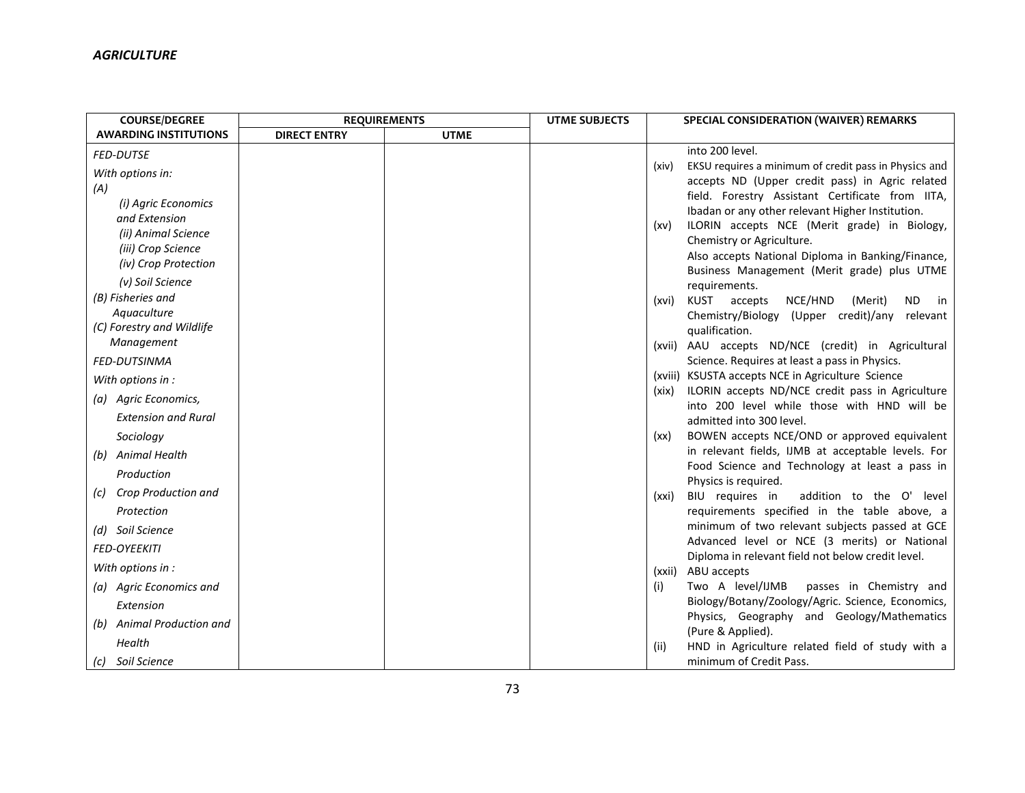| <b>COURSE/DEGREE</b>                                                              | <b>REQUIREMENTS</b> |             | <b>UTME SUBJECTS</b> |                                                          | SPECIAL CONSIDERATION (WAIVER) REMARKS                                                                                                                                             |
|-----------------------------------------------------------------------------------|---------------------|-------------|----------------------|----------------------------------------------------------|------------------------------------------------------------------------------------------------------------------------------------------------------------------------------------|
| <b>AWARDING INSTITUTIONS</b>                                                      | <b>DIRECT ENTRY</b> | <b>UTME</b> |                      |                                                          |                                                                                                                                                                                    |
| <b>FED-DUTSE</b>                                                                  |                     |             |                      | into 200 level.                                          |                                                                                                                                                                                    |
| With options in:<br>(A)                                                           |                     |             |                      | (xiv)                                                    | EKSU requires a minimum of credit pass in Physics and<br>accepts ND (Upper credit pass) in Agric related<br>field. Forestry Assistant Certificate from IITA,                       |
| (i) Agric Economics<br>and Extension<br>(ii) Animal Science<br>(iii) Crop Science |                     |             |                      | (xv)                                                     | Ibadan or any other relevant Higher Institution.<br>ILORIN accepts NCE (Merit grade) in Biology,<br>Chemistry or Agriculture.<br>Also accepts National Diploma in Banking/Finance, |
| (iv) Crop Protection<br>(v) Soil Science                                          |                     |             |                      |                                                          | Business Management (Merit grade) plus UTME                                                                                                                                        |
| (B) Fisheries and<br>Aquaculture<br>(C) Forestry and Wildlife                     |                     |             |                      | requirements.<br>KUST accepts<br>(xvi)<br>qualification. | NCE/HND<br>(Merit)<br>ND.<br>in<br>Chemistry/Biology (Upper credit)/any<br>relevant                                                                                                |
| Management                                                                        |                     |             |                      |                                                          | (xvii) AAU accepts ND/NCE (credit) in Agricultural                                                                                                                                 |
| <b>FED-DUTSINMA</b>                                                               |                     |             |                      |                                                          | Science. Requires at least a pass in Physics.                                                                                                                                      |
| With options in :                                                                 |                     |             |                      | (xix)                                                    | (xviii) KSUSTA accepts NCE in Agriculture Science<br>ILORIN accepts ND/NCE credit pass in Agriculture                                                                              |
| (a) Agric Economics,<br><b>Extension and Rural</b>                                |                     |             |                      |                                                          | into 200 level while those with HND will be                                                                                                                                        |
|                                                                                   |                     |             |                      | admitted into 300 level.                                 |                                                                                                                                                                                    |
| Sociology                                                                         |                     |             |                      | (xx)                                                     | BOWEN accepts NCE/OND or approved equivalent<br>in relevant fields, IJMB at acceptable levels. For                                                                                 |
| (b) Animal Health<br>Production                                                   |                     |             |                      |                                                          | Food Science and Technology at least a pass in                                                                                                                                     |
| Crop Production and<br>$\left( c\right)$                                          |                     |             |                      | Physics is required.<br>BIU requires in<br>(xxi)         | addition to the O' level                                                                                                                                                           |
| Protection                                                                        |                     |             |                      |                                                          | requirements specified in the table above, a                                                                                                                                       |
| (d) Soil Science                                                                  |                     |             |                      |                                                          | minimum of two relevant subjects passed at GCE                                                                                                                                     |
| <b>FED-OYEEKITI</b>                                                               |                     |             |                      |                                                          | Advanced level or NCE (3 merits) or National                                                                                                                                       |
| With options in :                                                                 |                     |             |                      | (xxii) ABU accepts                                       | Diploma in relevant field not below credit level.                                                                                                                                  |
| (a) Agric Economics and                                                           |                     |             |                      | Two A level/IJMB<br>(i)                                  | passes in Chemistry and                                                                                                                                                            |
| Extension                                                                         |                     |             |                      |                                                          | Biology/Botany/Zoology/Agric. Science, Economics,                                                                                                                                  |
| (b) Animal Production and                                                         |                     |             |                      |                                                          | Physics, Geography and Geology/Mathematics                                                                                                                                         |
| Health                                                                            |                     |             |                      | (Pure & Applied).<br>(iii)                               | HND in Agriculture related field of study with a                                                                                                                                   |
| (c) Soil Science                                                                  |                     |             |                      |                                                          | minimum of Credit Pass.                                                                                                                                                            |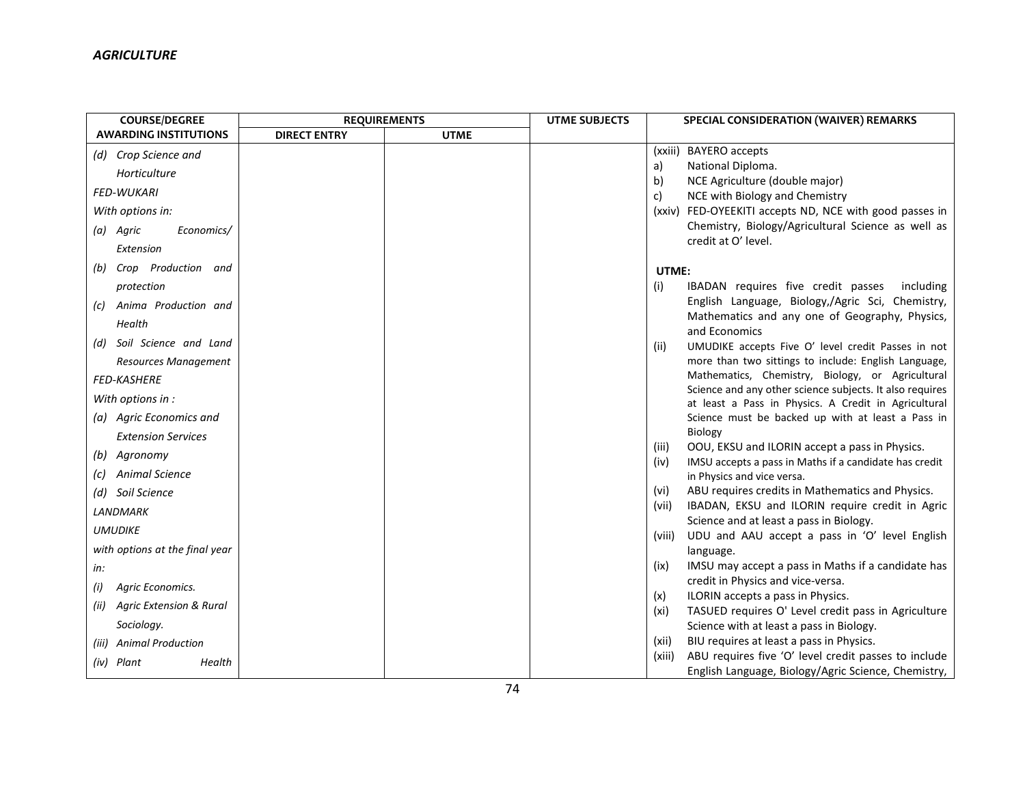| <b>COURSE/DEGREE</b>                       | <b>REQUIREMENTS</b> |             | <b>UTME SUBJECTS</b> | SPECIAL CONSIDERATION (WAIVER) REMARKS                                                                       |
|--------------------------------------------|---------------------|-------------|----------------------|--------------------------------------------------------------------------------------------------------------|
| <b>AWARDING INSTITUTIONS</b>               | <b>DIRECT ENTRY</b> | <b>UTME</b> |                      |                                                                                                              |
| (d) Crop Science and                       |                     |             |                      | (xxiii) BAYERO accepts                                                                                       |
| Horticulture                               |                     |             |                      | National Diploma.<br>a)                                                                                      |
| <b>FED-WUKARI</b>                          |                     |             |                      | NCE Agriculture (double major)<br>b)                                                                         |
|                                            |                     |             |                      | NCE with Biology and Chemistry<br>C)                                                                         |
| With options in:                           |                     |             |                      | (xxiv) FED-OYEEKITI accepts ND, NCE with good passes in                                                      |
| (a) Agric<br>Economics/                    |                     |             |                      | Chemistry, Biology/Agricultural Science as well as<br>credit at O' level.                                    |
| Extension                                  |                     |             |                      |                                                                                                              |
| Crop Production and<br>(b)                 |                     |             |                      | UTME:                                                                                                        |
| protection                                 |                     |             |                      | (i)<br>IBADAN requires five credit passes<br>including                                                       |
| Anima Production and<br>$\left( c\right)$  |                     |             |                      | English Language, Biology,/Agric Sci, Chemistry,                                                             |
| Health                                     |                     |             |                      | Mathematics and any one of Geography, Physics,                                                               |
|                                            |                     |             |                      | and Economics                                                                                                |
| (d) Soil Science and Land                  |                     |             |                      | UMUDIKE accepts Five O' level credit Passes in not<br>(iii)                                                  |
| Resources Management                       |                     |             |                      | more than two sittings to include: English Language,                                                         |
| <b>FED-KASHERE</b>                         |                     |             |                      | Mathematics, Chemistry, Biology, or Agricultural<br>Science and any other science subjects. It also requires |
| With options in :                          |                     |             |                      | at least a Pass in Physics. A Credit in Agricultural                                                         |
| (a) Agric Economics and                    |                     |             |                      | Science must be backed up with at least a Pass in                                                            |
| <b>Extension Services</b>                  |                     |             |                      | Biology                                                                                                      |
| Agronomy<br>(b)                            |                     |             |                      | OOU, EKSU and ILORIN accept a pass in Physics.<br>(iii)                                                      |
|                                            |                     |             |                      | IMSU accepts a pass in Maths if a candidate has credit<br>(iv)                                               |
| <b>Animal Science</b><br>(c)               |                     |             |                      | in Physics and vice versa.                                                                                   |
| (d) Soil Science                           |                     |             |                      | ABU requires credits in Mathematics and Physics.<br>(vi)                                                     |
| <b>LANDMARK</b>                            |                     |             |                      | IBADAN, EKSU and ILORIN require credit in Agric<br>(vii)<br>Science and at least a pass in Biology.          |
| <b>UMUDIKE</b>                             |                     |             |                      | UDU and AAU accept a pass in 'O' level English<br>(viii)                                                     |
| with options at the final year             |                     |             |                      | language.                                                                                                    |
| in:                                        |                     |             |                      | IMSU may accept a pass in Maths if a candidate has<br>(ix)                                                   |
| Agric Economics.<br>(i)                    |                     |             |                      | credit in Physics and vice-versa.                                                                            |
|                                            |                     |             |                      | ILORIN accepts a pass in Physics.<br>(x)                                                                     |
| <b>Agric Extension &amp; Rural</b><br>(ii) |                     |             |                      | TASUED requires O' Level credit pass in Agriculture<br>(xi)                                                  |
| Sociology.                                 |                     |             |                      | Science with at least a pass in Biology.                                                                     |
| <b>Animal Production</b><br>(iii)          |                     |             |                      | BIU requires at least a pass in Physics.<br>(xii)                                                            |
| (iv) Plant<br>Health                       |                     |             |                      | ABU requires five 'O' level credit passes to include<br>(xiii)                                               |
|                                            |                     |             |                      | English Language, Biology/Agric Science, Chemistry,                                                          |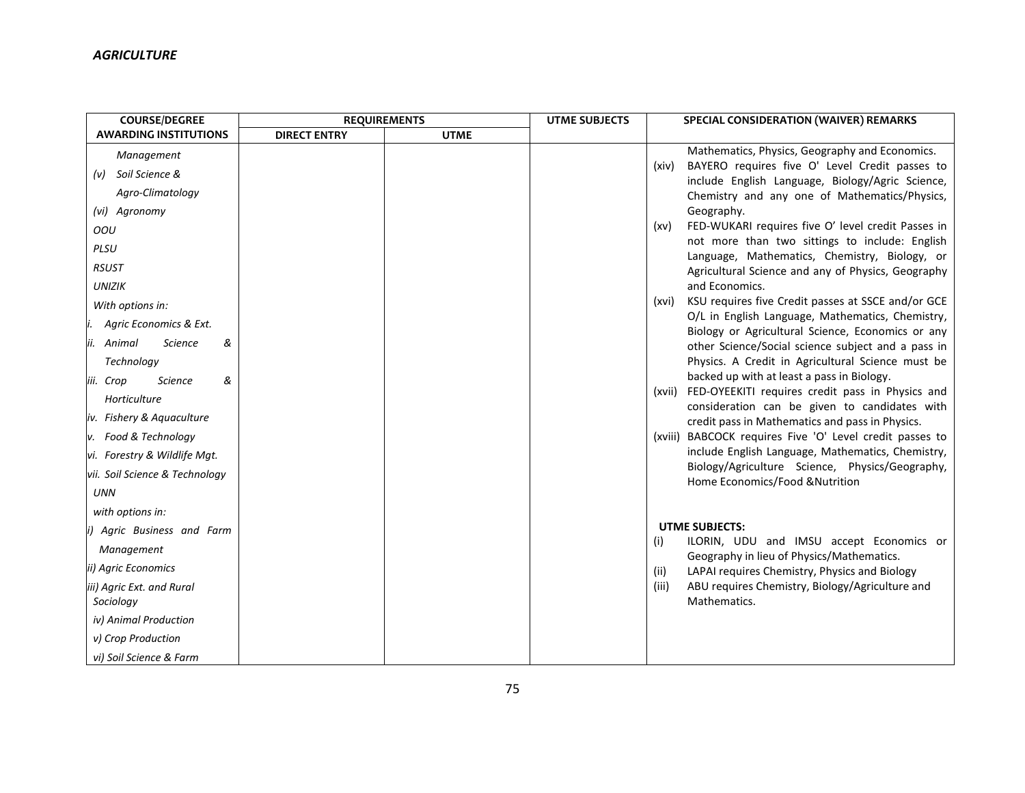| <b>COURSE/DEGREE</b>                   | <b>REQUIREMENTS</b> |             | <b>UTME SUBJECTS</b> | SPECIAL CONSIDERATION (WAIVER) REMARKS                                                                        |
|----------------------------------------|---------------------|-------------|----------------------|---------------------------------------------------------------------------------------------------------------|
| <b>AWARDING INSTITUTIONS</b>           | <b>DIRECT ENTRY</b> | <b>UTME</b> |                      |                                                                                                               |
| Management                             |                     |             |                      | Mathematics, Physics, Geography and Economics.                                                                |
| (v) Soil Science &                     |                     |             |                      | BAYERO requires five O' Level Credit passes to<br>(xiv)                                                       |
| Agro-Climatology                       |                     |             |                      | include English Language, Biology/Agric Science,<br>Chemistry and any one of Mathematics/Physics,             |
| (vi) Agronomy                          |                     |             |                      | Geography.                                                                                                    |
| OOU                                    |                     |             |                      | FED-WUKARI requires five O' level credit Passes in<br>(xv)                                                    |
| PLSU                                   |                     |             |                      | not more than two sittings to include: English                                                                |
| <b>RSUST</b>                           |                     |             |                      | Language, Mathematics, Chemistry, Biology, or<br>Agricultural Science and any of Physics, Geography           |
| <b>UNIZIK</b>                          |                     |             |                      | and Economics.                                                                                                |
| With options in:                       |                     |             |                      | KSU requires five Credit passes at SSCE and/or GCE<br>(xvi)                                                   |
| Agric Economics & Ext.                 |                     |             |                      | O/L in English Language, Mathematics, Chemistry,                                                              |
| &<br>ii.<br>Animal<br><b>Science</b>   |                     |             |                      | Biology or Agricultural Science, Economics or any<br>other Science/Social science subject and a pass in       |
| Technology                             |                     |             |                      | Physics. A Credit in Agricultural Science must be                                                             |
| <b>Science</b><br>&<br>iii. Crop       |                     |             |                      | backed up with at least a pass in Biology.                                                                    |
| Horticulture                           |                     |             |                      | (xvii) FED-OYEEKITI requires credit pass in Physics and                                                       |
|                                        |                     |             |                      | consideration can be given to candidates with                                                                 |
| iv. Fishery & Aquaculture              |                     |             |                      | credit pass in Mathematics and pass in Physics.                                                               |
| v. Food & Technology                   |                     |             |                      | (xviii) BABCOCK requires Five 'O' Level credit passes to<br>include English Language, Mathematics, Chemistry, |
| vi. Forestry & Wildlife Mgt.           |                     |             |                      | Biology/Agriculture Science, Physics/Geography,                                                               |
| vii. Soil Science & Technology         |                     |             |                      | Home Economics/Food & Nutrition                                                                               |
| <b>UNN</b>                             |                     |             |                      |                                                                                                               |
| with options in:                       |                     |             |                      |                                                                                                               |
| i) Agric Business and Farm             |                     |             |                      | <b>UTME SUBJECTS:</b><br>ILORIN, UDU and IMSU accept Economics or                                             |
| Management                             |                     |             |                      | (i)<br>Geography in lieu of Physics/Mathematics.                                                              |
| ii) Agric Economics                    |                     |             |                      | LAPAI requires Chemistry, Physics and Biology<br>(ii)                                                         |
| iii) Agric Ext. and Rural<br>Sociology |                     |             |                      | ABU requires Chemistry, Biology/Agriculture and<br>(iii)<br>Mathematics.                                      |
| iv) Animal Production                  |                     |             |                      |                                                                                                               |
| v) Crop Production                     |                     |             |                      |                                                                                                               |
| vi) Soil Science & Farm                |                     |             |                      |                                                                                                               |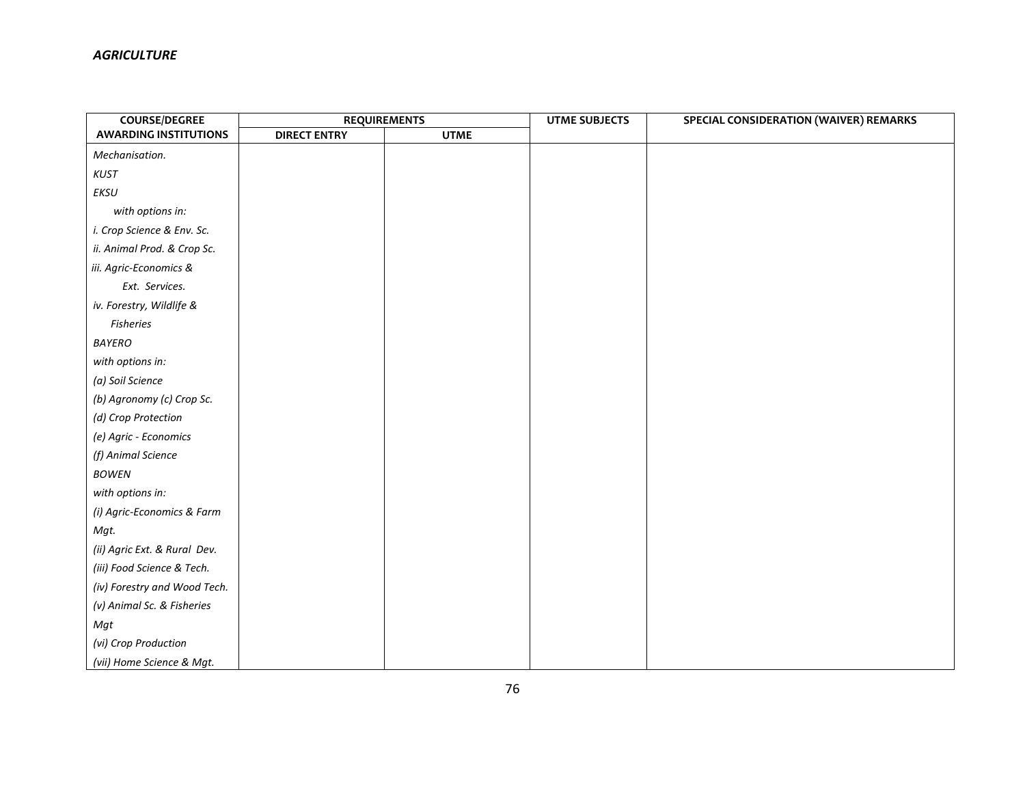| <b>COURSE/DEGREE</b>         | <b>REQUIREMENTS</b> |             | <b>UTME SUBJECTS</b> | SPECIAL CONSIDERATION (WAIVER) REMARKS |
|------------------------------|---------------------|-------------|----------------------|----------------------------------------|
| <b>AWARDING INSTITUTIONS</b> | <b>DIRECT ENTRY</b> | <b>UTME</b> |                      |                                        |
| Mechanisation.               |                     |             |                      |                                        |
| <b>KUST</b>                  |                     |             |                      |                                        |
| EKSU                         |                     |             |                      |                                        |
| with options in:             |                     |             |                      |                                        |
| i. Crop Science & Env. Sc.   |                     |             |                      |                                        |
| ii. Animal Prod. & Crop Sc.  |                     |             |                      |                                        |
| iii. Agric-Economics &       |                     |             |                      |                                        |
| Ext. Services.               |                     |             |                      |                                        |
| iv. Forestry, Wildlife &     |                     |             |                      |                                        |
| <b>Fisheries</b>             |                     |             |                      |                                        |
| BAYERO                       |                     |             |                      |                                        |
| with options in:             |                     |             |                      |                                        |
| (a) Soil Science             |                     |             |                      |                                        |
| (b) Agronomy (c) Crop Sc.    |                     |             |                      |                                        |
| (d) Crop Protection          |                     |             |                      |                                        |
| (e) Agric - Economics        |                     |             |                      |                                        |
| (f) Animal Science           |                     |             |                      |                                        |
| <b>BOWEN</b>                 |                     |             |                      |                                        |
| with options in:             |                     |             |                      |                                        |
| (i) Agric-Economics & Farm   |                     |             |                      |                                        |
| Mgt.                         |                     |             |                      |                                        |
| (ii) Agric Ext. & Rural Dev. |                     |             |                      |                                        |
| (iii) Food Science & Tech.   |                     |             |                      |                                        |
| (iv) Forestry and Wood Tech. |                     |             |                      |                                        |
| (v) Animal Sc. & Fisheries   |                     |             |                      |                                        |
| Mgt                          |                     |             |                      |                                        |
| (vi) Crop Production         |                     |             |                      |                                        |
| (vii) Home Science & Mgt.    |                     |             |                      |                                        |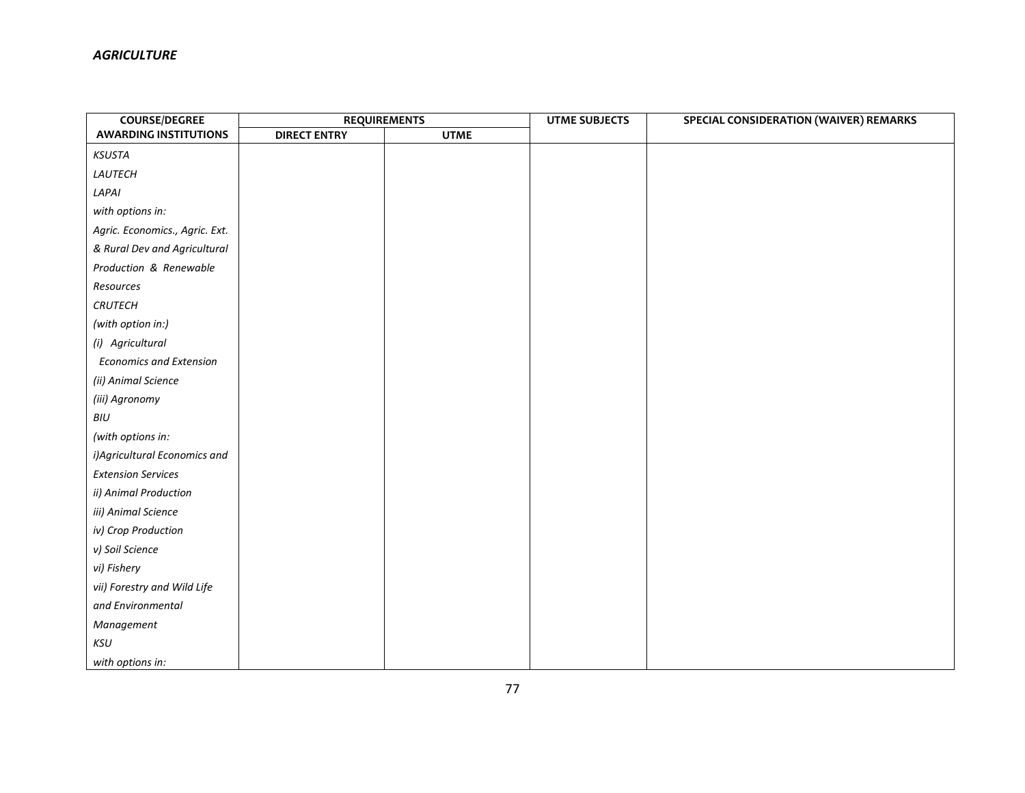| <b>COURSE/DEGREE</b>           | <b>REQUIREMENTS</b> |             | <b>UTME SUBJECTS</b> | SPECIAL CONSIDERATION (WAIVER) REMARKS |  |
|--------------------------------|---------------------|-------------|----------------------|----------------------------------------|--|
| <b>AWARDING INSTITUTIONS</b>   | <b>DIRECT ENTRY</b> | <b>UTME</b> |                      |                                        |  |
| KSUSTA                         |                     |             |                      |                                        |  |
| LAUTECH                        |                     |             |                      |                                        |  |
| LAPAI                          |                     |             |                      |                                        |  |
| with options in:               |                     |             |                      |                                        |  |
| Agric. Economics., Agric. Ext. |                     |             |                      |                                        |  |
| & Rural Dev and Agricultural   |                     |             |                      |                                        |  |
| Production & Renewable         |                     |             |                      |                                        |  |
| Resources                      |                     |             |                      |                                        |  |
| <b>CRUTECH</b>                 |                     |             |                      |                                        |  |
| (with option in:)              |                     |             |                      |                                        |  |
| (i) Agricultural               |                     |             |                      |                                        |  |
| <b>Economics and Extension</b> |                     |             |                      |                                        |  |
| (ii) Animal Science            |                     |             |                      |                                        |  |
| (iii) Agronomy                 |                     |             |                      |                                        |  |
| BIU                            |                     |             |                      |                                        |  |
| (with options in:              |                     |             |                      |                                        |  |
| i) Agricultural Economics and  |                     |             |                      |                                        |  |
| <b>Extension Services</b>      |                     |             |                      |                                        |  |
| ii) Animal Production          |                     |             |                      |                                        |  |
| iii) Animal Science            |                     |             |                      |                                        |  |
| iv) Crop Production            |                     |             |                      |                                        |  |
| v) Soil Science                |                     |             |                      |                                        |  |
| vi) Fishery                    |                     |             |                      |                                        |  |
| vii) Forestry and Wild Life    |                     |             |                      |                                        |  |
| and Environmental              |                     |             |                      |                                        |  |
| Management                     |                     |             |                      |                                        |  |
| KSU                            |                     |             |                      |                                        |  |
| with options in:               |                     |             |                      |                                        |  |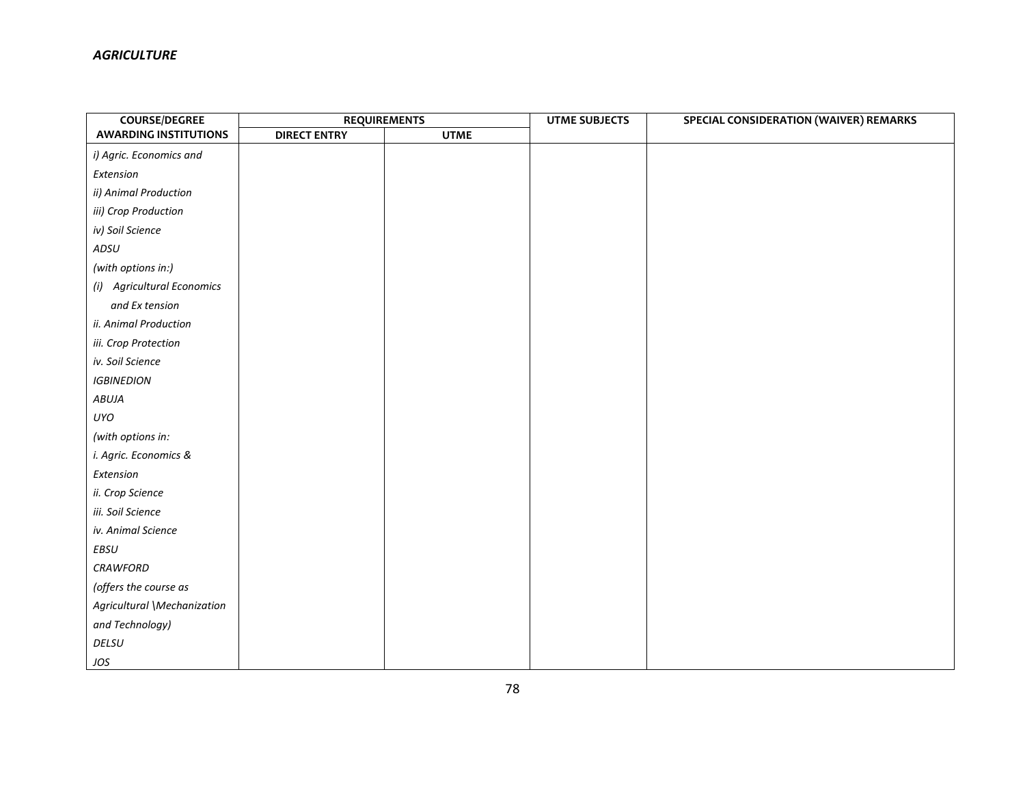| <b>COURSE/DEGREE</b>         | <b>REQUIREMENTS</b> |             | <b>UTME SUBJECTS</b> | SPECIAL CONSIDERATION (WAIVER) REMARKS |  |
|------------------------------|---------------------|-------------|----------------------|----------------------------------------|--|
| <b>AWARDING INSTITUTIONS</b> | <b>DIRECT ENTRY</b> | <b>UTME</b> |                      |                                        |  |
| i) Agric. Economics and      |                     |             |                      |                                        |  |
| Extension                    |                     |             |                      |                                        |  |
| ii) Animal Production        |                     |             |                      |                                        |  |
| iii) Crop Production         |                     |             |                      |                                        |  |
| iv) Soil Science             |                     |             |                      |                                        |  |
| ADSU                         |                     |             |                      |                                        |  |
| (with options in:)           |                     |             |                      |                                        |  |
| (i) Agricultural Economics   |                     |             |                      |                                        |  |
| and Ex tension               |                     |             |                      |                                        |  |
| ii. Animal Production        |                     |             |                      |                                        |  |
| iii. Crop Protection         |                     |             |                      |                                        |  |
| iv. Soil Science             |                     |             |                      |                                        |  |
| <b>IGBINEDION</b>            |                     |             |                      |                                        |  |
| ABUJA                        |                     |             |                      |                                        |  |
| UYO                          |                     |             |                      |                                        |  |
| (with options in:            |                     |             |                      |                                        |  |
| i. Agric. Economics &        |                     |             |                      |                                        |  |
| Extension                    |                     |             |                      |                                        |  |
| ii. Crop Science             |                     |             |                      |                                        |  |
| iii. Soil Science            |                     |             |                      |                                        |  |
| iv. Animal Science           |                     |             |                      |                                        |  |
| EBSU                         |                     |             |                      |                                        |  |
| <b>CRAWFORD</b>              |                     |             |                      |                                        |  |
| (offers the course as        |                     |             |                      |                                        |  |
| Agricultural \Mechanization  |                     |             |                      |                                        |  |
| and Technology)              |                     |             |                      |                                        |  |
| DELSU                        |                     |             |                      |                                        |  |
| JOS                          |                     |             |                      |                                        |  |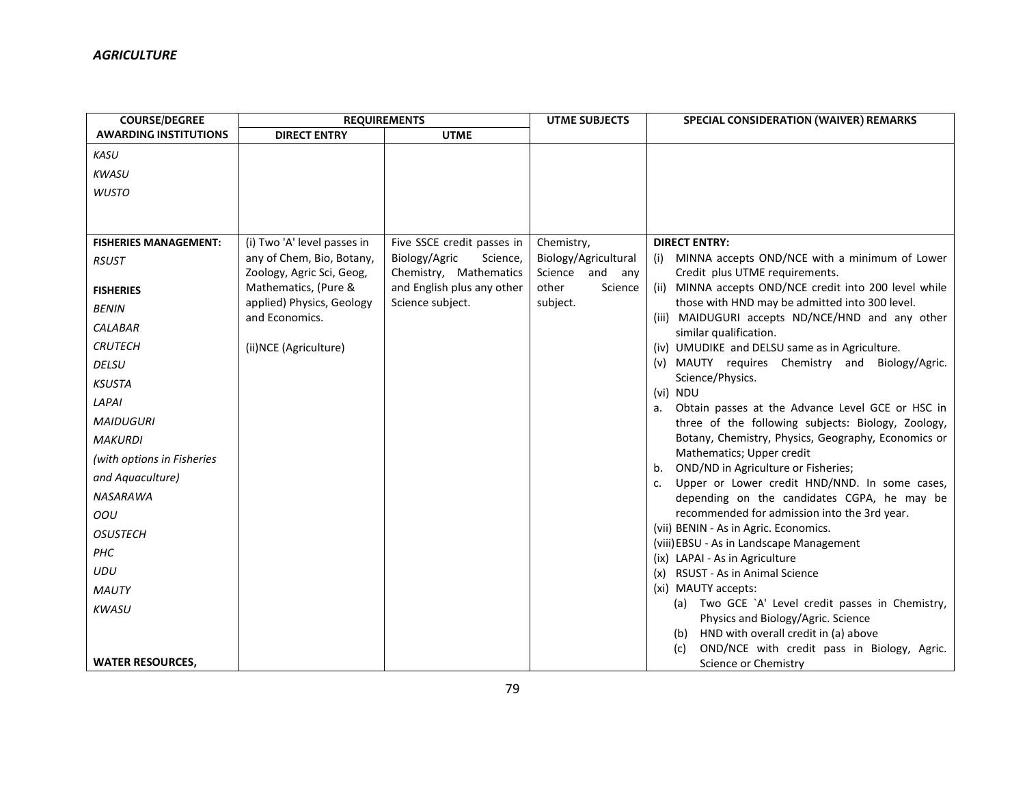| <b>COURSE/DEGREE</b>         |                                                   | <b>REQUIREMENTS</b>                                  | <b>UTME SUBJECTS</b>                | SPECIAL CONSIDERATION (WAIVER) REMARKS                                                      |
|------------------------------|---------------------------------------------------|------------------------------------------------------|-------------------------------------|---------------------------------------------------------------------------------------------|
| <b>AWARDING INSTITUTIONS</b> | <b>DIRECT ENTRY</b>                               | <b>UTME</b>                                          |                                     |                                                                                             |
| KASU                         |                                                   |                                                      |                                     |                                                                                             |
| <b>KWASU</b>                 |                                                   |                                                      |                                     |                                                                                             |
| <b>WUSTO</b>                 |                                                   |                                                      |                                     |                                                                                             |
|                              |                                                   |                                                      |                                     |                                                                                             |
|                              |                                                   |                                                      |                                     |                                                                                             |
| <b>FISHERIES MANAGEMENT:</b> | (i) Two 'A' level passes in                       | Five SSCE credit passes in                           | Chemistry,                          | <b>DIRECT ENTRY:</b>                                                                        |
| <b>RSUST</b>                 | any of Chem, Bio, Botany,                         | Biology/Agric<br>Science,                            | Biology/Agricultural                | MINNA accepts OND/NCE with a minimum of Lower<br>(i)                                        |
|                              | Zoology, Agric Sci, Geog,<br>Mathematics, (Pure & | Chemistry, Mathematics<br>and English plus any other | Science and any<br>other<br>Science | Credit plus UTME requirements.<br>(ii) MINNA accepts OND/NCE credit into 200 level while    |
| <b>FISHERIES</b>             | applied) Physics, Geology                         | Science subject.                                     | subject.                            | those with HND may be admitted into 300 level.                                              |
| <b>BENIN</b>                 | and Economics.                                    |                                                      |                                     | (iii) MAIDUGURI accepts ND/NCE/HND and any other                                            |
| <b>CALABAR</b>               |                                                   |                                                      |                                     | similar qualification.                                                                      |
| <b>CRUTECH</b>               | (ii)NCE (Agriculture)                             |                                                      |                                     | (iv) UMUDIKE and DELSU same as in Agriculture.                                              |
| <b>DELSU</b>                 |                                                   |                                                      |                                     | (v) MAUTY requires Chemistry and Biology/Agric.                                             |
| <b>KSUSTA</b>                |                                                   |                                                      |                                     | Science/Physics.                                                                            |
| LAPAI                        |                                                   |                                                      |                                     | (vi) NDU<br>Obtain passes at the Advance Level GCE or HSC in<br>а.                          |
| <b>MAIDUGURI</b>             |                                                   |                                                      |                                     | three of the following subjects: Biology, Zoology,                                          |
| <b>MAKURDI</b>               |                                                   |                                                      |                                     | Botany, Chemistry, Physics, Geography, Economics or                                         |
| (with options in Fisheries   |                                                   |                                                      |                                     | Mathematics; Upper credit                                                                   |
| and Aquaculture)             |                                                   |                                                      |                                     | OND/ND in Agriculture or Fisheries;<br>b.                                                   |
| <b>NASARAWA</b>              |                                                   |                                                      |                                     | Upper or Lower credit HND/NND. In some cases,<br>c.                                         |
|                              |                                                   |                                                      |                                     | depending on the candidates CGPA, he may be<br>recommended for admission into the 3rd year. |
| OOU                          |                                                   |                                                      |                                     | (vii) BENIN - As in Agric. Economics.                                                       |
| <b>OSUSTECH</b>              |                                                   |                                                      |                                     | (viii) EBSU - As in Landscape Management                                                    |
| PHC                          |                                                   |                                                      |                                     | (ix) LAPAI - As in Agriculture                                                              |
| <b>UDU</b>                   |                                                   |                                                      |                                     | <b>RSUST - As in Animal Science</b><br>(x)                                                  |
| <b>MAUTY</b>                 |                                                   |                                                      |                                     | (xi) MAUTY accepts:                                                                         |
| <b>KWASU</b>                 |                                                   |                                                      |                                     | (a) Two GCE `A' Level credit passes in Chemistry,                                           |
|                              |                                                   |                                                      |                                     | Physics and Biology/Agric. Science<br>HND with overall credit in (a) above<br>(b)           |
|                              |                                                   |                                                      |                                     | OND/NCE with credit pass in Biology, Agric.<br>(c)                                          |
| <b>WATER RESOURCES,</b>      |                                                   |                                                      |                                     | Science or Chemistry                                                                        |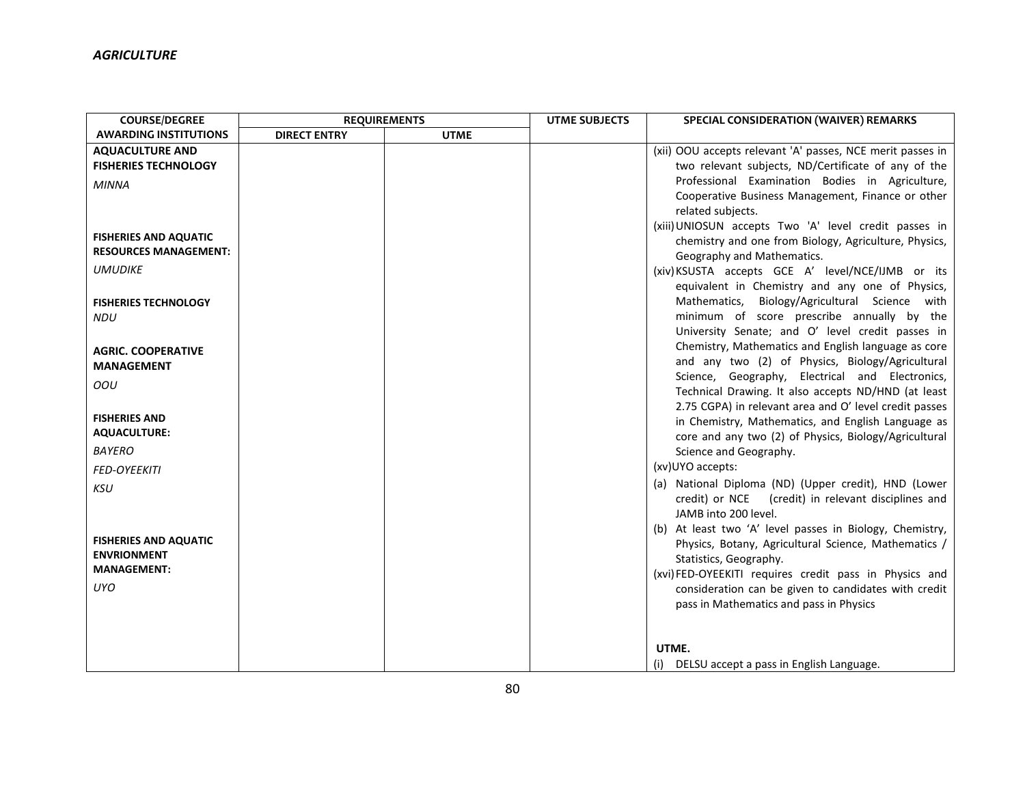| <b>COURSE/DEGREE</b>         | <b>REQUIREMENTS</b> |             | <b>UTME SUBJECTS</b> | <b>SPECIAL CONSIDERATION (WAIVER) REMARKS</b>              |
|------------------------------|---------------------|-------------|----------------------|------------------------------------------------------------|
| <b>AWARDING INSTITUTIONS</b> | <b>DIRECT ENTRY</b> | <b>UTME</b> |                      |                                                            |
| <b>AQUACULTURE AND</b>       |                     |             |                      | (xii) OOU accepts relevant 'A' passes, NCE merit passes in |
| <b>FISHERIES TECHNOLOGY</b>  |                     |             |                      | two relevant subjects, ND/Certificate of any of the        |
| <b>MINNA</b>                 |                     |             |                      | Professional Examination Bodies in Agriculture,            |
|                              |                     |             |                      | Cooperative Business Management, Finance or other          |
|                              |                     |             |                      | related subjects.                                          |
|                              |                     |             |                      | (xiii) UNIOSUN accepts Two 'A' level credit passes in      |
| <b>FISHERIES AND AQUATIC</b> |                     |             |                      | chemistry and one from Biology, Agriculture, Physics,      |
| <b>RESOURCES MANAGEMENT:</b> |                     |             |                      | Geography and Mathematics.                                 |
| <b>UMUDIKE</b>               |                     |             |                      | (xiv) KSUSTA accepts GCE A' level/NCE/IJMB or its          |
|                              |                     |             |                      | equivalent in Chemistry and any one of Physics,            |
| <b>FISHERIES TECHNOLOGY</b>  |                     |             |                      | Mathematics, Biology/Agricultural Science with             |
| <b>NDU</b>                   |                     |             |                      | minimum of score prescribe annually by the                 |
|                              |                     |             |                      | University Senate; and O' level credit passes in           |
| <b>AGRIC. COOPERATIVE</b>    |                     |             |                      | Chemistry, Mathematics and English language as core        |
| <b>MANAGEMENT</b>            |                     |             |                      | and any two (2) of Physics, Biology/Agricultural           |
| OOU                          |                     |             |                      | Science, Geography, Electrical and Electronics,            |
|                              |                     |             |                      | Technical Drawing. It also accepts ND/HND (at least        |
|                              |                     |             |                      | 2.75 CGPA) in relevant area and O' level credit passes     |
| <b>FISHERIES AND</b>         |                     |             |                      | in Chemistry, Mathematics, and English Language as         |
| <b>AQUACULTURE:</b>          |                     |             |                      | core and any two (2) of Physics, Biology/Agricultural      |
| <b>BAYERO</b>                |                     |             |                      | Science and Geography.                                     |
| <b>FED-OYEEKITI</b>          |                     |             |                      | (xv)UYO accepts:                                           |
| <b>KSU</b>                   |                     |             |                      | (a) National Diploma (ND) (Upper credit), HND (Lower       |
|                              |                     |             |                      | credit) or NCE<br>(credit) in relevant disciplines and     |
|                              |                     |             |                      | JAMB into 200 level.                                       |
|                              |                     |             |                      | (b) At least two 'A' level passes in Biology, Chemistry,   |
| <b>FISHERIES AND AQUATIC</b> |                     |             |                      | Physics, Botany, Agricultural Science, Mathematics /       |
| <b>ENVRIONMENT</b>           |                     |             |                      | Statistics, Geography.                                     |
| <b>MANAGEMENT:</b>           |                     |             |                      | (xvi) FED-OYEEKITI requires credit pass in Physics and     |
| <b>UYO</b>                   |                     |             |                      | consideration can be given to candidates with credit       |
|                              |                     |             |                      | pass in Mathematics and pass in Physics                    |
|                              |                     |             |                      |                                                            |
|                              |                     |             |                      |                                                            |
|                              |                     |             |                      | UTME.                                                      |
|                              |                     |             |                      | DELSU accept a pass in English Language.<br>(i)            |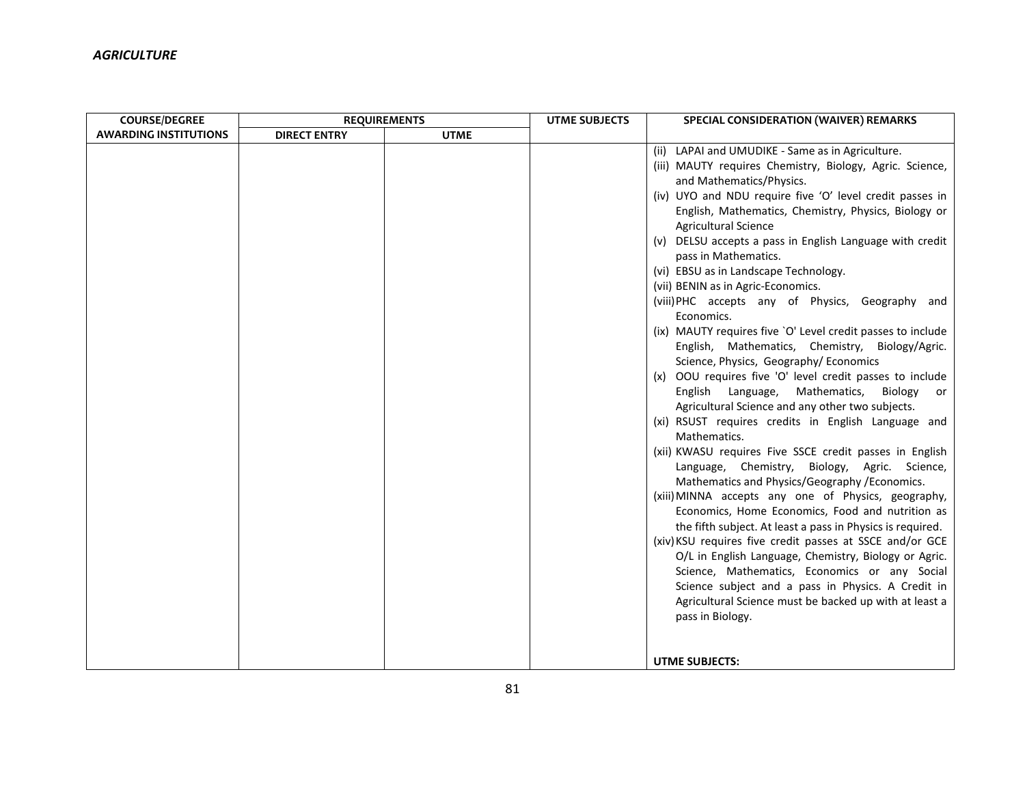| <b>COURSE/DEGREE</b>         | <b>REQUIREMENTS</b> |             | <b>UTME SUBJECTS</b> | SPECIAL CONSIDERATION (WAIVER) REMARKS                      |
|------------------------------|---------------------|-------------|----------------------|-------------------------------------------------------------|
| <b>AWARDING INSTITUTIONS</b> | <b>DIRECT ENTRY</b> | <b>UTME</b> |                      |                                                             |
|                              |                     |             |                      | LAPAI and UMUDIKE - Same as in Agriculture.<br>(ii)         |
|                              |                     |             |                      | (iii) MAUTY requires Chemistry, Biology, Agric. Science,    |
|                              |                     |             |                      | and Mathematics/Physics.                                    |
|                              |                     |             |                      | (iv) UYO and NDU require five 'O' level credit passes in    |
|                              |                     |             |                      | English, Mathematics, Chemistry, Physics, Biology or        |
|                              |                     |             |                      | <b>Agricultural Science</b>                                 |
|                              |                     |             |                      | (v) DELSU accepts a pass in English Language with credit    |
|                              |                     |             |                      | pass in Mathematics.                                        |
|                              |                     |             |                      | (vi) EBSU as in Landscape Technology.                       |
|                              |                     |             |                      | (vii) BENIN as in Agric-Economics.                          |
|                              |                     |             |                      | (viii) PHC accepts any of Physics, Geography and            |
|                              |                     |             |                      | Economics.                                                  |
|                              |                     |             |                      | (ix) MAUTY requires five `O' Level credit passes to include |
|                              |                     |             |                      | English, Mathematics, Chemistry, Biology/Agric.             |
|                              |                     |             |                      | Science, Physics, Geography/ Economics                      |
|                              |                     |             |                      | (x) OOU requires five 'O' level credit passes to include    |
|                              |                     |             |                      | English Language,<br>Mathematics,<br>Biology<br>or          |
|                              |                     |             |                      | Agricultural Science and any other two subjects.            |
|                              |                     |             |                      | (xi) RSUST requires credits in English Language and         |
|                              |                     |             |                      | Mathematics.                                                |
|                              |                     |             |                      | (xii) KWASU requires Five SSCE credit passes in English     |
|                              |                     |             |                      | Language, Chemistry, Biology, Agric. Science,               |
|                              |                     |             |                      | Mathematics and Physics/Geography / Economics.              |
|                              |                     |             |                      | (xiii) MINNA accepts any one of Physics, geography,         |
|                              |                     |             |                      | Economics, Home Economics, Food and nutrition as            |
|                              |                     |             |                      | the fifth subject. At least a pass in Physics is required.  |
|                              |                     |             |                      | (xiv) KSU requires five credit passes at SSCE and/or GCE    |
|                              |                     |             |                      | O/L in English Language, Chemistry, Biology or Agric.       |
|                              |                     |             |                      | Science, Mathematics, Economics or any Social               |
|                              |                     |             |                      | Science subject and a pass in Physics. A Credit in          |
|                              |                     |             |                      | Agricultural Science must be backed up with at least a      |
|                              |                     |             |                      | pass in Biology.                                            |
|                              |                     |             |                      |                                                             |
|                              |                     |             |                      |                                                             |
|                              |                     |             |                      | UTME SUBJECTS:                                              |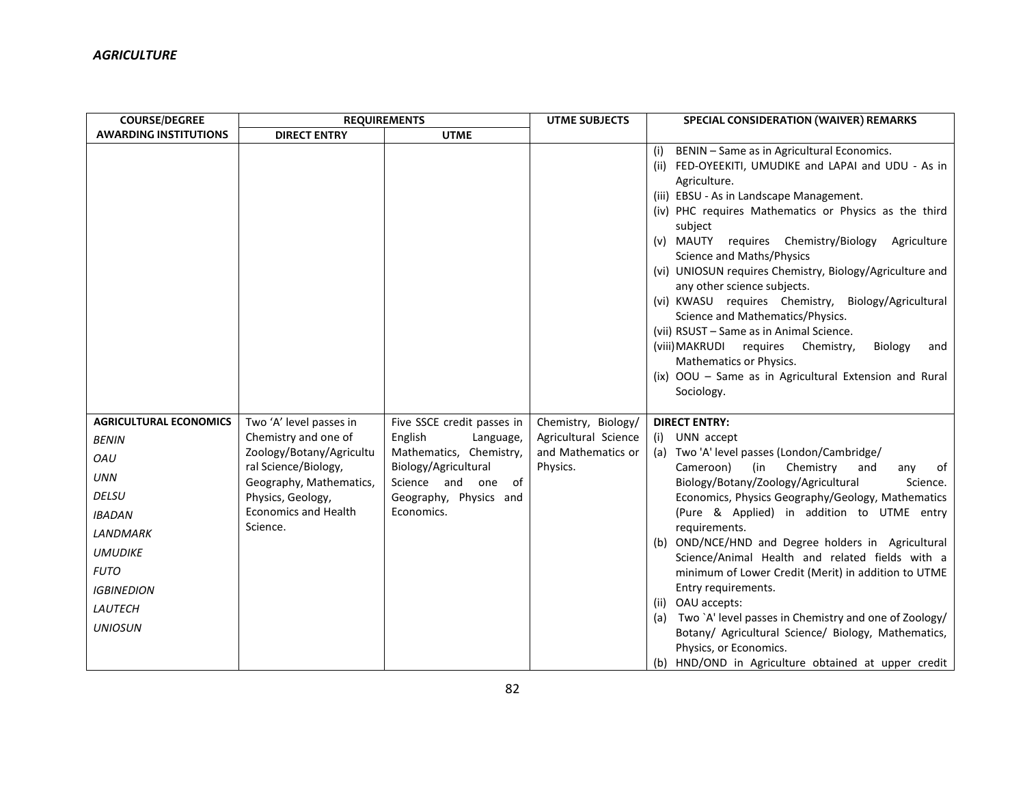| <b>COURSE/DEGREE</b>                                                                                                                                                                                      | <b>REQUIREMENTS</b>                                                                                                                                                                            |                                                                                                                                                                     | <b>UTME SUBJECTS</b>                                                          | SPECIAL CONSIDERATION (WAIVER) REMARKS                                                                                                                                                                                                                                                                                                                                                                                                                                                                                                                                                                                                                                                                                                   |
|-----------------------------------------------------------------------------------------------------------------------------------------------------------------------------------------------------------|------------------------------------------------------------------------------------------------------------------------------------------------------------------------------------------------|---------------------------------------------------------------------------------------------------------------------------------------------------------------------|-------------------------------------------------------------------------------|------------------------------------------------------------------------------------------------------------------------------------------------------------------------------------------------------------------------------------------------------------------------------------------------------------------------------------------------------------------------------------------------------------------------------------------------------------------------------------------------------------------------------------------------------------------------------------------------------------------------------------------------------------------------------------------------------------------------------------------|
| <b>AWARDING INSTITUTIONS</b>                                                                                                                                                                              | <b>DIRECT ENTRY</b>                                                                                                                                                                            | <b>UTME</b>                                                                                                                                                         |                                                                               |                                                                                                                                                                                                                                                                                                                                                                                                                                                                                                                                                                                                                                                                                                                                          |
|                                                                                                                                                                                                           |                                                                                                                                                                                                |                                                                                                                                                                     |                                                                               | BENIN - Same as in Agricultural Economics.<br>(i)<br>(ii) FED-OYEEKITI, UMUDIKE and LAPAI and UDU - As in<br>Agriculture.<br>(iii) EBSU - As in Landscape Management.<br>(iv) PHC requires Mathematics or Physics as the third<br>subject<br>(v) MAUTY requires Chemistry/Biology Agriculture<br>Science and Maths/Physics<br>(vi) UNIOSUN requires Chemistry, Biology/Agriculture and<br>any other science subjects.<br>(vi) KWASU requires Chemistry,<br>Biology/Agricultural<br>Science and Mathematics/Physics.<br>(vii) RSUST - Same as in Animal Science.<br>(viii) MAKRUDI requires<br>Chemistry,<br>Biology<br>and<br>Mathematics or Physics.<br>(ix) OOU - Same as in Agricultural Extension and Rural<br>Sociology.            |
| <b>AGRICULTURAL ECONOMICS</b><br><b>BENIN</b><br>OAU<br><b>UNN</b><br><b>DELSU</b><br><b>IBADAN</b><br><b>LANDMARK</b><br><b>UMUDIKE</b><br><b>FUTO</b><br><b>IGBINEDION</b><br>LAUTECH<br><b>UNIOSUN</b> | Two 'A' level passes in<br>Chemistry and one of<br>Zoology/Botany/Agricultu<br>ral Science/Biology,<br>Geography, Mathematics,<br>Physics, Geology,<br><b>Economics and Health</b><br>Science. | Five SSCE credit passes in<br>English<br>Language,<br>Mathematics, Chemistry,<br>Biology/Agricultural<br>Science and one of<br>Geography, Physics and<br>Economics. | Chemistry, Biology/<br>Agricultural Science<br>and Mathematics or<br>Physics. | <b>DIRECT ENTRY:</b><br>UNN accept<br>(i)<br>(a) Two 'A' level passes (London/Cambridge/<br>Cameroon)<br>(in<br>Chemistry<br>and<br>any<br>of<br>Biology/Botany/Zoology/Agricultural<br>Science.<br>Economics, Physics Geography/Geology, Mathematics<br>(Pure & Applied) in addition to UTME entry<br>requirements.<br>(b) OND/NCE/HND and Degree holders in Agricultural<br>Science/Animal Health and related fields with a<br>minimum of Lower Credit (Merit) in addition to UTME<br>Entry requirements.<br>(ii) OAU accepts:<br>Two `A' level passes in Chemistry and one of Zoology/<br>(a)<br>Botany/ Agricultural Science/ Biology, Mathematics,<br>Physics, or Economics.<br>(b) HND/OND in Agriculture obtained at upper credit |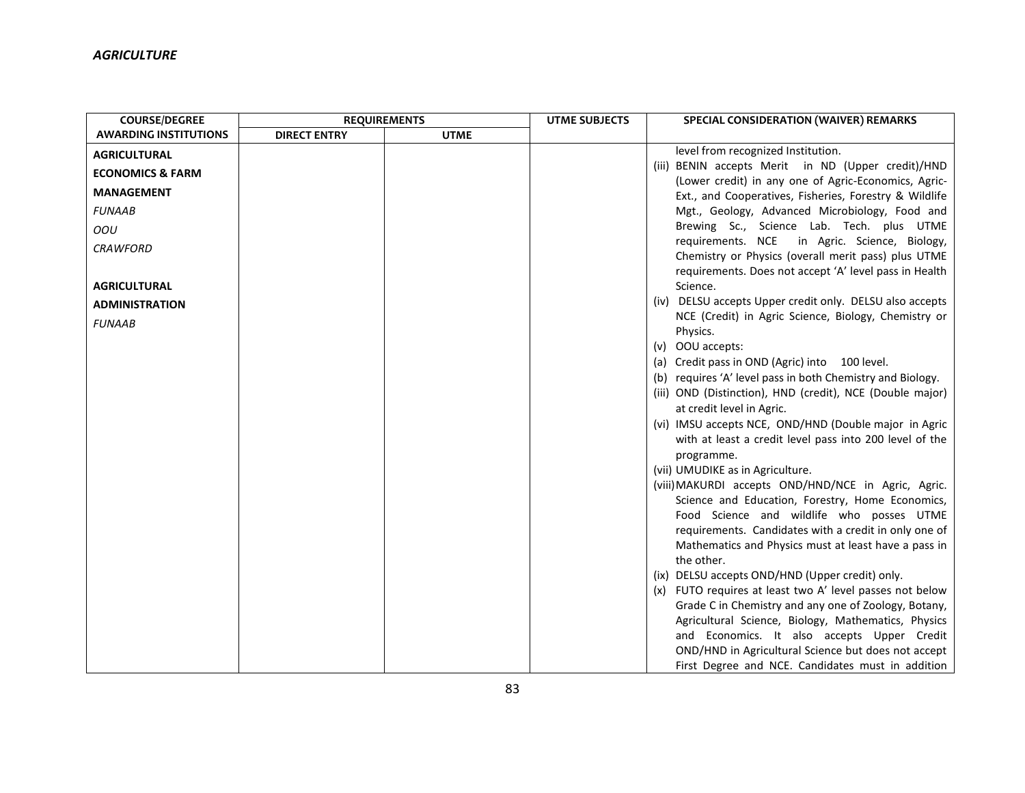| <b>COURSE/DEGREE</b>         | <b>REQUIREMENTS</b> |             | <b>UTME SUBJECTS</b> | SPECIAL CONSIDERATION (WAIVER) REMARKS                                                                       |
|------------------------------|---------------------|-------------|----------------------|--------------------------------------------------------------------------------------------------------------|
| <b>AWARDING INSTITUTIONS</b> | <b>DIRECT ENTRY</b> | <b>UTME</b> |                      |                                                                                                              |
| <b>AGRICULTURAL</b>          |                     |             |                      | level from recognized Institution.                                                                           |
| <b>ECONOMICS &amp; FARM</b>  |                     |             |                      | (iii) BENIN accepts Merit in ND (Upper credit)/HND                                                           |
| <b>MANAGEMENT</b>            |                     |             |                      | (Lower credit) in any one of Agric-Economics, Agric-                                                         |
| <b>FUNAAB</b>                |                     |             |                      | Ext., and Cooperatives, Fisheries, Forestry & Wildlife<br>Mgt., Geology, Advanced Microbiology, Food and     |
|                              |                     |             |                      | Brewing Sc., Science Lab. Tech. plus UTME                                                                    |
| OOU                          |                     |             |                      | requirements. NCE in Agric. Science, Biology,                                                                |
| <b>CRAWFORD</b>              |                     |             |                      | Chemistry or Physics (overall merit pass) plus UTME                                                          |
|                              |                     |             |                      | requirements. Does not accept 'A' level pass in Health                                                       |
| <b>AGRICULTURAL</b>          |                     |             |                      | Science.                                                                                                     |
| <b>ADMINISTRATION</b>        |                     |             |                      | (iv) DELSU accepts Upper credit only. DELSU also accepts                                                     |
| <b>FUNAAB</b>                |                     |             |                      | NCE (Credit) in Agric Science, Biology, Chemistry or                                                         |
|                              |                     |             |                      | Physics.                                                                                                     |
|                              |                     |             |                      | $(v)$ OOU accepts:                                                                                           |
|                              |                     |             |                      | (a) Credit pass in OND (Agric) into 100 level.<br>(b) requires 'A' level pass in both Chemistry and Biology. |
|                              |                     |             |                      | (iii) OND (Distinction), HND (credit), NCE (Double major)                                                    |
|                              |                     |             |                      | at credit level in Agric.                                                                                    |
|                              |                     |             |                      | (vi) IMSU accepts NCE, OND/HND (Double major in Agric                                                        |
|                              |                     |             |                      | with at least a credit level pass into 200 level of the                                                      |
|                              |                     |             |                      | programme.                                                                                                   |
|                              |                     |             |                      | (vii) UMUDIKE as in Agriculture.                                                                             |
|                              |                     |             |                      | (viii) MAKURDI accepts OND/HND/NCE in Agric, Agric.                                                          |
|                              |                     |             |                      | Science and Education, Forestry, Home Economics,                                                             |
|                              |                     |             |                      | Food Science and wildlife who posses UTME                                                                    |
|                              |                     |             |                      | requirements. Candidates with a credit in only one of                                                        |
|                              |                     |             |                      | Mathematics and Physics must at least have a pass in<br>the other.                                           |
|                              |                     |             |                      | (ix) DELSU accepts OND/HND (Upper credit) only.                                                              |
|                              |                     |             |                      | (x) FUTO requires at least two A' level passes not below                                                     |
|                              |                     |             |                      | Grade C in Chemistry and any one of Zoology, Botany,                                                         |
|                              |                     |             |                      | Agricultural Science, Biology, Mathematics, Physics                                                          |
|                              |                     |             |                      | and Economics. It also accepts Upper Credit                                                                  |
|                              |                     |             |                      | OND/HND in Agricultural Science but does not accept                                                          |
|                              |                     |             |                      | First Degree and NCE. Candidates must in addition                                                            |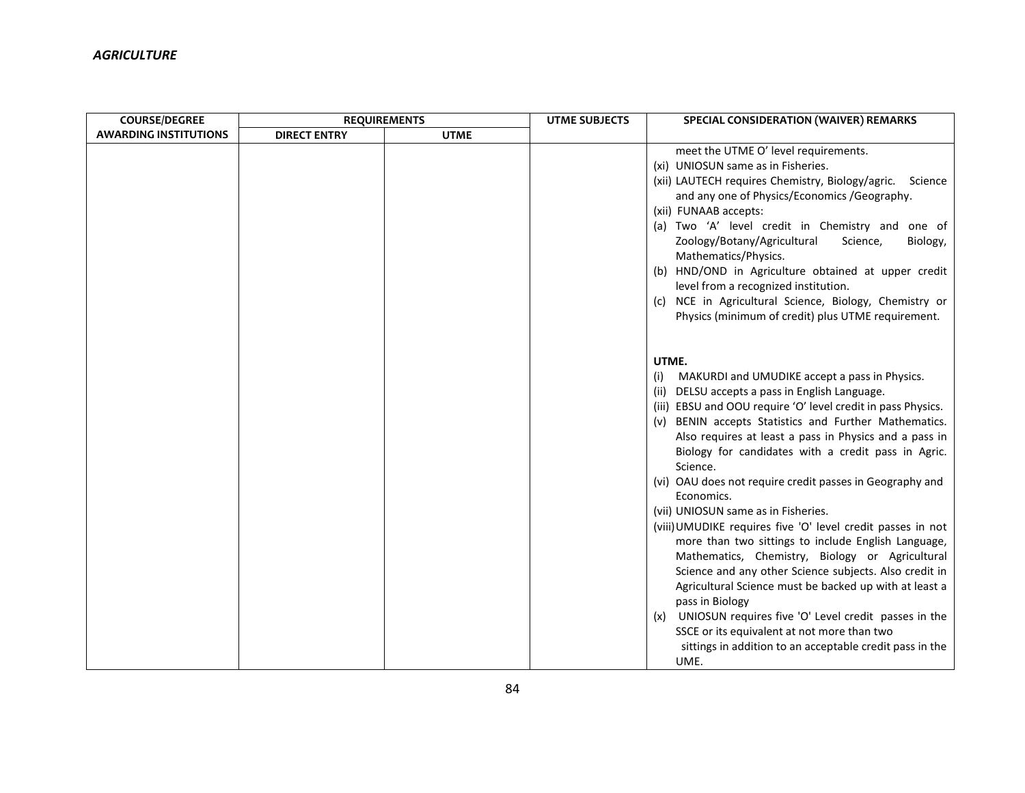| <b>COURSE/DEGREE</b>         | <b>REQUIREMENTS</b> |             | <b>UTME SUBJECTS</b> | SPECIAL CONSIDERATION (WAIVER) REMARKS                                                                                                                                                                                                                                                                                                                                                                                                                                                                                                                                                                                                                                                                                                                                                                                                                                                                                                                                                   |
|------------------------------|---------------------|-------------|----------------------|------------------------------------------------------------------------------------------------------------------------------------------------------------------------------------------------------------------------------------------------------------------------------------------------------------------------------------------------------------------------------------------------------------------------------------------------------------------------------------------------------------------------------------------------------------------------------------------------------------------------------------------------------------------------------------------------------------------------------------------------------------------------------------------------------------------------------------------------------------------------------------------------------------------------------------------------------------------------------------------|
| <b>AWARDING INSTITUTIONS</b> | <b>DIRECT ENTRY</b> | <b>UTME</b> |                      |                                                                                                                                                                                                                                                                                                                                                                                                                                                                                                                                                                                                                                                                                                                                                                                                                                                                                                                                                                                          |
|                              |                     |             |                      | meet the UTME O' level requirements.<br>(xi) UNIOSUN same as in Fisheries.<br>(xii) LAUTECH requires Chemistry, Biology/agric.<br>Science<br>and any one of Physics/Economics / Geography.<br>(xii) FUNAAB accepts:<br>(a) Two 'A' level credit in Chemistry and one of<br>Zoology/Botany/Agricultural<br>Science,<br>Biology,<br>Mathematics/Physics.<br>(b) HND/OND in Agriculture obtained at upper credit<br>level from a recognized institution.<br>(c) NCE in Agricultural Science, Biology, Chemistry or<br>Physics (minimum of credit) plus UTME requirement.                                                                                                                                                                                                                                                                                                                                                                                                                    |
|                              |                     |             |                      | UTME.<br>MAKURDI and UMUDIKE accept a pass in Physics.<br>(i)<br>(ii) DELSU accepts a pass in English Language.<br>(iii) EBSU and OOU require 'O' level credit in pass Physics.<br>BENIN accepts Statistics and Further Mathematics.<br>(v)<br>Also requires at least a pass in Physics and a pass in<br>Biology for candidates with a credit pass in Agric.<br>Science.<br>(vi) OAU does not require credit passes in Geography and<br>Economics.<br>(vii) UNIOSUN same as in Fisheries.<br>(viii) UMUDIKE requires five 'O' level credit passes in not<br>more than two sittings to include English Language,<br>Mathematics, Chemistry, Biology or Agricultural<br>Science and any other Science subjects. Also credit in<br>Agricultural Science must be backed up with at least a<br>pass in Biology<br>(x) UNIOSUN requires five 'O' Level credit passes in the<br>SSCE or its equivalent at not more than two<br>sittings in addition to an acceptable credit pass in the<br>UME. |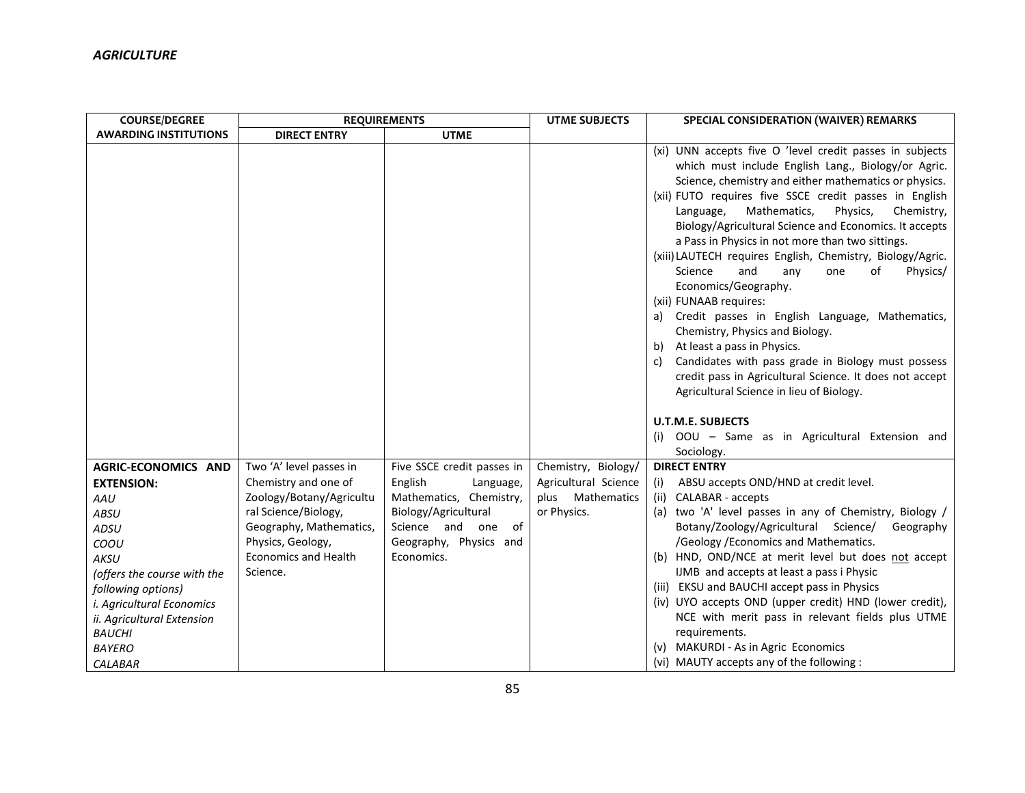| <b>COURSE/DEGREE</b>         | <b>REQUIREMENTS</b>         |                            | <b>UTME SUBJECTS</b> | SPECIAL CONSIDERATION (WAIVER) REMARKS                                                                                                                                                                                                                                                                                                                                                                                                                                                                                                                                                                                                                                                                                                                                                                                                                                                                                                                                     |
|------------------------------|-----------------------------|----------------------------|----------------------|----------------------------------------------------------------------------------------------------------------------------------------------------------------------------------------------------------------------------------------------------------------------------------------------------------------------------------------------------------------------------------------------------------------------------------------------------------------------------------------------------------------------------------------------------------------------------------------------------------------------------------------------------------------------------------------------------------------------------------------------------------------------------------------------------------------------------------------------------------------------------------------------------------------------------------------------------------------------------|
| <b>AWARDING INSTITUTIONS</b> | <b>DIRECT ENTRY</b>         | <b>UTME</b>                |                      |                                                                                                                                                                                                                                                                                                                                                                                                                                                                                                                                                                                                                                                                                                                                                                                                                                                                                                                                                                            |
|                              |                             |                            |                      | (xi) UNN accepts five O 'level credit passes in subjects<br>which must include English Lang., Biology/or Agric.<br>Science, chemistry and either mathematics or physics.<br>(xii) FUTO requires five SSCE credit passes in English<br>Mathematics,<br>Physics,<br>Chemistry,<br>Language,<br>Biology/Agricultural Science and Economics. It accepts<br>a Pass in Physics in not more than two sittings.<br>(xiii) LAUTECH requires English, Chemistry, Biology/Agric.<br>Science<br>and<br>of<br>Physics/<br>any<br>one<br>Economics/Geography.<br>(xii) FUNAAB requires:<br>Credit passes in English Language, Mathematics,<br>a)<br>Chemistry, Physics and Biology.<br>At least a pass in Physics.<br>b)<br>Candidates with pass grade in Biology must possess<br>C)<br>credit pass in Agricultural Science. It does not accept<br>Agricultural Science in lieu of Biology.<br><b>U.T.M.E. SUBJECTS</b><br>(i) OOU - Same as in Agricultural Extension and<br>Sociology. |
| AGRIC-ECONOMICS AND          | Two 'A' level passes in     | Five SSCE credit passes in | Chemistry, Biology/  | <b>DIRECT ENTRY</b>                                                                                                                                                                                                                                                                                                                                                                                                                                                                                                                                                                                                                                                                                                                                                                                                                                                                                                                                                        |
| <b>EXTENSION:</b>            | Chemistry and one of        | English<br>Language,       | Agricultural Science | ABSU accepts OND/HND at credit level.<br>(i)                                                                                                                                                                                                                                                                                                                                                                                                                                                                                                                                                                                                                                                                                                                                                                                                                                                                                                                               |
| AAU                          | Zoology/Botany/Agricultu    | Mathematics, Chemistry,    | plus Mathematics     | CALABAR - accepts<br>(ii)                                                                                                                                                                                                                                                                                                                                                                                                                                                                                                                                                                                                                                                                                                                                                                                                                                                                                                                                                  |
| <b>ABSU</b>                  | ral Science/Biology,        | Biology/Agricultural       | or Physics.          | (a) two 'A' level passes in any of Chemistry, Biology /                                                                                                                                                                                                                                                                                                                                                                                                                                                                                                                                                                                                                                                                                                                                                                                                                                                                                                                    |
| ADSU                         | Geography, Mathematics,     | Science and one of         |                      | Botany/Zoology/Agricultural Science/<br>Geography                                                                                                                                                                                                                                                                                                                                                                                                                                                                                                                                                                                                                                                                                                                                                                                                                                                                                                                          |
| COOU                         | Physics, Geology,           | Geography, Physics and     |                      | /Geology / Economics and Mathematics.                                                                                                                                                                                                                                                                                                                                                                                                                                                                                                                                                                                                                                                                                                                                                                                                                                                                                                                                      |
| AKSU                         | <b>Economics and Health</b> | Economics.                 |                      | (b) HND, OND/NCE at merit level but does not accept                                                                                                                                                                                                                                                                                                                                                                                                                                                                                                                                                                                                                                                                                                                                                                                                                                                                                                                        |
| (offers the course with the  | Science.                    |                            |                      | IJMB and accepts at least a pass i Physic                                                                                                                                                                                                                                                                                                                                                                                                                                                                                                                                                                                                                                                                                                                                                                                                                                                                                                                                  |
| following options)           |                             |                            |                      | (iii) EKSU and BAUCHI accept pass in Physics                                                                                                                                                                                                                                                                                                                                                                                                                                                                                                                                                                                                                                                                                                                                                                                                                                                                                                                               |
| i. Agricultural Economics    |                             |                            |                      | (iv) UYO accepts OND (upper credit) HND (lower credit),                                                                                                                                                                                                                                                                                                                                                                                                                                                                                                                                                                                                                                                                                                                                                                                                                                                                                                                    |
| ii. Agricultural Extension   |                             |                            |                      | NCE with merit pass in relevant fields plus UTME                                                                                                                                                                                                                                                                                                                                                                                                                                                                                                                                                                                                                                                                                                                                                                                                                                                                                                                           |
| <b>BAUCHI</b>                |                             |                            |                      | requirements.                                                                                                                                                                                                                                                                                                                                                                                                                                                                                                                                                                                                                                                                                                                                                                                                                                                                                                                                                              |
| <b>BAYERO</b>                |                             |                            |                      | (v) MAKURDI - As in Agric Economics                                                                                                                                                                                                                                                                                                                                                                                                                                                                                                                                                                                                                                                                                                                                                                                                                                                                                                                                        |
| CALABAR                      |                             |                            |                      | (vi) MAUTY accepts any of the following :                                                                                                                                                                                                                                                                                                                                                                                                                                                                                                                                                                                                                                                                                                                                                                                                                                                                                                                                  |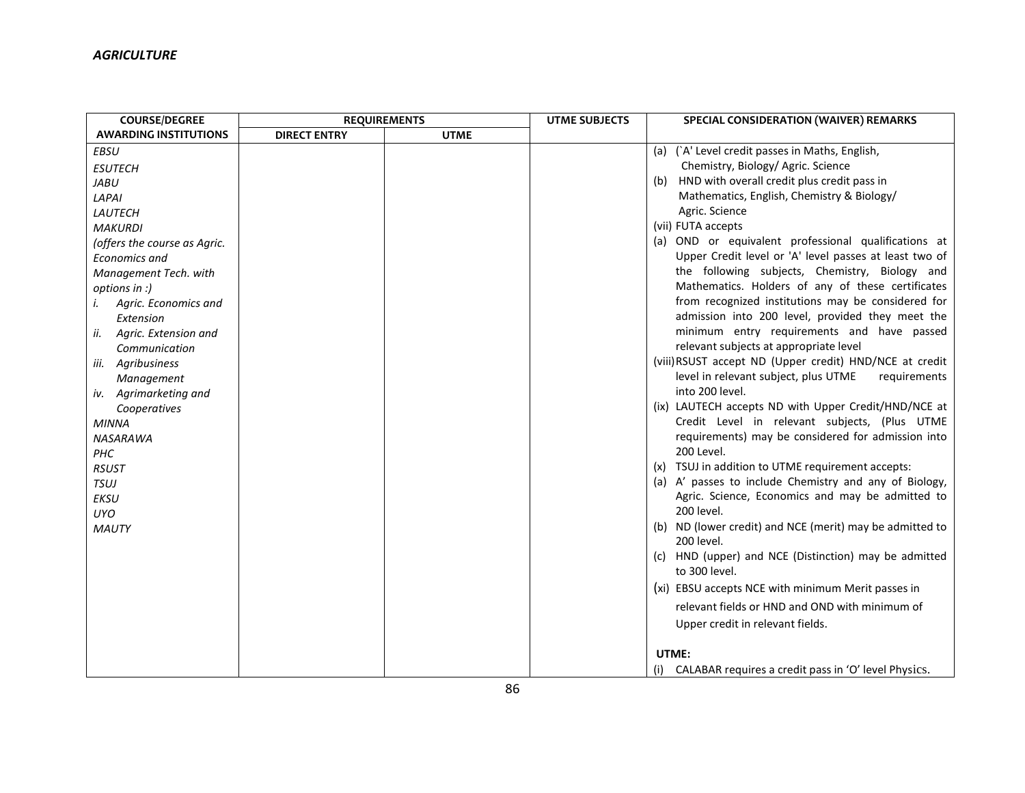| <b>COURSE/DEGREE</b>         | <b>REQUIREMENTS</b> |             | <b>UTME SUBJECTS</b> | SPECIAL CONSIDERATION (WAIVER) REMARKS                                 |
|------------------------------|---------------------|-------------|----------------------|------------------------------------------------------------------------|
| <b>AWARDING INSTITUTIONS</b> | <b>DIRECT ENTRY</b> | <b>UTME</b> |                      |                                                                        |
| <b>EBSU</b>                  |                     |             |                      | (a) (`A' Level credit passes in Maths, English,                        |
| <b>ESUTECH</b>               |                     |             |                      | Chemistry, Biology/ Agric. Science                                     |
| <b>JABU</b>                  |                     |             |                      | HND with overall credit plus credit pass in<br>(b)                     |
| LAPAI                        |                     |             |                      | Mathematics, English, Chemistry & Biology/                             |
| LAUTECH                      |                     |             |                      | Agric. Science                                                         |
| <b>MAKURDI</b>               |                     |             |                      | (vii) FUTA accepts                                                     |
| (offers the course as Agric. |                     |             |                      | (a) OND or equivalent professional qualifications at                   |
| <b>Economics and</b>         |                     |             |                      | Upper Credit level or 'A' level passes at least two of                 |
| Management Tech. with        |                     |             |                      | the following subjects, Chemistry, Biology and                         |
| options in :)                |                     |             |                      | Mathematics. Holders of any of these certificates                      |
| Agric. Economics and<br>i.   |                     |             |                      | from recognized institutions may be considered for                     |
| Extension                    |                     |             |                      | admission into 200 level, provided they meet the                       |
| Agric. Extension and<br>ii.  |                     |             |                      | minimum entry requirements and have passed                             |
| Communication                |                     |             |                      | relevant subjects at appropriate level                                 |
| Agribusiness<br>iii.         |                     |             |                      | (viii) RSUST accept ND (Upper credit) HND/NCE at credit                |
| Management                   |                     |             |                      | level in relevant subject, plus UTME<br>requirements                   |
| Agrimarketing and<br>IV.     |                     |             |                      | into 200 level.                                                        |
| Cooperatives                 |                     |             |                      | (ix) LAUTECH accepts ND with Upper Credit/HND/NCE at                   |
| <b>MINNA</b>                 |                     |             |                      | Credit Level in relevant subjects, (Plus UTME                          |
| <b>NASARAWA</b>              |                     |             |                      | requirements) may be considered for admission into                     |
| PHC                          |                     |             |                      | 200 Level.                                                             |
| <b>RSUST</b>                 |                     |             |                      | (x) TSUJ in addition to UTME requirement accepts:                      |
| <b>TSUJ</b>                  |                     |             |                      | (a) A' passes to include Chemistry and any of Biology,                 |
| <b>EKSU</b>                  |                     |             |                      | Agric. Science, Economics and may be admitted to                       |
| UYO                          |                     |             |                      | 200 level.                                                             |
| <b>MAUTY</b>                 |                     |             |                      | (b) ND (lower credit) and NCE (merit) may be admitted to<br>200 level. |
|                              |                     |             |                      | (c) HND (upper) and NCE (Distinction) may be admitted                  |
|                              |                     |             |                      | to 300 level.                                                          |
|                              |                     |             |                      | (xi) EBSU accepts NCE with minimum Merit passes in                     |
|                              |                     |             |                      | relevant fields or HND and OND with minimum of                         |
|                              |                     |             |                      | Upper credit in relevant fields.                                       |
|                              |                     |             |                      | UTME:                                                                  |
|                              |                     |             |                      | (i) CALABAR requires a credit pass in 'O' level Physics.               |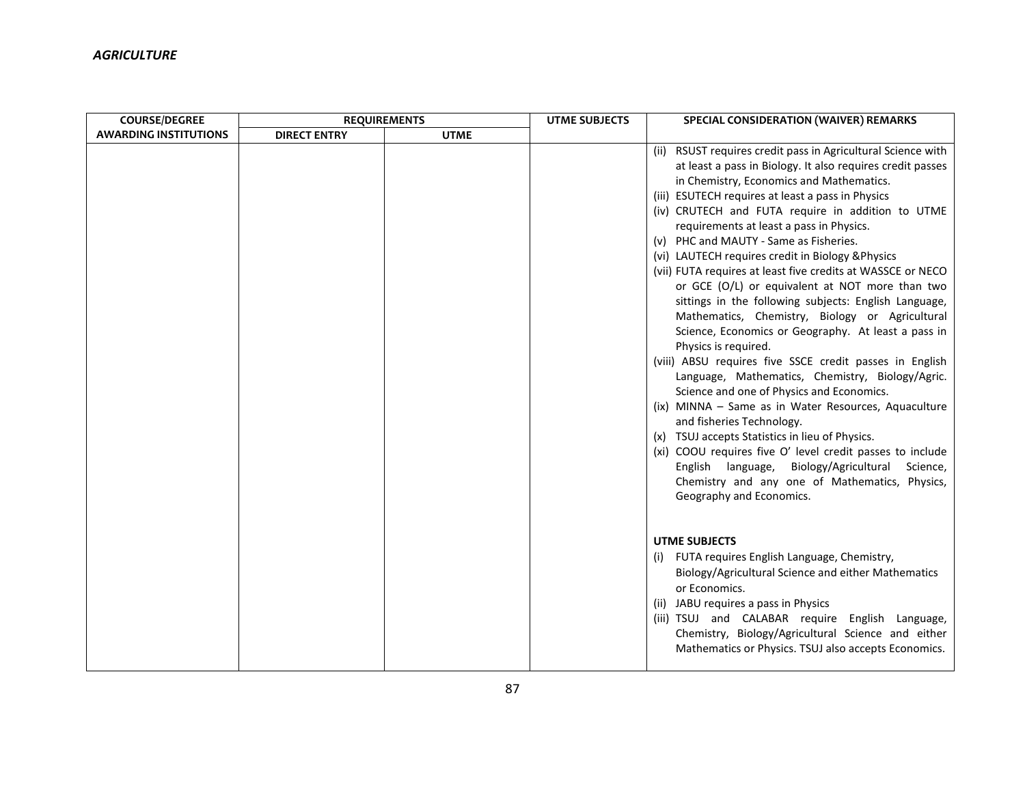| <b>COURSE/DEGREE</b>         | <b>REQUIREMENTS</b> |             | <b>UTME SUBJECTS</b> | SPECIAL CONSIDERATION (WAIVER) REMARKS                                                                                                                                                                                                                                                                                                                                                                                                                                                                                                                                                                                                                                                                                                                                                                                                                                                                                                                                                                                                                                                                                                                                                                                                        |
|------------------------------|---------------------|-------------|----------------------|-----------------------------------------------------------------------------------------------------------------------------------------------------------------------------------------------------------------------------------------------------------------------------------------------------------------------------------------------------------------------------------------------------------------------------------------------------------------------------------------------------------------------------------------------------------------------------------------------------------------------------------------------------------------------------------------------------------------------------------------------------------------------------------------------------------------------------------------------------------------------------------------------------------------------------------------------------------------------------------------------------------------------------------------------------------------------------------------------------------------------------------------------------------------------------------------------------------------------------------------------|
| <b>AWARDING INSTITUTIONS</b> | <b>DIRECT ENTRY</b> | <b>UTME</b> |                      |                                                                                                                                                                                                                                                                                                                                                                                                                                                                                                                                                                                                                                                                                                                                                                                                                                                                                                                                                                                                                                                                                                                                                                                                                                               |
|                              |                     |             |                      | (ii) RSUST requires credit pass in Agricultural Science with<br>at least a pass in Biology. It also requires credit passes<br>in Chemistry, Economics and Mathematics.<br>(iii) ESUTECH requires at least a pass in Physics<br>(iv) CRUTECH and FUTA require in addition to UTME<br>requirements at least a pass in Physics.<br>(v) PHC and MAUTY - Same as Fisheries.<br>(vi) LAUTECH requires credit in Biology & Physics<br>(vii) FUTA requires at least five credits at WASSCE or NECO<br>or GCE (O/L) or equivalent at NOT more than two<br>sittings in the following subjects: English Language,<br>Mathematics, Chemistry, Biology or Agricultural<br>Science, Economics or Geography. At least a pass in<br>Physics is required.<br>(viii) ABSU requires five SSCE credit passes in English<br>Language, Mathematics, Chemistry, Biology/Agric.<br>Science and one of Physics and Economics.<br>(ix) MINNA - Same as in Water Resources, Aquaculture<br>and fisheries Technology.<br>(x) TSUJ accepts Statistics in lieu of Physics.<br>(xi) COOU requires five O' level credit passes to include<br>English language, Biology/Agricultural<br>Science,<br>Chemistry and any one of Mathematics, Physics,<br>Geography and Economics. |
|                              |                     |             |                      | <b>UTME SUBJECTS</b><br>(i) FUTA requires English Language, Chemistry,<br>Biology/Agricultural Science and either Mathematics<br>or Economics.<br>(ii) JABU requires a pass in Physics<br>(iii) TSUJ and CALABAR require English Language,<br>Chemistry, Biology/Agricultural Science and either<br>Mathematics or Physics. TSUJ also accepts Economics.                                                                                                                                                                                                                                                                                                                                                                                                                                                                                                                                                                                                                                                                                                                                                                                                                                                                                      |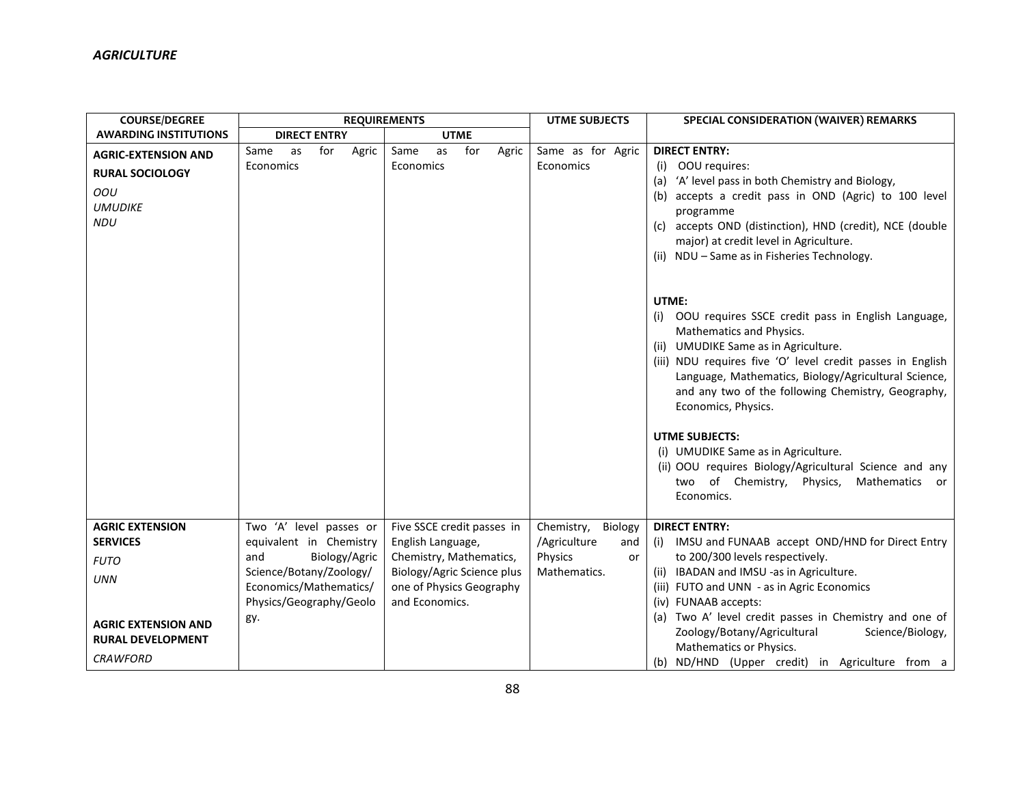| <b>COURSE/DEGREE</b>                |                            | <b>REQUIREMENTS</b>        | <b>UTME SUBJECTS</b>  | SPECIAL CONSIDERATION (WAIVER) REMARKS                                                                                                                                                                                                                                                                                                                                                                                                                                                                                            |
|-------------------------------------|----------------------------|----------------------------|-----------------------|-----------------------------------------------------------------------------------------------------------------------------------------------------------------------------------------------------------------------------------------------------------------------------------------------------------------------------------------------------------------------------------------------------------------------------------------------------------------------------------------------------------------------------------|
| <b>AWARDING INSTITUTIONS</b>        | <b>DIRECT ENTRY</b>        | <b>UTME</b>                |                       |                                                                                                                                                                                                                                                                                                                                                                                                                                                                                                                                   |
| <b>AGRIC-EXTENSION AND</b>          | Same<br>for<br>Agric<br>as | for<br>Same<br>Agric<br>as | Same as for Agric     | <b>DIRECT ENTRY:</b>                                                                                                                                                                                                                                                                                                                                                                                                                                                                                                              |
| <b>RURAL SOCIOLOGY</b>              | Economics                  | Economics                  | Economics             | OOU requires:<br>(i)                                                                                                                                                                                                                                                                                                                                                                                                                                                                                                              |
| OOU<br><b>UMUDIKE</b><br><b>NDU</b> |                            |                            |                       | 'A' level pass in both Chemistry and Biology,<br>(a)<br>accepts a credit pass in OND (Agric) to 100 level<br>(b)<br>programme<br>accepts OND (distinction), HND (credit), NCE (double<br>(c)<br>major) at credit level in Agriculture.<br>(ii) NDU - Same as in Fisheries Technology.                                                                                                                                                                                                                                             |
|                                     |                            |                            |                       | UTME:<br>OOU requires SSCE credit pass in English Language,<br>(i)<br>Mathematics and Physics.<br>(ii) UMUDIKE Same as in Agriculture.<br>(iii) NDU requires five 'O' level credit passes in English<br>Language, Mathematics, Biology/Agricultural Science,<br>and any two of the following Chemistry, Geography,<br>Economics, Physics.<br><b>UTME SUBJECTS:</b><br>(i) UMUDIKE Same as in Agriculture.<br>(ii) OOU requires Biology/Agricultural Science and any<br>two of Chemistry, Physics,<br>Mathematics or<br>Economics. |
| <b>AGRIC EXTENSION</b>              | Two 'A' level passes or    | Five SSCE credit passes in | Chemistry,<br>Biology | <b>DIRECT ENTRY:</b>                                                                                                                                                                                                                                                                                                                                                                                                                                                                                                              |
| <b>SERVICES</b>                     | equivalent in Chemistry    | English Language,          | /Agriculture<br>and   | IMSU and FUNAAB accept OND/HND for Direct Entry<br>(i)                                                                                                                                                                                                                                                                                                                                                                                                                                                                            |
| <b>FUTO</b>                         | Biology/Agric<br>and       | Chemistry, Mathematics,    | Physics<br>or         | to 200/300 levels respectively.                                                                                                                                                                                                                                                                                                                                                                                                                                                                                                   |
| <b>UNN</b>                          | Science/Botany/Zoology/    | Biology/Agric Science plus | Mathematics.          | (ii) IBADAN and IMSU -as in Agriculture.                                                                                                                                                                                                                                                                                                                                                                                                                                                                                          |
|                                     | Economics/Mathematics/     | one of Physics Geography   |                       | (iii) FUTO and UNN - as in Agric Economics                                                                                                                                                                                                                                                                                                                                                                                                                                                                                        |
|                                     | Physics/Geography/Geolo    | and Economics.             |                       | (iv) FUNAAB accepts:                                                                                                                                                                                                                                                                                                                                                                                                                                                                                                              |
| <b>AGRIC EXTENSION AND</b>          | gy.                        |                            |                       | (a) Two A' level credit passes in Chemistry and one of                                                                                                                                                                                                                                                                                                                                                                                                                                                                            |
| <b>RURAL DEVELOPMENT</b>            |                            |                            |                       | Zoology/Botany/Agricultural<br>Science/Biology,<br>Mathematics or Physics.                                                                                                                                                                                                                                                                                                                                                                                                                                                        |
| <b>CRAWFORD</b>                     |                            |                            |                       | (b) ND/HND (Upper credit) in Agriculture from a                                                                                                                                                                                                                                                                                                                                                                                                                                                                                   |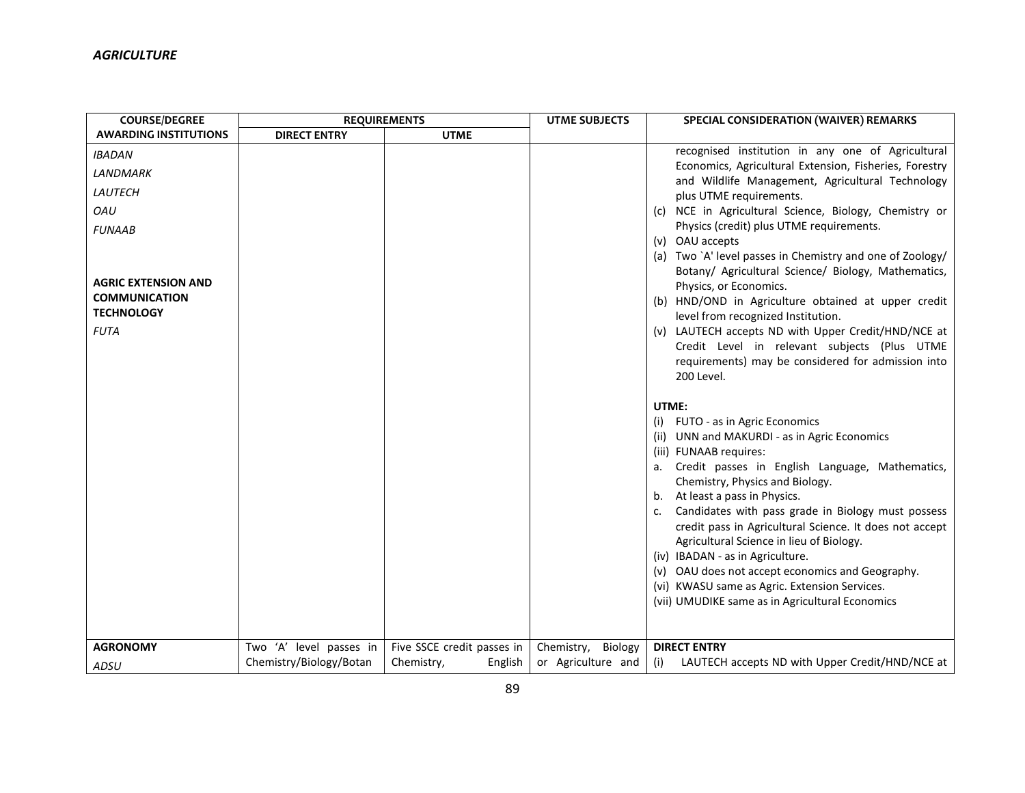| <b>COURSE/DEGREE</b>                      |                         | <b>REQUIREMENTS</b>        | <b>UTME SUBJECTS</b> | SPECIAL CONSIDERATION (WAIVER) REMARKS                                                                     |
|-------------------------------------------|-------------------------|----------------------------|----------------------|------------------------------------------------------------------------------------------------------------|
| <b>AWARDING INSTITUTIONS</b>              | <b>DIRECT ENTRY</b>     | <b>UTME</b>                |                      |                                                                                                            |
| <b>IBADAN</b>                             |                         |                            |                      | recognised institution in any one of Agricultural                                                          |
| LANDMARK                                  |                         |                            |                      | Economics, Agricultural Extension, Fisheries, Forestry<br>and Wildlife Management, Agricultural Technology |
| LAUTECH                                   |                         |                            |                      | plus UTME requirements.                                                                                    |
| OAU                                       |                         |                            |                      | NCE in Agricultural Science, Biology, Chemistry or<br>(C)                                                  |
| <b>FUNAAB</b>                             |                         |                            |                      | Physics (credit) plus UTME requirements.                                                                   |
|                                           |                         |                            |                      | (v) OAU accepts<br>Two `A' level passes in Chemistry and one of Zoology/<br>(a)                            |
|                                           |                         |                            |                      | Botany/ Agricultural Science/ Biology, Mathematics,                                                        |
| <b>AGRIC EXTENSION AND</b>                |                         |                            |                      | Physics, or Economics.                                                                                     |
| <b>COMMUNICATION</b><br><b>TECHNOLOGY</b> |                         |                            |                      | HND/OND in Agriculture obtained at upper credit<br>(b)                                                     |
| <b>FUTA</b>                               |                         |                            |                      | level from recognized Institution.<br>(v) LAUTECH accepts ND with Upper Credit/HND/NCE at                  |
|                                           |                         |                            |                      | Credit Level in relevant subjects (Plus UTME                                                               |
|                                           |                         |                            |                      | requirements) may be considered for admission into                                                         |
|                                           |                         |                            |                      | 200 Level.                                                                                                 |
|                                           |                         |                            |                      | UTME:                                                                                                      |
|                                           |                         |                            |                      | FUTO - as in Agric Economics<br>(i)                                                                        |
|                                           |                         |                            |                      | (ii) UNN and MAKURDI - as in Agric Economics                                                               |
|                                           |                         |                            |                      | (iii) FUNAAB requires:                                                                                     |
|                                           |                         |                            |                      | Credit passes in English Language, Mathematics,<br>а.                                                      |
|                                           |                         |                            |                      | Chemistry, Physics and Biology.<br>At least a pass in Physics.<br>b.                                       |
|                                           |                         |                            |                      | Candidates with pass grade in Biology must possess<br>c.                                                   |
|                                           |                         |                            |                      | credit pass in Agricultural Science. It does not accept                                                    |
|                                           |                         |                            |                      | Agricultural Science in lieu of Biology.                                                                   |
|                                           |                         |                            |                      | (iv) IBADAN - as in Agriculture.                                                                           |
|                                           |                         |                            |                      | (v) OAU does not accept economics and Geography.<br>(vi) KWASU same as Agric. Extension Services.          |
|                                           |                         |                            |                      | (vii) UMUDIKE same as in Agricultural Economics                                                            |
|                                           |                         |                            |                      |                                                                                                            |
|                                           |                         |                            |                      |                                                                                                            |
| <b>AGRONOMY</b>                           | Two 'A' level passes in | Five SSCE credit passes in | Chemistry, Biology   | <b>DIRECT ENTRY</b>                                                                                        |
| ADSU                                      | Chemistry/Biology/Botan | English<br>Chemistry,      | or Agriculture and   | LAUTECH accepts ND with Upper Credit/HND/NCE at<br>(i)                                                     |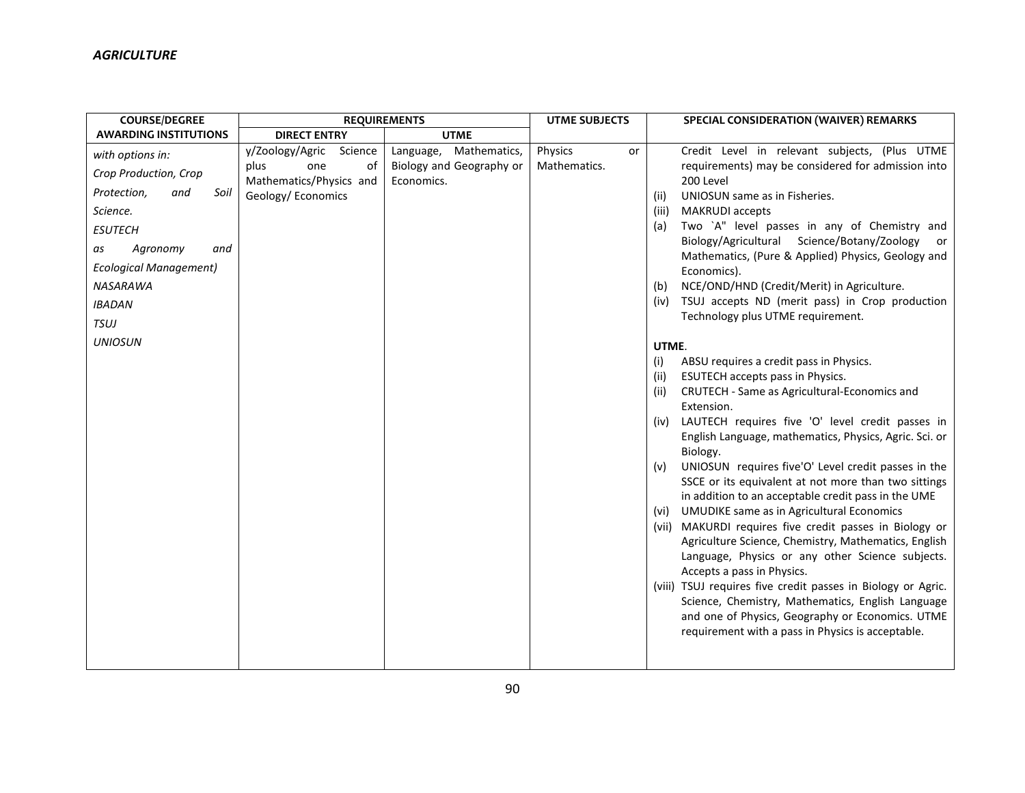| <b>COURSE/DEGREE</b>                                                                                                                                                                                                                 |                                                                                                 | <b>REQUIREMENTS</b>                                                 | <b>UTME SUBJECTS</b>          | SPECIAL CONSIDERATION (WAIVER) REMARKS                                                                                                                                                                                                                                                                                                                                                                                                                                                                                                                                                                                                                                                                                                                                                                                                                                                                                                                                                                                                                                                                                                                                                                                                                                                                                                                                                                                                                                    |
|--------------------------------------------------------------------------------------------------------------------------------------------------------------------------------------------------------------------------------------|-------------------------------------------------------------------------------------------------|---------------------------------------------------------------------|-------------------------------|---------------------------------------------------------------------------------------------------------------------------------------------------------------------------------------------------------------------------------------------------------------------------------------------------------------------------------------------------------------------------------------------------------------------------------------------------------------------------------------------------------------------------------------------------------------------------------------------------------------------------------------------------------------------------------------------------------------------------------------------------------------------------------------------------------------------------------------------------------------------------------------------------------------------------------------------------------------------------------------------------------------------------------------------------------------------------------------------------------------------------------------------------------------------------------------------------------------------------------------------------------------------------------------------------------------------------------------------------------------------------------------------------------------------------------------------------------------------------|
| <b>AWARDING INSTITUTIONS</b>                                                                                                                                                                                                         | <b>DIRECT ENTRY</b>                                                                             | <b>UTME</b>                                                         |                               |                                                                                                                                                                                                                                                                                                                                                                                                                                                                                                                                                                                                                                                                                                                                                                                                                                                                                                                                                                                                                                                                                                                                                                                                                                                                                                                                                                                                                                                                           |
| with options in:<br>Crop Production, Crop<br>Protection,<br>and<br>Soil<br>Science.<br><b>ESUTECH</b><br>Agronomy<br>and<br>as<br><b>Ecological Management)</b><br><b>NASARAWA</b><br><b>IBADAN</b><br><b>TSUJ</b><br><b>UNIOSUN</b> | y/Zoology/Agric<br>Science<br>plus<br>one<br>οf<br>Mathematics/Physics and<br>Geology/Economics | Language,<br>Mathematics,<br>Biology and Geography or<br>Economics. | Physics<br>or<br>Mathematics. | Credit Level in relevant subjects, (Plus UTME<br>requirements) may be considered for admission into<br>200 Level<br>UNIOSUN same as in Fisheries.<br>(ii)<br><b>MAKRUDI</b> accepts<br>(iii)<br>Two `A" level passes in any of Chemistry and<br>(a)<br>Biology/Agricultural Science/Botany/Zoology<br>or<br>Mathematics, (Pure & Applied) Physics, Geology and<br>Economics).<br>NCE/OND/HND (Credit/Merit) in Agriculture.<br>(b)<br>TSUJ accepts ND (merit pass) in Crop production<br>(iv)<br>Technology plus UTME requirement.<br>UTME.<br>ABSU requires a credit pass in Physics.<br>(i)<br>ESUTECH accepts pass in Physics.<br>(iii)<br>CRUTECH - Same as Agricultural-Economics and<br>(ii)<br>Extension.<br>LAUTECH requires five 'O' level credit passes in<br>(iv)<br>English Language, mathematics, Physics, Agric. Sci. or<br>Biology.<br>UNIOSUN requires five'O' Level credit passes in the<br>(v)<br>SSCE or its equivalent at not more than two sittings<br>in addition to an acceptable credit pass in the UME<br><b>UMUDIKE same as in Agricultural Economics</b><br>(vi)<br>(vii) MAKURDI requires five credit passes in Biology or<br>Agriculture Science, Chemistry, Mathematics, English<br>Language, Physics or any other Science subjects.<br>Accepts a pass in Physics.<br>(viii) TSUJ requires five credit passes in Biology or Agric.<br>Science, Chemistry, Mathematics, English Language<br>and one of Physics, Geography or Economics. UTME |
|                                                                                                                                                                                                                                      |                                                                                                 |                                                                     |                               | requirement with a pass in Physics is acceptable.                                                                                                                                                                                                                                                                                                                                                                                                                                                                                                                                                                                                                                                                                                                                                                                                                                                                                                                                                                                                                                                                                                                                                                                                                                                                                                                                                                                                                         |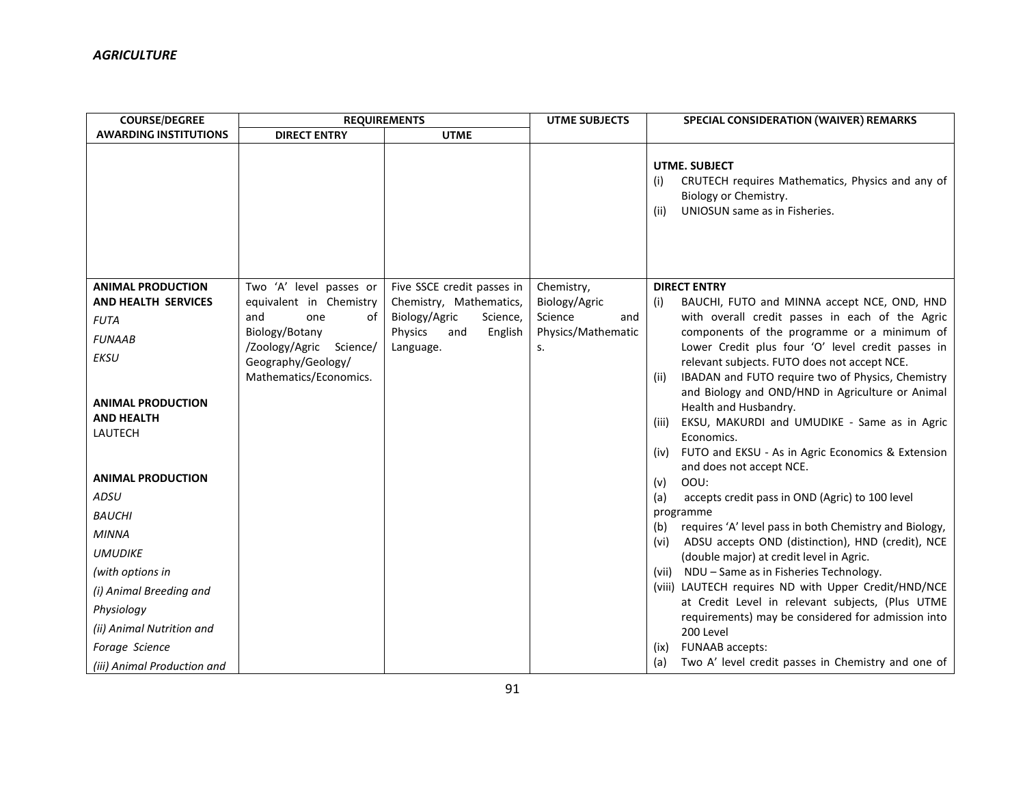| <b>COURSE/DEGREE</b>         | <b>REQUIREMENTS</b>                |                                                        | <b>UTME SUBJECTS</b>                 | SPECIAL CONSIDERATION (WAIVER) REMARKS                                                                                                            |
|------------------------------|------------------------------------|--------------------------------------------------------|--------------------------------------|---------------------------------------------------------------------------------------------------------------------------------------------------|
| <b>AWARDING INSTITUTIONS</b> | <b>DIRECT ENTRY</b>                | <b>UTME</b>                                            |                                      |                                                                                                                                                   |
|                              |                                    |                                                        |                                      | <b>UTME. SUBJECT</b><br>CRUTECH requires Mathematics, Physics and any of<br>(i)<br>Biology or Chemistry.<br>UNIOSUN same as in Fisheries.<br>(ii) |
| <b>ANIMAL PRODUCTION</b>     | Two 'A' level passes or            | Five SSCE credit passes in                             | Chemistry,                           | <b>DIRECT ENTRY</b>                                                                                                                               |
| <b>AND HEALTH SERVICES</b>   | equivalent in Chemistry            | Chemistry, Mathematics,                                | Biology/Agric                        | BAUCHI, FUTO and MINNA accept NCE, OND, HND<br>(i)                                                                                                |
| <b>FUTA</b>                  | and<br>0f<br>one<br>Biology/Botany | Biology/Agric<br>Science,<br>Physics<br>English<br>and | Science<br>and<br>Physics/Mathematic | with overall credit passes in each of the Agric<br>components of the programme or a minimum of                                                    |
| <b>FUNAAB</b>                | /Zoology/Agric Science/            | Language.                                              | S.                                   | Lower Credit plus four 'O' level credit passes in                                                                                                 |
| <b>EKSU</b>                  | Geography/Geology/                 |                                                        |                                      | relevant subjects. FUTO does not accept NCE.                                                                                                      |
|                              | Mathematics/Economics.             |                                                        |                                      | IBADAN and FUTO require two of Physics, Chemistry<br>(ii)                                                                                         |
| <b>ANIMAL PRODUCTION</b>     |                                    |                                                        |                                      | and Biology and OND/HND in Agriculture or Animal                                                                                                  |
| <b>AND HEALTH</b>            |                                    |                                                        |                                      | Health and Husbandry.<br>EKSU, MAKURDI and UMUDIKE - Same as in Agric<br>(iii)                                                                    |
| <b>LAUTECH</b>               |                                    |                                                        |                                      | Economics.                                                                                                                                        |
|                              |                                    |                                                        |                                      | FUTO and EKSU - As in Agric Economics & Extension<br>(iv)                                                                                         |
|                              |                                    |                                                        |                                      | and does not accept NCE.                                                                                                                          |
| <b>ANIMAL PRODUCTION</b>     |                                    |                                                        |                                      | OOU:<br>(v)                                                                                                                                       |
| <b>ADSU</b>                  |                                    |                                                        |                                      | (a)<br>accepts credit pass in OND (Agric) to 100 level                                                                                            |
| <b>BAUCHI</b>                |                                    |                                                        |                                      | programme<br>requires 'A' level pass in both Chemistry and Biology,<br>(b)                                                                        |
| <b>MINNA</b>                 |                                    |                                                        |                                      | ADSU accepts OND (distinction), HND (credit), NCE<br>(vi)                                                                                         |
| <b>UMUDIKE</b>               |                                    |                                                        |                                      | (double major) at credit level in Agric.                                                                                                          |
| (with options in             |                                    |                                                        |                                      | (vii) NDU - Same as in Fisheries Technology.                                                                                                      |
| (i) Animal Breeding and      |                                    |                                                        |                                      | (viii) LAUTECH requires ND with Upper Credit/HND/NCE                                                                                              |
| Physiology                   |                                    |                                                        |                                      | at Credit Level in relevant subjects, (Plus UTME<br>requirements) may be considered for admission into                                            |
| (ii) Animal Nutrition and    |                                    |                                                        |                                      | 200 Level                                                                                                                                         |
| Forage Science               |                                    |                                                        |                                      | FUNAAB accepts:<br>(ix)                                                                                                                           |
| (iii) Animal Production and  |                                    |                                                        |                                      | Two A' level credit passes in Chemistry and one of<br>(a)                                                                                         |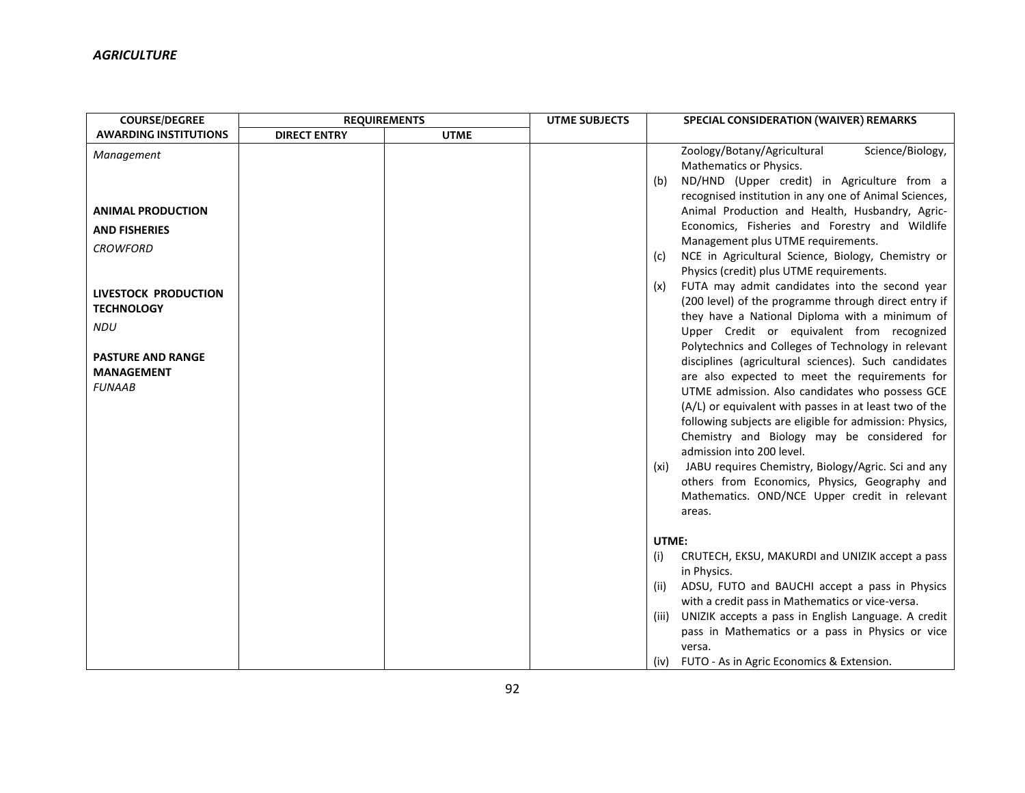| <b>COURSE/DEGREE</b>                                                                                                                                                                                           | <b>REQUIREMENTS</b> |             | <b>UTME SUBJECTS</b> | SPECIAL CONSIDERATION (WAIVER) REMARKS                                                                                                                                                                                                                                                                                                                                                                                                                                                                                                                                                                                                                                                                                                                                                                                                                                                                                                                                                                                                                                                                                                                                                                                                                         |
|----------------------------------------------------------------------------------------------------------------------------------------------------------------------------------------------------------------|---------------------|-------------|----------------------|----------------------------------------------------------------------------------------------------------------------------------------------------------------------------------------------------------------------------------------------------------------------------------------------------------------------------------------------------------------------------------------------------------------------------------------------------------------------------------------------------------------------------------------------------------------------------------------------------------------------------------------------------------------------------------------------------------------------------------------------------------------------------------------------------------------------------------------------------------------------------------------------------------------------------------------------------------------------------------------------------------------------------------------------------------------------------------------------------------------------------------------------------------------------------------------------------------------------------------------------------------------|
| <b>AWARDING INSTITUTIONS</b>                                                                                                                                                                                   | <b>DIRECT ENTRY</b> | <b>UTME</b> |                      |                                                                                                                                                                                                                                                                                                                                                                                                                                                                                                                                                                                                                                                                                                                                                                                                                                                                                                                                                                                                                                                                                                                                                                                                                                                                |
| Management<br><b>ANIMAL PRODUCTION</b><br><b>AND FISHERIES</b><br><b>CROWFORD</b><br>LIVESTOCK PRODUCTION<br><b>TECHNOLOGY</b><br><b>NDU</b><br><b>PASTURE AND RANGE</b><br><b>MANAGEMENT</b><br><b>FUNAAB</b> |                     |             |                      | Zoology/Botany/Agricultural<br>Science/Biology,<br>Mathematics or Physics.<br>ND/HND (Upper credit) in Agriculture from a<br>(b)<br>recognised institution in any one of Animal Sciences,<br>Animal Production and Health, Husbandry, Agric-<br>Economics, Fisheries and Forestry and Wildlife<br>Management plus UTME requirements.<br>NCE in Agricultural Science, Biology, Chemistry or<br>(C)<br>Physics (credit) plus UTME requirements.<br>FUTA may admit candidates into the second year<br>(x)<br>(200 level) of the programme through direct entry if<br>they have a National Diploma with a minimum of<br>Upper Credit or equivalent from recognized<br>Polytechnics and Colleges of Technology in relevant<br>disciplines (agricultural sciences). Such candidates<br>are also expected to meet the requirements for<br>UTME admission. Also candidates who possess GCE<br>(A/L) or equivalent with passes in at least two of the<br>following subjects are eligible for admission: Physics,<br>Chemistry and Biology may be considered for<br>admission into 200 level.<br>JABU requires Chemistry, Biology/Agric. Sci and any<br>(xi)<br>others from Economics, Physics, Geography and<br>Mathematics. OND/NCE Upper credit in relevant<br>areas. |
|                                                                                                                                                                                                                |                     |             |                      | UTME:<br>CRUTECH, EKSU, MAKURDI and UNIZIK accept a pass<br>(i)<br>in Physics.<br>ADSU, FUTO and BAUCHI accept a pass in Physics<br>(ii)<br>with a credit pass in Mathematics or vice-versa.<br>UNIZIK accepts a pass in English Language. A credit<br>(iii)<br>pass in Mathematics or a pass in Physics or vice<br>versa.<br>(iv) FUTO - As in Agric Economics & Extension.                                                                                                                                                                                                                                                                                                                                                                                                                                                                                                                                                                                                                                                                                                                                                                                                                                                                                   |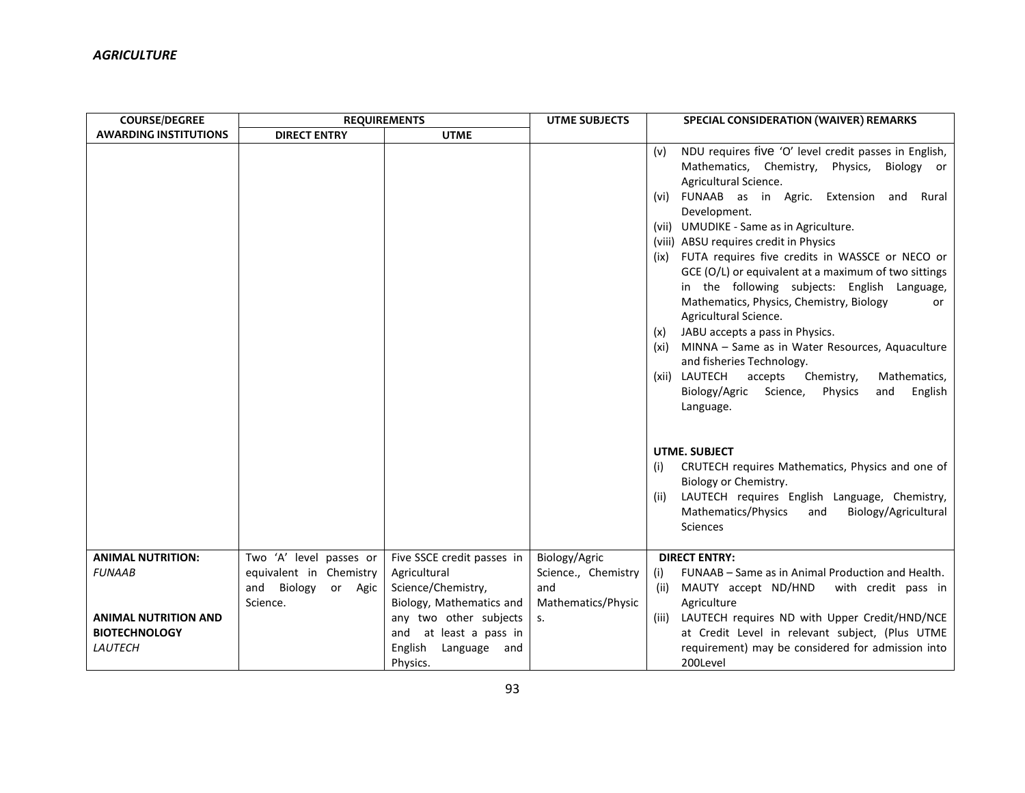| <b>COURSE/DEGREE</b>                                           | <b>REQUIREMENTS</b>                                        |                                                                                         | <b>UTME SUBJECTS</b>                             | <b>SPECIAL CONSIDERATION (WAIVER) REMARKS</b>                                                                                                                                                                                                                                                                                                                                                                                                                                                                                                                                                                                                                                                                                                                                                                       |
|----------------------------------------------------------------|------------------------------------------------------------|-----------------------------------------------------------------------------------------|--------------------------------------------------|---------------------------------------------------------------------------------------------------------------------------------------------------------------------------------------------------------------------------------------------------------------------------------------------------------------------------------------------------------------------------------------------------------------------------------------------------------------------------------------------------------------------------------------------------------------------------------------------------------------------------------------------------------------------------------------------------------------------------------------------------------------------------------------------------------------------|
| <b>AWARDING INSTITUTIONS</b>                                   | <b>DIRECT ENTRY</b>                                        | <b>UTME</b>                                                                             |                                                  |                                                                                                                                                                                                                                                                                                                                                                                                                                                                                                                                                                                                                                                                                                                                                                                                                     |
|                                                                |                                                            |                                                                                         |                                                  | NDU requires five 'O' level credit passes in English,<br>(v)<br>Mathematics, Chemistry,<br>Physics, Biology or<br>Agricultural Science.<br>(vi) FUNAAB as in Agric.<br>Extension<br>and<br>Rural<br>Development.<br>(vii) UMUDIKE - Same as in Agriculture.<br>(viii) ABSU requires credit in Physics<br>(ix) FUTA requires five credits in WASSCE or NECO or<br>GCE (O/L) or equivalent at a maximum of two sittings<br>in the following subjects: English Language,<br>Mathematics, Physics, Chemistry, Biology<br>or<br>Agricultural Science.<br>JABU accepts a pass in Physics.<br>(x)<br>MINNA - Same as in Water Resources, Aquaculture<br>(xi)<br>and fisheries Technology.<br>(xii) LAUTECH<br>accepts<br>Chemistry,<br>Mathematics,<br>Biology/Agric<br>Science,<br>Physics<br>and<br>English<br>Language. |
|                                                                |                                                            |                                                                                         |                                                  | UTME. SUBJECT<br>CRUTECH requires Mathematics, Physics and one of<br>(i)<br>Biology or Chemistry.<br>LAUTECH requires English Language, Chemistry,<br>(ii)<br>Mathematics/Physics<br>Biology/Agricultural<br>and<br>Sciences                                                                                                                                                                                                                                                                                                                                                                                                                                                                                                                                                                                        |
| <b>ANIMAL NUTRITION:</b>                                       | Two 'A' level passes or                                    | Five SSCE credit passes in                                                              | Biology/Agric                                    | <b>DIRECT ENTRY:</b>                                                                                                                                                                                                                                                                                                                                                                                                                                                                                                                                                                                                                                                                                                                                                                                                |
| <b>FUNAAB</b>                                                  | equivalent in Chemistry<br>and Biology or Agic<br>Science. | Agricultural<br>Science/Chemistry,<br>Biology, Mathematics and                          | Science., Chemistry<br>and<br>Mathematics/Physic | FUNAAB – Same as in Animal Production and Health.<br>(i)<br>MAUTY accept ND/HND<br>(ii)<br>with credit pass in<br>Agriculture                                                                                                                                                                                                                                                                                                                                                                                                                                                                                                                                                                                                                                                                                       |
| <b>ANIMAL NUTRITION AND</b><br><b>BIOTECHNOLOGY</b><br>LAUTECH |                                                            | any two other subjects<br>and at least a pass in<br>English<br>Language and<br>Physics. | S.                                               | LAUTECH requires ND with Upper Credit/HND/NCE<br>(iii)<br>at Credit Level in relevant subject, (Plus UTME<br>requirement) may be considered for admission into<br>200Level                                                                                                                                                                                                                                                                                                                                                                                                                                                                                                                                                                                                                                          |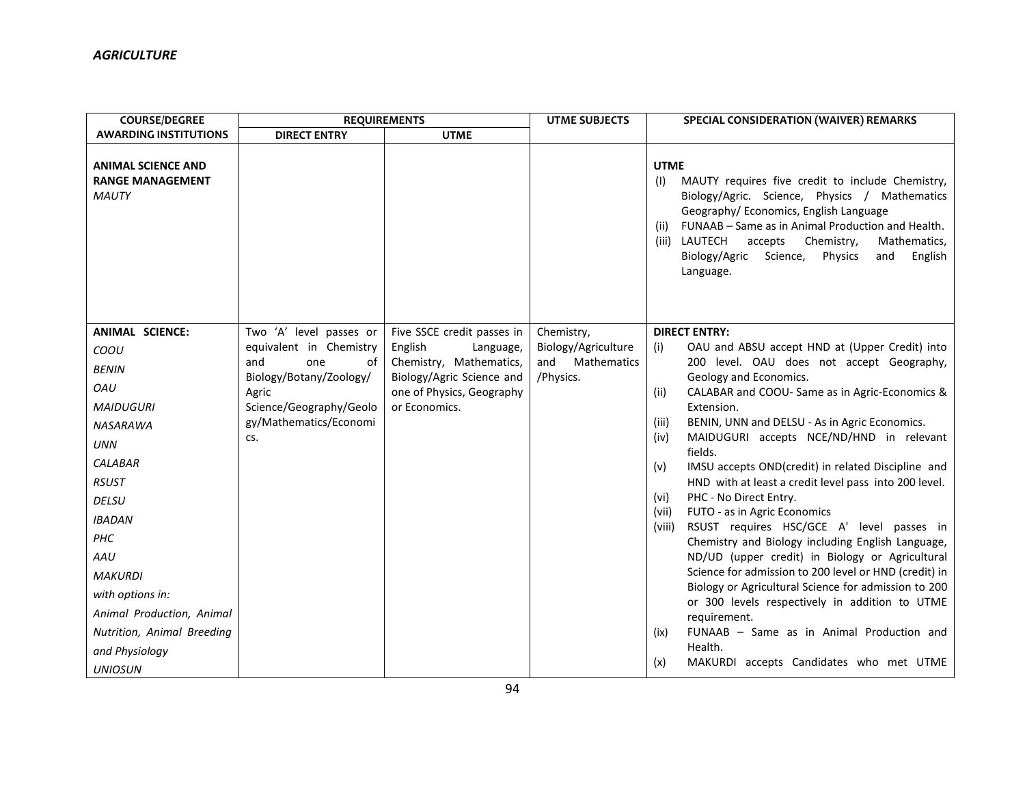| <b>COURSE/DEGREE</b>                                                                                                                                                                                                                                                                                                             | <b>REQUIREMENTS</b>                                                                                                                                                    |                                                                                                                                                          | <b>UTME SUBJECTS</b>                                                        | SPECIAL CONSIDERATION (WAIVER) REMARKS                                                                                                                                                                                                                                                                                                                                                                                                                                                                                                                                                                                                                                                                                                                                                                                                                                                                                                                                                                                     |
|----------------------------------------------------------------------------------------------------------------------------------------------------------------------------------------------------------------------------------------------------------------------------------------------------------------------------------|------------------------------------------------------------------------------------------------------------------------------------------------------------------------|----------------------------------------------------------------------------------------------------------------------------------------------------------|-----------------------------------------------------------------------------|----------------------------------------------------------------------------------------------------------------------------------------------------------------------------------------------------------------------------------------------------------------------------------------------------------------------------------------------------------------------------------------------------------------------------------------------------------------------------------------------------------------------------------------------------------------------------------------------------------------------------------------------------------------------------------------------------------------------------------------------------------------------------------------------------------------------------------------------------------------------------------------------------------------------------------------------------------------------------------------------------------------------------|
| <b>AWARDING INSTITUTIONS</b>                                                                                                                                                                                                                                                                                                     | <b>DIRECT ENTRY</b>                                                                                                                                                    | <b>UTME</b>                                                                                                                                              |                                                                             |                                                                                                                                                                                                                                                                                                                                                                                                                                                                                                                                                                                                                                                                                                                                                                                                                                                                                                                                                                                                                            |
| <b>ANIMAL SCIENCE AND</b><br><b>RANGE MANAGEMENT</b><br><b>MAUTY</b>                                                                                                                                                                                                                                                             |                                                                                                                                                                        |                                                                                                                                                          |                                                                             | <b>UTME</b><br>MAUTY requires five credit to include Chemistry,<br>(1)<br>Biology/Agric. Science, Physics / Mathematics<br>Geography/ Economics, English Language<br>FUNAAB - Same as in Animal Production and Health.<br>(ii)<br>(iii) LAUTECH<br>accepts<br>Chemistry,<br>Mathematics,<br>Biology/Agric<br>Science,<br>English<br>Physics<br>and<br>Language.                                                                                                                                                                                                                                                                                                                                                                                                                                                                                                                                                                                                                                                            |
| <b>ANIMAL SCIENCE:</b><br>COOU<br><b>BENIN</b><br>OAU<br><b>MAIDUGURI</b><br><b>NASARAWA</b><br><b>UNN</b><br><b>CALABAR</b><br><b>RSUST</b><br><b>DELSU</b><br><b>IBADAN</b><br>PHC<br>AAU<br><b>MAKURDI</b><br>with options in:<br>Animal Production, Animal<br>Nutrition, Animal Breeding<br>and Physiology<br><b>UNIOSUN</b> | Two 'A' level passes or<br>equivalent in Chemistry<br>and<br>0f<br>one<br>Biology/Botany/Zoology/<br>Agric<br>Science/Geography/Geolo<br>gy/Mathematics/Economi<br>CS. | Five SSCE credit passes in<br>English<br>Language,<br>Chemistry, Mathematics,<br>Biology/Agric Science and<br>one of Physics, Geography<br>or Economics. | Chemistry,<br>Biology/Agriculture<br><b>Mathematics</b><br>and<br>/Physics. | <b>DIRECT ENTRY:</b><br>OAU and ABSU accept HND at (Upper Credit) into<br>(i)<br>200 level. OAU does not accept Geography,<br>Geology and Economics.<br>CALABAR and COOU- Same as in Agric-Economics &<br>(ii)<br>Extension.<br>BENIN, UNN and DELSU - As in Agric Economics.<br>(iii)<br>MAIDUGURI accepts NCE/ND/HND in relevant<br>(iv)<br>fields.<br>IMSU accepts OND(credit) in related Discipline and<br>(v)<br>HND with at least a credit level pass into 200 level.<br>PHC - No Direct Entry.<br>(vi)<br>FUTO - as in Agric Economics<br>(vii)<br>RSUST requires HSC/GCE A' level passes in<br>(viii)<br>Chemistry and Biology including English Language,<br>ND/UD (upper credit) in Biology or Agricultural<br>Science for admission to 200 level or HND (credit) in<br>Biology or Agricultural Science for admission to 200<br>or 300 levels respectively in addition to UTME<br>requirement.<br>FUNAAB - Same as in Animal Production and<br>(ix)<br>Health.<br>MAKURDI accepts Candidates who met UTME<br>(x) |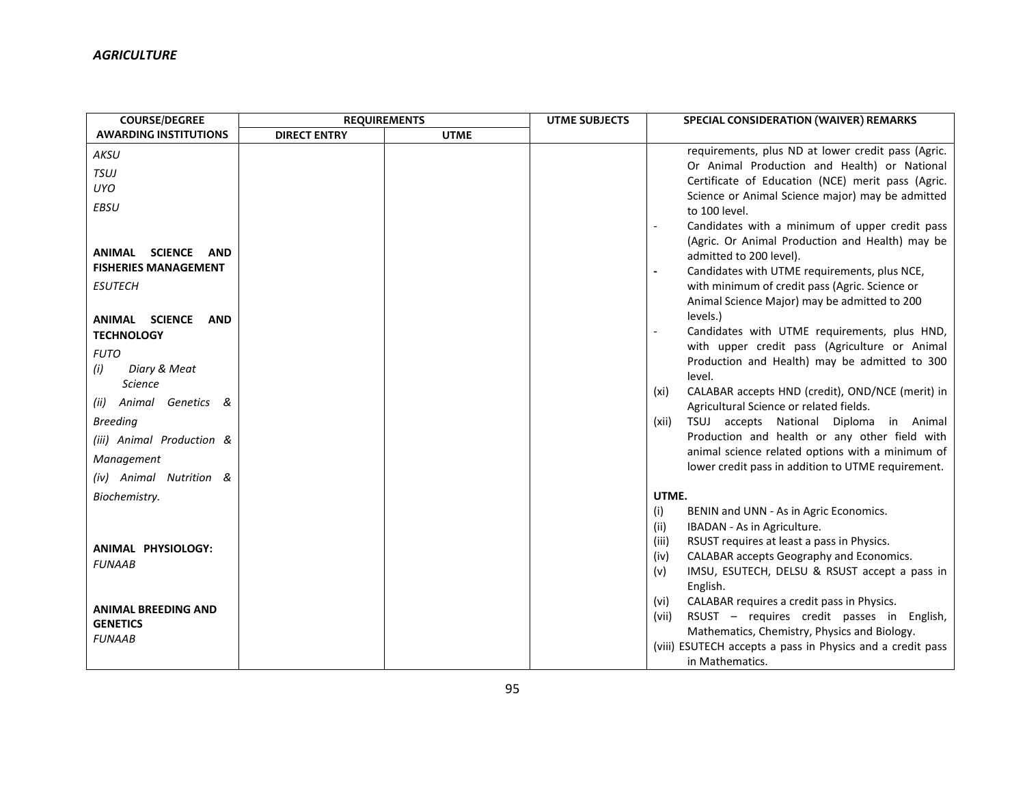| requirements, plus ND at lower credit pass (Agric.                                                                                                                                                                                                                                     |
|----------------------------------------------------------------------------------------------------------------------------------------------------------------------------------------------------------------------------------------------------------------------------------------|
| Or Animal Production and Health) or National                                                                                                                                                                                                                                           |
| Certificate of Education (NCE) merit pass (Agric.                                                                                                                                                                                                                                      |
| Science or Animal Science major) may be admitted                                                                                                                                                                                                                                       |
|                                                                                                                                                                                                                                                                                        |
| Candidates with a minimum of upper credit pass<br>(Agric. Or Animal Production and Health) may be                                                                                                                                                                                      |
|                                                                                                                                                                                                                                                                                        |
|                                                                                                                                                                                                                                                                                        |
|                                                                                                                                                                                                                                                                                        |
| Animal Science Major) may be admitted to 200                                                                                                                                                                                                                                           |
|                                                                                                                                                                                                                                                                                        |
| Candidates with UTME requirements, plus HND,                                                                                                                                                                                                                                           |
| with upper credit pass (Agriculture or Animal                                                                                                                                                                                                                                          |
| Production and Health) may be admitted to 300                                                                                                                                                                                                                                          |
|                                                                                                                                                                                                                                                                                        |
| CALABAR accepts HND (credit), OND/NCE (merit) in                                                                                                                                                                                                                                       |
|                                                                                                                                                                                                                                                                                        |
| TSUJ accepts National Diploma in Animal                                                                                                                                                                                                                                                |
| Production and health or any other field with                                                                                                                                                                                                                                          |
| animal science related options with a minimum of<br>lower credit pass in addition to UTME requirement.                                                                                                                                                                                 |
|                                                                                                                                                                                                                                                                                        |
|                                                                                                                                                                                                                                                                                        |
|                                                                                                                                                                                                                                                                                        |
|                                                                                                                                                                                                                                                                                        |
|                                                                                                                                                                                                                                                                                        |
|                                                                                                                                                                                                                                                                                        |
| IMSU, ESUTECH, DELSU & RSUST accept a pass in                                                                                                                                                                                                                                          |
|                                                                                                                                                                                                                                                                                        |
|                                                                                                                                                                                                                                                                                        |
| RSUST - requires credit passes in English,                                                                                                                                                                                                                                             |
| (viii) ESUTECH accepts a pass in Physics and a credit pass                                                                                                                                                                                                                             |
|                                                                                                                                                                                                                                                                                        |
| Candidates with UTME requirements, plus NCE,<br>with minimum of credit pass (Agric. Science or<br>RSUST requires at least a pass in Physics.<br>CALABAR accepts Geography and Economics.<br>CALABAR requires a credit pass in Physics.<br>Mathematics, Chemistry, Physics and Biology. |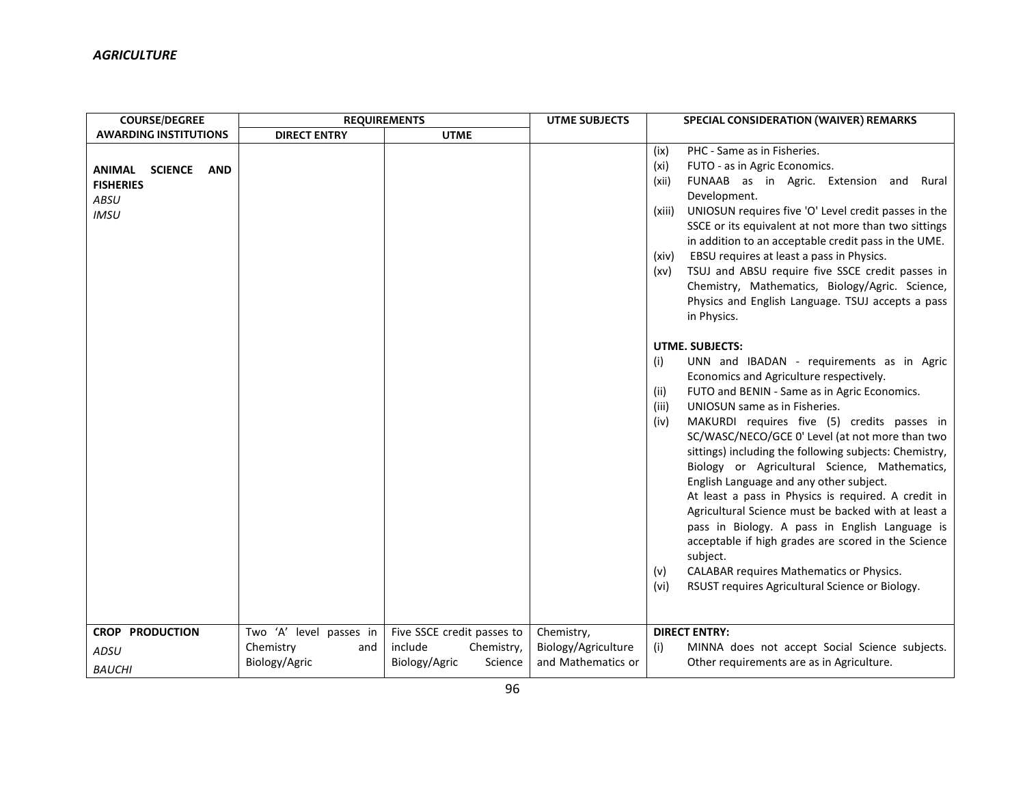| <b>COURSE/DEGREE</b>                                                                     | <b>REQUIREMENTS</b>               |                                                   | <b>UTME SUBJECTS</b>                      | <b>SPECIAL CONSIDERATION (WAIVER) REMARKS</b>                                                                                                                                                                                                                                                                                                                                                                                                                                                                                                                                                                                                                                                                                           |
|------------------------------------------------------------------------------------------|-----------------------------------|---------------------------------------------------|-------------------------------------------|-----------------------------------------------------------------------------------------------------------------------------------------------------------------------------------------------------------------------------------------------------------------------------------------------------------------------------------------------------------------------------------------------------------------------------------------------------------------------------------------------------------------------------------------------------------------------------------------------------------------------------------------------------------------------------------------------------------------------------------------|
| <b>AWARDING INSTITUTIONS</b>                                                             | <b>DIRECT ENTRY</b>               | <b>UTME</b>                                       |                                           |                                                                                                                                                                                                                                                                                                                                                                                                                                                                                                                                                                                                                                                                                                                                         |
| <b>ANIMAL</b><br><b>SCIENCE</b><br><b>AND</b><br><b>FISHERIES</b><br>ABSU<br><b>IMSU</b> |                                   |                                                   |                                           | PHC - Same as in Fisheries.<br>(ix)<br>FUTO - as in Agric Economics.<br>(xi)<br>FUNAAB as in Agric. Extension and Rural<br>(xii)<br>Development.<br>UNIOSUN requires five 'O' Level credit passes in the<br>(xiii)<br>SSCE or its equivalent at not more than two sittings<br>in addition to an acceptable credit pass in the UME.<br>EBSU requires at least a pass in Physics.<br>(xiv)<br>TSUJ and ABSU require five SSCE credit passes in<br>(xv)<br>Chemistry, Mathematics, Biology/Agric. Science,<br>Physics and English Language. TSUJ accepts a pass<br>in Physics.<br><b>UTME. SUBJECTS:</b><br>UNN and IBADAN - requirements as in Agric<br>(i)<br>Economics and Agriculture respectively.                                    |
| <b>CROP PRODUCTION</b>                                                                   | Two 'A' level passes in           | Five SSCE credit passes to                        | Chemistry,                                | FUTO and BENIN - Same as in Agric Economics.<br>(ii)<br>UNIOSUN same as in Fisheries.<br>(iii)<br>MAKURDI requires five (5) credits passes in<br>(iv)<br>SC/WASC/NECO/GCE 0' Level (at not more than two<br>sittings) including the following subjects: Chemistry,<br>Biology or Agricultural Science, Mathematics,<br>English Language and any other subject.<br>At least a pass in Physics is required. A credit in<br>Agricultural Science must be backed with at least a<br>pass in Biology. A pass in English Language is<br>acceptable if high grades are scored in the Science<br>subject.<br>CALABAR requires Mathematics or Physics.<br>(v)<br>RSUST requires Agricultural Science or Biology.<br>(vi)<br><b>DIRECT ENTRY:</b> |
| ADSU                                                                                     | Chemistry<br>and<br>Biology/Agric | include<br>Chemistry,<br>Biology/Agric<br>Science | Biology/Agriculture<br>and Mathematics or | MINNA does not accept Social Science subjects.<br>(i)<br>Other requirements are as in Agriculture.                                                                                                                                                                                                                                                                                                                                                                                                                                                                                                                                                                                                                                      |
| <b>BAUCHI</b>                                                                            |                                   |                                                   |                                           |                                                                                                                                                                                                                                                                                                                                                                                                                                                                                                                                                                                                                                                                                                                                         |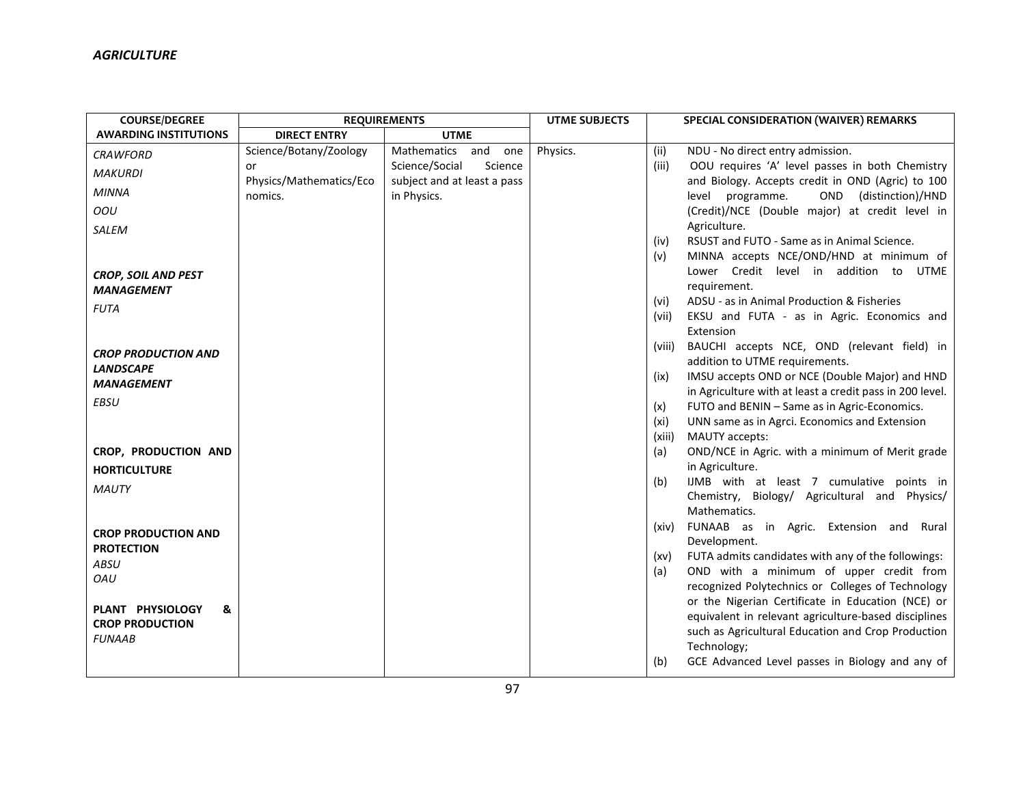| <b>COURSE/DEGREE</b>         | <b>REQUIREMENTS</b>     |                             | <b>UTME SUBJECTS</b> |             | SPECIAL CONSIDERATION (WAIVER) REMARKS                                                                   |
|------------------------------|-------------------------|-----------------------------|----------------------|-------------|----------------------------------------------------------------------------------------------------------|
| <b>AWARDING INSTITUTIONS</b> | <b>DIRECT ENTRY</b>     | <b>UTME</b>                 |                      |             |                                                                                                          |
| <b>CRAWFORD</b>              | Science/Botany/Zoology  | Mathematics<br>and<br>one   | Physics.             | (ii)        | NDU - No direct entry admission.                                                                         |
| <b>MAKURDI</b>               | or                      | Science/Social<br>Science   |                      | (iii)       | OOU requires 'A' level passes in both Chemistry                                                          |
| <b>MINNA</b>                 | Physics/Mathematics/Eco | subject and at least a pass |                      |             | and Biology. Accepts credit in OND (Agric) to 100                                                        |
|                              | nomics.                 | in Physics.                 |                      |             | (distinction)/HND<br>level programme.<br>OND                                                             |
| OOU                          |                         |                             |                      |             | (Credit)/NCE (Double major) at credit level in                                                           |
| SALEM                        |                         |                             |                      | (iv)        | Agriculture.<br>RSUST and FUTO - Same as in Animal Science.                                              |
|                              |                         |                             |                      | (v)         | MINNA accepts NCE/OND/HND at minimum of                                                                  |
| <b>CROP, SOIL AND PEST</b>   |                         |                             |                      |             | Lower Credit level in addition to UTME                                                                   |
| <i><b>MANAGEMENT</b></i>     |                         |                             |                      |             | requirement.                                                                                             |
| <b>FUTA</b>                  |                         |                             |                      | (vi)        | ADSU - as in Animal Production & Fisheries                                                               |
|                              |                         |                             |                      | (vii)       | EKSU and FUTA - as in Agric. Economics and                                                               |
|                              |                         |                             |                      |             | Extension                                                                                                |
| <b>CROP PRODUCTION AND</b>   |                         |                             |                      | (viii)      | BAUCHI accepts NCE, OND (relevant field) in                                                              |
| <b>LANDSCAPE</b>             |                         |                             |                      |             | addition to UTME requirements.                                                                           |
| <b>MANAGEMENT</b>            |                         |                             |                      | (ix)        | IMSU accepts OND or NCE (Double Major) and HND                                                           |
| <b>EBSU</b>                  |                         |                             |                      |             | in Agriculture with at least a credit pass in 200 level.<br>FUTO and BENIN - Same as in Agric-Economics. |
|                              |                         |                             |                      | (x)<br>(xi) | UNN same as in Agrci. Economics and Extension                                                            |
|                              |                         |                             |                      | (xiii)      | MAUTY accepts:                                                                                           |
| CROP, PRODUCTION AND         |                         |                             |                      | (a)         | OND/NCE in Agric. with a minimum of Merit grade                                                          |
| <b>HORTICULTURE</b>          |                         |                             |                      |             | in Agriculture.                                                                                          |
|                              |                         |                             |                      | (b)         | IJMB with at least 7 cumulative points in                                                                |
| <b>MAUTY</b>                 |                         |                             |                      |             | Chemistry, Biology/ Agricultural and Physics/                                                            |
|                              |                         |                             |                      |             | Mathematics.                                                                                             |
| <b>CROP PRODUCTION AND</b>   |                         |                             |                      | (xiv)       | FUNAAB as in Agric. Extension and Rural                                                                  |
| <b>PROTECTION</b>            |                         |                             |                      |             | Development.                                                                                             |
| ABSU                         |                         |                             |                      | (xv)        | FUTA admits candidates with any of the followings:                                                       |
| OAU                          |                         |                             |                      | (a)         | OND with a minimum of upper credit from<br>recognized Polytechnics or Colleges of Technology             |
|                              |                         |                             |                      |             | or the Nigerian Certificate in Education (NCE) or                                                        |
| PLANT PHYSIOLOGY<br>&        |                         |                             |                      |             | equivalent in relevant agriculture-based disciplines                                                     |
| <b>CROP PRODUCTION</b>       |                         |                             |                      |             | such as Agricultural Education and Crop Production                                                       |
| <b>FUNAAB</b>                |                         |                             |                      |             | Technology;                                                                                              |
|                              |                         |                             |                      | (b)         | GCE Advanced Level passes in Biology and any of                                                          |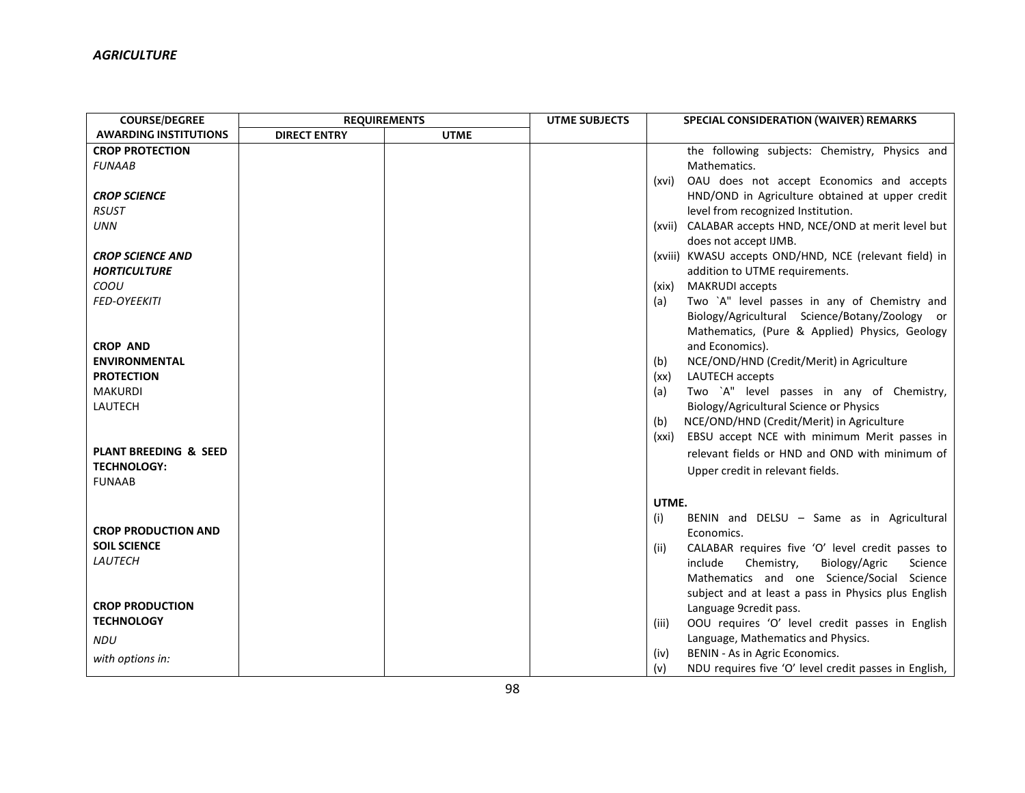| <b>COURSE/DEGREE</b>             | <b>REQUIREMENTS</b> |             | <b>UTME SUBJECTS</b> |       | SPECIAL CONSIDERATION (WAIVER) REMARKS                 |
|----------------------------------|---------------------|-------------|----------------------|-------|--------------------------------------------------------|
| <b>AWARDING INSTITUTIONS</b>     | <b>DIRECT ENTRY</b> | <b>UTME</b> |                      |       |                                                        |
| <b>CROP PROTECTION</b>           |                     |             |                      |       | the following subjects: Chemistry, Physics and         |
| <b>FUNAAB</b>                    |                     |             |                      |       | Mathematics.                                           |
|                                  |                     |             |                      | (xvi) | OAU does not accept Economics and accepts              |
| <b>CROP SCIENCE</b>              |                     |             |                      |       | HND/OND in Agriculture obtained at upper credit        |
| <b>RSUST</b>                     |                     |             |                      |       | level from recognized Institution.                     |
| <b>UNN</b>                       |                     |             |                      |       | (xvii) CALABAR accepts HND, NCE/OND at merit level but |
|                                  |                     |             |                      |       | does not accept IJMB.                                  |
| <b>CROP SCIENCE AND</b>          |                     |             |                      |       | (xviii) KWASU accepts OND/HND, NCE (relevant field) in |
| <b>HORTICULTURE</b>              |                     |             |                      |       | addition to UTME requirements.                         |
| COOU                             |                     |             |                      | (xix) | <b>MAKRUDI</b> accepts                                 |
| <b>FED-OYEEKITI</b>              |                     |             |                      | (a)   | Two `A" level passes in any of Chemistry and           |
|                                  |                     |             |                      |       | Biology/Agricultural Science/Botany/Zoology or         |
|                                  |                     |             |                      |       | Mathematics, (Pure & Applied) Physics, Geology         |
| <b>CROP AND</b>                  |                     |             |                      |       | and Economics).                                        |
| <b>ENVIRONMENTAL</b>             |                     |             |                      | (b)   | NCE/OND/HND (Credit/Merit) in Agriculture              |
| <b>PROTECTION</b>                |                     |             |                      | (xx)  | LAUTECH accepts                                        |
| <b>MAKURDI</b>                   |                     |             |                      | (a)   | Two `A" level passes in any of Chemistry,              |
| LAUTECH                          |                     |             |                      |       | Biology/Agricultural Science or Physics                |
|                                  |                     |             |                      | (b)   | NCE/OND/HND (Credit/Merit) in Agriculture              |
|                                  |                     |             |                      | (xxi) | EBSU accept NCE with minimum Merit passes in           |
| <b>PLANT BREEDING &amp; SEED</b> |                     |             |                      |       | relevant fields or HND and OND with minimum of         |
| <b>TECHNOLOGY:</b>               |                     |             |                      |       | Upper credit in relevant fields.                       |
| <b>FUNAAB</b>                    |                     |             |                      |       |                                                        |
|                                  |                     |             |                      | UTME. |                                                        |
|                                  |                     |             |                      | (i)   | BENIN and DELSU - Same as in Agricultural              |
| <b>CROP PRODUCTION AND</b>       |                     |             |                      |       | Economics.                                             |
| <b>SOIL SCIENCE</b>              |                     |             |                      | (ii)  | CALABAR requires five 'O' level credit passes to       |
| LAUTECH                          |                     |             |                      |       | Chemistry,<br>Biology/Agric<br>Science<br>include      |
|                                  |                     |             |                      |       | Mathematics and one Science/Social Science             |
|                                  |                     |             |                      |       | subject and at least a pass in Physics plus English    |
| <b>CROP PRODUCTION</b>           |                     |             |                      |       | Language 9credit pass.                                 |
| <b>TECHNOLOGY</b>                |                     |             |                      | (iii) | OOU requires 'O' level credit passes in English        |
| <b>NDU</b>                       |                     |             |                      |       | Language, Mathematics and Physics.                     |
|                                  |                     |             |                      | (iv)  | BENIN - As in Agric Economics.                         |
| with options in:                 |                     |             |                      | (v)   | NDU requires five 'O' level credit passes in English,  |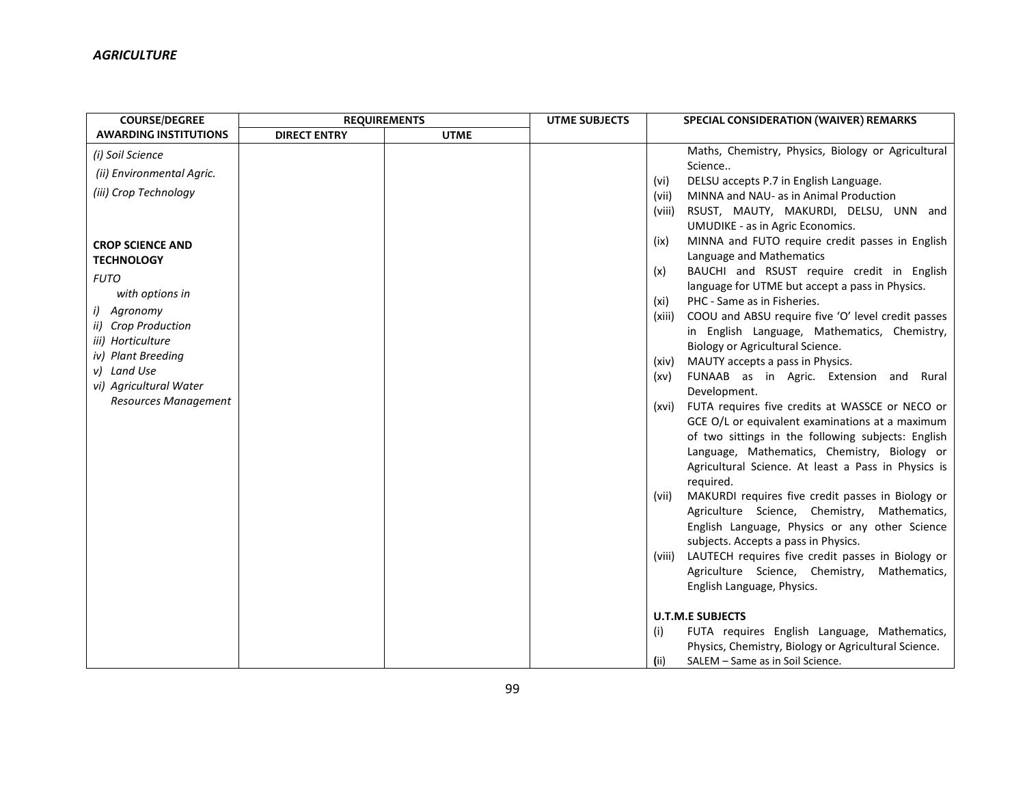| <b>COURSE/DEGREE</b>         | <b>REQUIREMENTS</b> |             | <b>UTME SUBJECTS</b> | SPECIAL CONSIDERATION (WAIVER) REMARKS                                              |
|------------------------------|---------------------|-------------|----------------------|-------------------------------------------------------------------------------------|
| <b>AWARDING INSTITUTIONS</b> | <b>DIRECT ENTRY</b> | <b>UTME</b> |                      |                                                                                     |
| (i) Soil Science             |                     |             |                      | Maths, Chemistry, Physics, Biology or Agricultural<br>Science                       |
| (ii) Environmental Agric.    |                     |             |                      | DELSU accepts P.7 in English Language.<br>(vi)                                      |
| (iii) Crop Technology        |                     |             |                      | MINNA and NAU- as in Animal Production<br>(vii)                                     |
|                              |                     |             |                      | RSUST, MAUTY, MAKURDI, DELSU, UNN and<br>(viii)<br>UMUDIKE - as in Agric Economics. |
| <b>CROP SCIENCE AND</b>      |                     |             |                      | MINNA and FUTO require credit passes in English<br>(ix)<br>Language and Mathematics |
| <b>TECHNOLOGY</b>            |                     |             |                      | BAUCHI and RSUST require credit in English<br>(x)                                   |
| <b>FUTO</b>                  |                     |             |                      | language for UTME but accept a pass in Physics.                                     |
| with options in              |                     |             |                      | PHC - Same as in Fisheries.<br>(xi)                                                 |
| i) Agronomy                  |                     |             |                      | COOU and ABSU require five 'O' level credit passes<br>(xiii)                        |
| ii) Crop Production          |                     |             |                      | in English Language, Mathematics, Chemistry,                                        |
| iii) Horticulture            |                     |             |                      | Biology or Agricultural Science.                                                    |
| iv) Plant Breeding           |                     |             |                      | MAUTY accepts a pass in Physics.<br>(xiv)                                           |
| v) Land Use                  |                     |             |                      | FUNAAB as in Agric. Extension and Rural<br>(xv)                                     |
| vi) Agricultural Water       |                     |             |                      | Development.                                                                        |
| Resources Management         |                     |             |                      | FUTA requires five credits at WASSCE or NECO or<br>(xvi)                            |
|                              |                     |             |                      | GCE O/L or equivalent examinations at a maximum                                     |
|                              |                     |             |                      | of two sittings in the following subjects: English                                  |
|                              |                     |             |                      | Language, Mathematics, Chemistry, Biology or                                        |
|                              |                     |             |                      | Agricultural Science. At least a Pass in Physics is                                 |
|                              |                     |             |                      | required.                                                                           |
|                              |                     |             |                      | MAKURDI requires five credit passes in Biology or<br>(vii)                          |
|                              |                     |             |                      | Agriculture Science, Chemistry, Mathematics,                                        |
|                              |                     |             |                      | English Language, Physics or any other Science                                      |
|                              |                     |             |                      | subjects. Accepts a pass in Physics.                                                |
|                              |                     |             |                      | (viii) LAUTECH requires five credit passes in Biology or                            |
|                              |                     |             |                      | Agriculture Science, Chemistry, Mathematics,                                        |
|                              |                     |             |                      | English Language, Physics.                                                          |
|                              |                     |             |                      | <b>U.T.M.E SUBJECTS</b>                                                             |
|                              |                     |             |                      | FUTA requires English Language, Mathematics,<br>(i)                                 |
|                              |                     |             |                      | Physics, Chemistry, Biology or Agricultural Science.                                |
|                              |                     |             |                      | (i)<br>SALEM - Same as in Soil Science.                                             |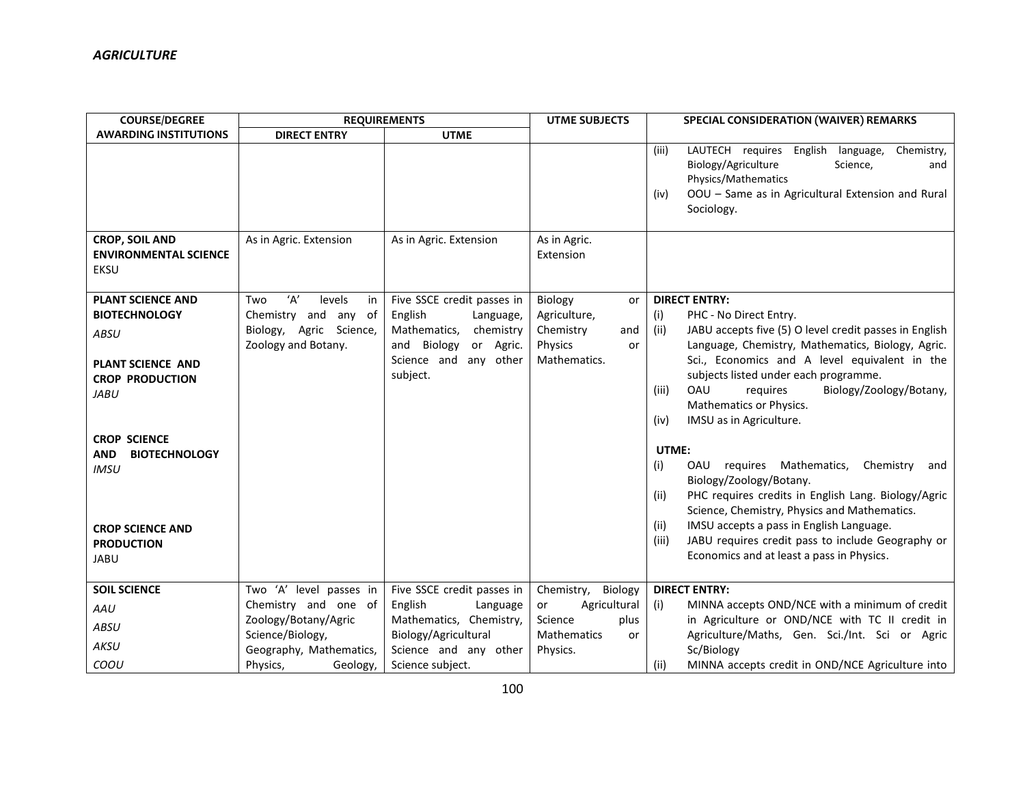| <b>COURSE/DEGREE</b>                                                                                                                                                                                                                               | <b>REQUIREMENTS</b>                                                                                  |                                                                                                                                                  | <b>UTME SUBJECTS</b>                                                               | <b>SPECIAL CONSIDERATION (WAIVER) REMARKS</b>                                                                                                                                                                                                                                                                                                                                                                                                                                                                                                                                                                                                                                                                            |
|----------------------------------------------------------------------------------------------------------------------------------------------------------------------------------------------------------------------------------------------------|------------------------------------------------------------------------------------------------------|--------------------------------------------------------------------------------------------------------------------------------------------------|------------------------------------------------------------------------------------|--------------------------------------------------------------------------------------------------------------------------------------------------------------------------------------------------------------------------------------------------------------------------------------------------------------------------------------------------------------------------------------------------------------------------------------------------------------------------------------------------------------------------------------------------------------------------------------------------------------------------------------------------------------------------------------------------------------------------|
| <b>AWARDING INSTITUTIONS</b>                                                                                                                                                                                                                       | <b>DIRECT ENTRY</b>                                                                                  | <b>UTME</b>                                                                                                                                      |                                                                                    |                                                                                                                                                                                                                                                                                                                                                                                                                                                                                                                                                                                                                                                                                                                          |
|                                                                                                                                                                                                                                                    |                                                                                                      |                                                                                                                                                  |                                                                                    | LAUTECH requires English language,<br>Chemistry,<br>(iii)<br>Biology/Agriculture<br>Science,<br>and<br>Physics/Mathematics<br>OOU - Same as in Agricultural Extension and Rural<br>(iv)<br>Sociology.                                                                                                                                                                                                                                                                                                                                                                                                                                                                                                                    |
| <b>CROP, SOIL AND</b><br><b>ENVIRONMENTAL SCIENCE</b><br>EKSU                                                                                                                                                                                      | As in Agric. Extension                                                                               | As in Agric. Extension                                                                                                                           | As in Agric.<br>Extension                                                          |                                                                                                                                                                                                                                                                                                                                                                                                                                                                                                                                                                                                                                                                                                                          |
| <b>PLANT SCIENCE AND</b><br><b>BIOTECHNOLOGY</b><br>ABSU<br>PLANT SCIENCE AND<br><b>CROP PRODUCTION</b><br><b>JABU</b><br><b>CROP SCIENCE</b><br><b>AND</b><br><b>BIOTECHNOLOGY</b><br><b>IMSU</b><br><b>CROP SCIENCE AND</b><br><b>PRODUCTION</b> | ʻA'<br>levels<br>Two<br>in<br>Chemistry and any of<br>Biology, Agric Science,<br>Zoology and Botany. | Five SSCE credit passes in<br>English<br>Language,<br>Mathematics,<br>chemistry<br>and Biology<br>or Agric.<br>Science and any other<br>subject. | Biology<br>or<br>Agriculture,<br>Chemistry<br>and<br>Physics<br>or<br>Mathematics. | <b>DIRECT ENTRY:</b><br>(i)<br>PHC - No Direct Entry.<br>JABU accepts five (5) O level credit passes in English<br>(ii)<br>Language, Chemistry, Mathematics, Biology, Agric.<br>Sci., Economics and A level equivalent in the<br>subjects listed under each programme.<br>OAU<br>Biology/Zoology/Botany,<br>requires<br>(iii)<br>Mathematics or Physics.<br>IMSU as in Agriculture.<br>(iv)<br>UTME:<br>(i)<br>OAU requires Mathematics,<br>Chemistry<br>and<br>Biology/Zoology/Botany.<br>PHC requires credits in English Lang. Biology/Agric<br>(ii)<br>Science, Chemistry, Physics and Mathematics.<br>IMSU accepts a pass in English Language.<br>(ii)<br>JABU requires credit pass to include Geography or<br>(iii) |
| JABU                                                                                                                                                                                                                                               |                                                                                                      |                                                                                                                                                  |                                                                                    | Economics and at least a pass in Physics.                                                                                                                                                                                                                                                                                                                                                                                                                                                                                                                                                                                                                                                                                |
| <b>SOIL SCIENCE</b>                                                                                                                                                                                                                                | Two 'A' level passes in                                                                              | Five SSCE credit passes in                                                                                                                       | Chemistry, Biology                                                                 | <b>DIRECT ENTRY:</b>                                                                                                                                                                                                                                                                                                                                                                                                                                                                                                                                                                                                                                                                                                     |
| AAU                                                                                                                                                                                                                                                | Chemistry and one of                                                                                 | English<br>Language                                                                                                                              | Agricultural<br>or                                                                 | MINNA accepts OND/NCE with a minimum of credit<br>(i)                                                                                                                                                                                                                                                                                                                                                                                                                                                                                                                                                                                                                                                                    |
| ABSU                                                                                                                                                                                                                                               | Zoology/Botany/Agric                                                                                 | Mathematics, Chemistry,                                                                                                                          | Science<br>plus                                                                    | in Agriculture or OND/NCE with TC II credit in                                                                                                                                                                                                                                                                                                                                                                                                                                                                                                                                                                                                                                                                           |
| AKSU                                                                                                                                                                                                                                               | Science/Biology,<br>Geography, Mathematics,                                                          | Biology/Agricultural<br>Science and any other                                                                                                    | <b>Mathematics</b><br><b>or</b><br>Physics.                                        | Agriculture/Maths, Gen. Sci./Int. Sci or Agric<br>Sc/Biology                                                                                                                                                                                                                                                                                                                                                                                                                                                                                                                                                                                                                                                             |
| COOU                                                                                                                                                                                                                                               | Physics,<br>Geology,                                                                                 | Science subject.                                                                                                                                 |                                                                                    | MINNA accepts credit in OND/NCE Agriculture into<br>(ii)                                                                                                                                                                                                                                                                                                                                                                                                                                                                                                                                                                                                                                                                 |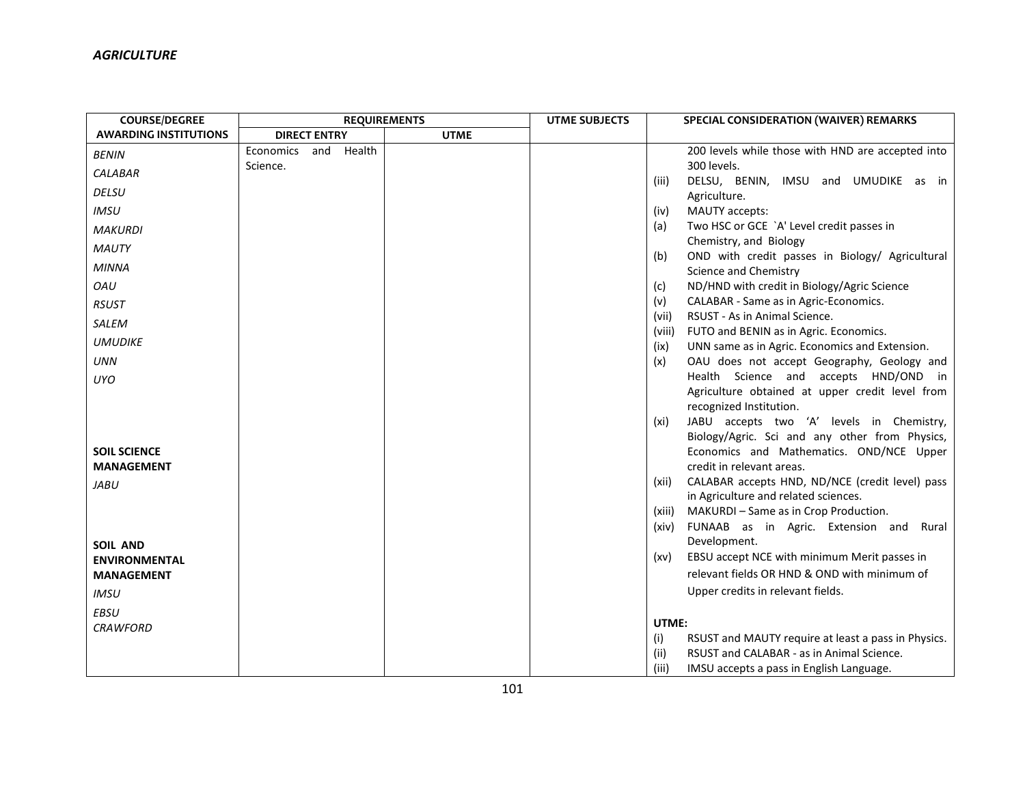| <b>COURSE/DEGREE</b>                      | <b>REQUIREMENTS</b>     |             | <b>UTME SUBJECTS</b> | SPECIAL CONSIDERATION (WAIVER) REMARKS                                          |
|-------------------------------------------|-------------------------|-------------|----------------------|---------------------------------------------------------------------------------|
| <b>AWARDING INSTITUTIONS</b>              | <b>DIRECT ENTRY</b>     | <b>UTME</b> |                      |                                                                                 |
| <b>BENIN</b>                              | Health<br>Economics and |             |                      | 200 levels while those with HND are accepted into                               |
| <b>CALABAR</b>                            | Science.                |             |                      | 300 levels.                                                                     |
| <b>DELSU</b>                              |                         |             |                      | DELSU, BENIN, IMSU and UMUDIKE as in<br>(iii)<br>Agriculture.                   |
| <b>IMSU</b>                               |                         |             |                      | MAUTY accepts:<br>(iv)                                                          |
| <b>MAKURDI</b>                            |                         |             |                      | Two HSC or GCE `A' Level credit passes in<br>(a)                                |
| <b>MAUTY</b>                              |                         |             |                      | Chemistry, and Biology                                                          |
| <b>MINNA</b>                              |                         |             |                      | OND with credit passes in Biology/ Agricultural<br>(b)<br>Science and Chemistry |
| OAU                                       |                         |             |                      | ND/HND with credit in Biology/Agric Science<br>(c)                              |
| <b>RSUST</b>                              |                         |             |                      | CALABAR - Same as in Agric-Economics.<br>(v)                                    |
| SALEM                                     |                         |             |                      | RSUST - As in Animal Science.<br>(vii)                                          |
|                                           |                         |             |                      | FUTO and BENIN as in Agric. Economics.<br>(viii)                                |
| <b>UMUDIKE</b>                            |                         |             |                      | UNN same as in Agric. Economics and Extension.<br>(ix)                          |
| <b>UNN</b>                                |                         |             |                      | OAU does not accept Geography, Geology and<br>(x)                               |
| UYO                                       |                         |             |                      | Health Science and accepts HND/OND in                                           |
|                                           |                         |             |                      | Agriculture obtained at upper credit level from<br>recognized Institution.      |
|                                           |                         |             |                      | JABU accepts two 'A' levels in Chemistry,<br>(xi)                               |
|                                           |                         |             |                      | Biology/Agric. Sci and any other from Physics,                                  |
| <b>SOIL SCIENCE</b>                       |                         |             |                      | Economics and Mathematics. OND/NCE Upper                                        |
| <b>MANAGEMENT</b>                         |                         |             |                      | credit in relevant areas.                                                       |
| JABU                                      |                         |             |                      | CALABAR accepts HND, ND/NCE (credit level) pass<br>(xii)                        |
|                                           |                         |             |                      | in Agriculture and related sciences.                                            |
|                                           |                         |             |                      | MAKURDI - Same as in Crop Production.<br>(xiii)                                 |
|                                           |                         |             |                      | FUNAAB as in Agric. Extension and Rural<br>(xiv)<br>Development.                |
| <b>SOIL AND</b>                           |                         |             |                      | EBSU accept NCE with minimum Merit passes in<br>(xv)                            |
| <b>ENVIRONMENTAL</b><br><b>MANAGEMENT</b> |                         |             |                      | relevant fields OR HND & OND with minimum of                                    |
|                                           |                         |             |                      | Upper credits in relevant fields.                                               |
| <b>IMSU</b>                               |                         |             |                      |                                                                                 |
| <b>EBSU</b>                               |                         |             |                      | UTME:                                                                           |
| <b>CRAWFORD</b>                           |                         |             |                      | RSUST and MAUTY require at least a pass in Physics.<br>(i)                      |
|                                           |                         |             |                      | (ii)<br>RSUST and CALABAR - as in Animal Science.                               |
|                                           |                         |             |                      | IMSU accepts a pass in English Language.<br>(iii)                               |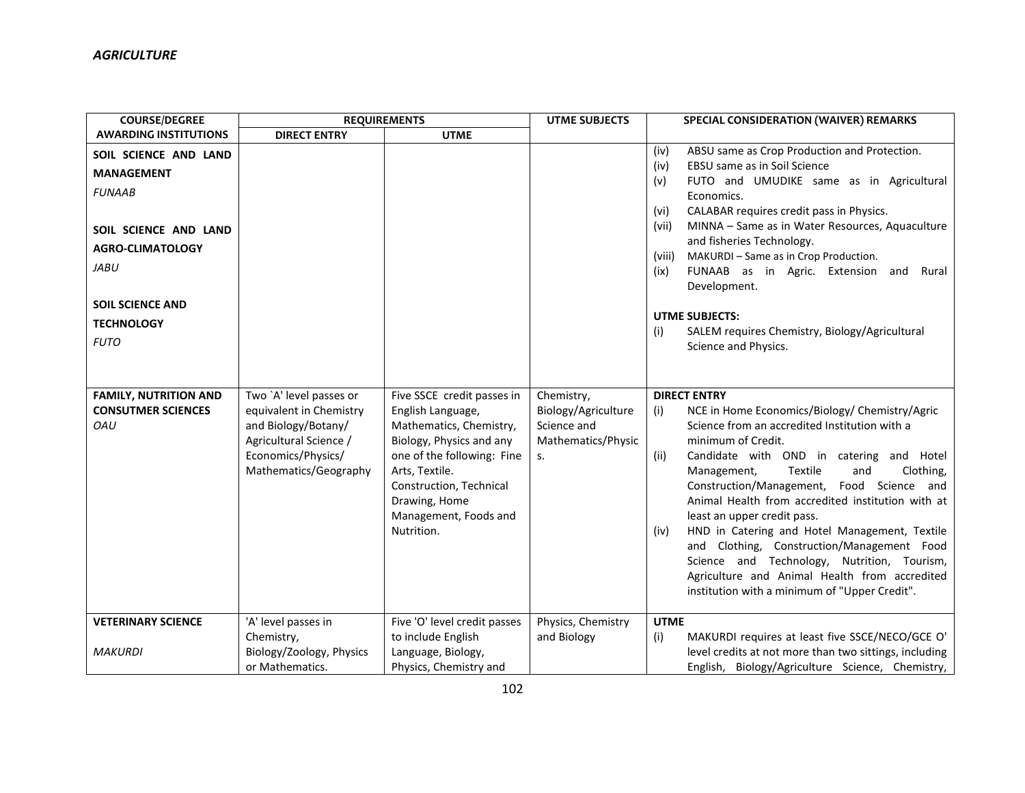| <b>COURSE/DEGREE</b>                                                                                                                                      | <b>REQUIREMENTS</b>                                                                                                                                |                                                                                                                                                                                                                                           | <b>UTME SUBJECTS</b>                                                         | <b>SPECIAL CONSIDERATION (WAIVER) REMARKS</b>                                                                                                                                                                                                                                                                                                                                                                                                                                                                                                                                                                                                  |
|-----------------------------------------------------------------------------------------------------------------------------------------------------------|----------------------------------------------------------------------------------------------------------------------------------------------------|-------------------------------------------------------------------------------------------------------------------------------------------------------------------------------------------------------------------------------------------|------------------------------------------------------------------------------|------------------------------------------------------------------------------------------------------------------------------------------------------------------------------------------------------------------------------------------------------------------------------------------------------------------------------------------------------------------------------------------------------------------------------------------------------------------------------------------------------------------------------------------------------------------------------------------------------------------------------------------------|
| <b>AWARDING INSTITUTIONS</b>                                                                                                                              | <b>DIRECT ENTRY</b>                                                                                                                                | <b>UTME</b>                                                                                                                                                                                                                               |                                                                              |                                                                                                                                                                                                                                                                                                                                                                                                                                                                                                                                                                                                                                                |
| SOIL SCIENCE AND LAND<br><b>MANAGEMENT</b><br><b>FUNAAB</b><br>SOIL SCIENCE AND LAND<br><b>AGRO-CLIMATOLOGY</b><br><b>JABU</b><br><b>SOIL SCIENCE AND</b> |                                                                                                                                                    |                                                                                                                                                                                                                                           |                                                                              | ABSU same as Crop Production and Protection.<br>(iv)<br>EBSU same as in Soil Science<br>(iv)<br>FUTO and UMUDIKE same as in Agricultural<br>(v)<br>Economics.<br>CALABAR requires credit pass in Physics.<br>(vi)<br>MINNA - Same as in Water Resources, Aquaculture<br>(vii)<br>and fisheries Technology.<br>MAKURDI - Same as in Crop Production.<br>(viii)<br>FUNAAB as in Agric. Extension and<br>Rural<br>(ix)<br>Development.<br><b>UTME SUBJECTS:</b>                                                                                                                                                                                   |
| <b>TECHNOLOGY</b>                                                                                                                                         |                                                                                                                                                    |                                                                                                                                                                                                                                           |                                                                              | SALEM requires Chemistry, Biology/Agricultural<br>(i)                                                                                                                                                                                                                                                                                                                                                                                                                                                                                                                                                                                          |
| <b>FUTO</b>                                                                                                                                               |                                                                                                                                                    |                                                                                                                                                                                                                                           |                                                                              | Science and Physics.                                                                                                                                                                                                                                                                                                                                                                                                                                                                                                                                                                                                                           |
| <b>FAMILY, NUTRITION AND</b><br><b>CONSUTMER SCIENCES</b><br>OAU                                                                                          | Two `A' level passes or<br>equivalent in Chemistry<br>and Biology/Botany/<br>Agricultural Science /<br>Economics/Physics/<br>Mathematics/Geography | Five SSCE credit passes in<br>English Language,<br>Mathematics, Chemistry,<br>Biology, Physics and any<br>one of the following: Fine<br>Arts, Textile.<br>Construction, Technical<br>Drawing, Home<br>Management, Foods and<br>Nutrition. | Chemistry,<br>Biology/Agriculture<br>Science and<br>Mathematics/Physic<br>S. | <b>DIRECT ENTRY</b><br>NCE in Home Economics/Biology/ Chemistry/Agric<br>(i)<br>Science from an accredited Institution with a<br>minimum of Credit.<br>Candidate with OND in catering and Hotel<br>(ii)<br>Textile<br>Clothing,<br>Management,<br>and<br>Construction/Management, Food Science and<br>Animal Health from accredited institution with at<br>least an upper credit pass.<br>HND in Catering and Hotel Management, Textile<br>(iv)<br>and Clothing, Construction/Management Food<br>Science and Technology, Nutrition, Tourism,<br>Agriculture and Animal Health from accredited<br>institution with a minimum of "Upper Credit". |
| <b>VETERINARY SCIENCE</b><br><b>MAKURDI</b>                                                                                                               | 'A' level passes in<br>Chemistry,<br>Biology/Zoology, Physics<br>or Mathematics.                                                                   | Five 'O' level credit passes<br>to include English<br>Language, Biology,<br>Physics, Chemistry and                                                                                                                                        | Physics, Chemistry<br>and Biology                                            | <b>UTME</b><br>MAKURDI requires at least five SSCE/NECO/GCE O'<br>(i)<br>level credits at not more than two sittings, including<br>English, Biology/Agriculture Science, Chemistry,                                                                                                                                                                                                                                                                                                                                                                                                                                                            |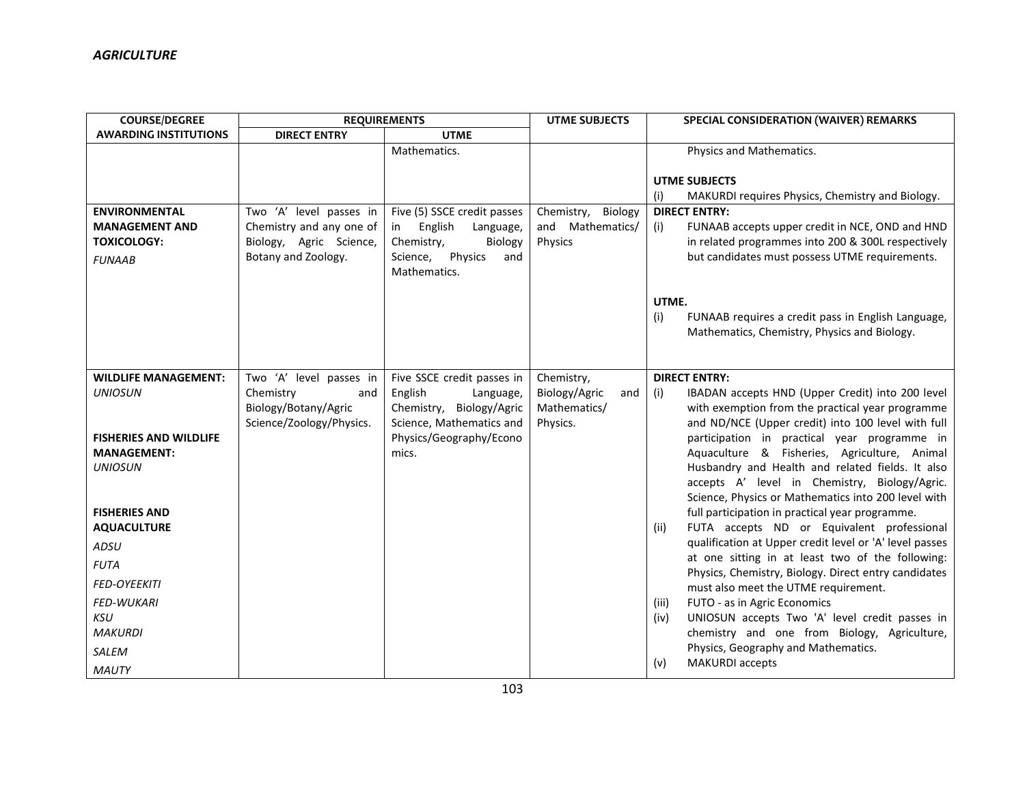| <b>COURSE/DEGREE</b>                                                                                 | <b>REQUIREMENTS</b>                                                                                   |                                                                                                                                                | <b>UTME SUBJECTS</b>                                           | <b>SPECIAL CONSIDERATION (WAIVER) REMARKS</b>                                                                                                                                                                                                                                             |  |
|------------------------------------------------------------------------------------------------------|-------------------------------------------------------------------------------------------------------|------------------------------------------------------------------------------------------------------------------------------------------------|----------------------------------------------------------------|-------------------------------------------------------------------------------------------------------------------------------------------------------------------------------------------------------------------------------------------------------------------------------------------|--|
| <b>AWARDING INSTITUTIONS</b>                                                                         | <b>DIRECT ENTRY</b>                                                                                   | <b>UTME</b>                                                                                                                                    |                                                                |                                                                                                                                                                                                                                                                                           |  |
|                                                                                                      |                                                                                                       | Mathematics.                                                                                                                                   |                                                                | Physics and Mathematics.                                                                                                                                                                                                                                                                  |  |
|                                                                                                      |                                                                                                       |                                                                                                                                                |                                                                | <b>UTME SUBJECTS</b><br>(i)<br>MAKURDI requires Physics, Chemistry and Biology.                                                                                                                                                                                                           |  |
| <b>ENVIRONMENTAL</b><br><b>MANAGEMENT AND</b><br><b>TOXICOLOGY:</b><br><b>FUNAAB</b>                 | Two 'A' level passes in<br>Chemistry and any one of<br>Biology, Agric Science,<br>Botany and Zoology. | Five (5) SSCE credit passes<br>English<br>Language,<br>in l<br>Chemistry,<br>Biology<br>Science,<br>Physics<br>and<br>Mathematics.             | Chemistry,<br>Biology<br>and Mathematics/<br>Physics           | <b>DIRECT ENTRY:</b><br>(i)<br>FUNAAB accepts upper credit in NCE, OND and HND<br>in related programmes into 200 & 300L respectively<br>but candidates must possess UTME requirements.                                                                                                    |  |
|                                                                                                      |                                                                                                       |                                                                                                                                                |                                                                | UTME.<br>(i)<br>FUNAAB requires a credit pass in English Language,<br>Mathematics, Chemistry, Physics and Biology.                                                                                                                                                                        |  |
| <b>WILDLIFE MANAGEMENT:</b><br><b>UNIOSUN</b><br><b>FISHERIES AND WILDLIFE</b><br><b>MANAGEMENT:</b> | Two 'A' level passes in<br>Chemistry<br>and<br>Biology/Botany/Agric<br>Science/Zoology/Physics.       | Five SSCE credit passes in<br>English<br>Language,<br>Chemistry, Biology/Agric<br>Science, Mathematics and<br>Physics/Geography/Econo<br>mics. | Chemistry,<br>Biology/Agric<br>and<br>Mathematics/<br>Physics. | <b>DIRECT ENTRY:</b><br>IBADAN accepts HND (Upper Credit) into 200 level<br>(i)<br>with exemption from the practical year programme<br>and ND/NCE (Upper credit) into 100 level with full<br>participation in practical year programme in<br>Aquaculture & Fisheries, Agriculture, Animal |  |
| <b>UNIOSUN</b><br><b>FISHERIES AND</b><br><b>AQUACULTURE</b>                                         |                                                                                                       |                                                                                                                                                |                                                                | Husbandry and Health and related fields. It also<br>accepts A' level in Chemistry, Biology/Agric.<br>Science, Physics or Mathematics into 200 level with<br>full participation in practical year programme.<br>FUTA accepts ND or Equivalent professional<br>(ii)                         |  |
| ADSU                                                                                                 |                                                                                                       |                                                                                                                                                |                                                                | qualification at Upper credit level or 'A' level passes                                                                                                                                                                                                                                   |  |
| <b>FUTA</b>                                                                                          |                                                                                                       |                                                                                                                                                |                                                                | at one sitting in at least two of the following:                                                                                                                                                                                                                                          |  |
| <b>FED-OYEEKITI</b>                                                                                  |                                                                                                       |                                                                                                                                                |                                                                | Physics, Chemistry, Biology. Direct entry candidates                                                                                                                                                                                                                                      |  |
| <b>FED-WUKARI</b><br><b>KSU</b><br><b>MAKURDI</b><br>SALEM<br><b>MAUTY</b>                           |                                                                                                       |                                                                                                                                                |                                                                | must also meet the UTME requirement.<br>FUTO - as in Agric Economics<br>(iii)<br>UNIOSUN accepts Two 'A' level credit passes in<br>(iv)<br>chemistry and one from Biology, Agriculture,<br>Physics, Geography and Mathematics.<br><b>MAKURDI</b> accepts<br>(v)                           |  |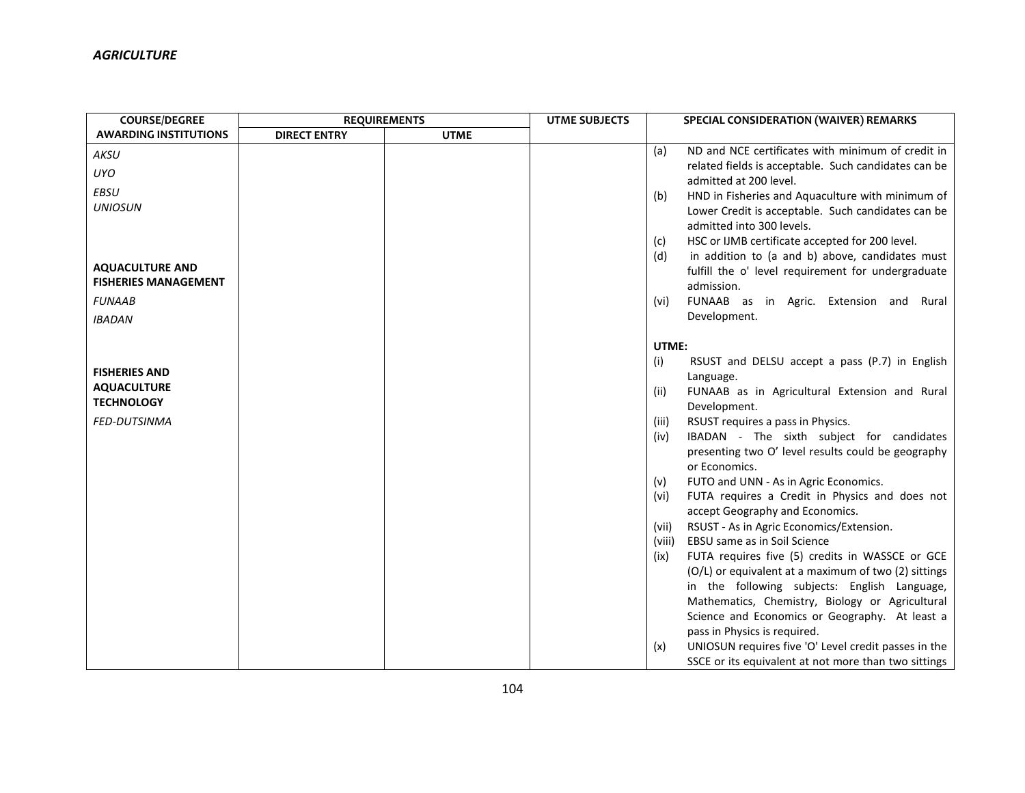| <b>COURSE/DEGREE</b>          | <b>REQUIREMENTS</b> |             | <b>UTME SUBJECTS</b> | SPECIAL CONSIDERATION (WAIVER) REMARKS |                                                                                 |
|-------------------------------|---------------------|-------------|----------------------|----------------------------------------|---------------------------------------------------------------------------------|
| <b>AWARDING INSTITUTIONS</b>  | <b>DIRECT ENTRY</b> | <b>UTME</b> |                      |                                        |                                                                                 |
| AKSU                          |                     |             |                      | (a)                                    | ND and NCE certificates with minimum of credit in                               |
| <b>UYO</b>                    |                     |             |                      |                                        | related fields is acceptable. Such candidates can be                            |
|                               |                     |             |                      |                                        | admitted at 200 level.                                                          |
| <b>EBSU</b><br><b>UNIOSUN</b> |                     |             |                      | (b)                                    | HND in Fisheries and Aquaculture with minimum of                                |
|                               |                     |             |                      |                                        | Lower Credit is acceptable. Such candidates can be                              |
|                               |                     |             |                      |                                        | admitted into 300 levels.                                                       |
|                               |                     |             |                      | (c)                                    | HSC or IJMB certificate accepted for 200 level.                                 |
| <b>AQUACULTURE AND</b>        |                     |             |                      | (d)                                    | in addition to (a and b) above, candidates must                                 |
| <b>FISHERIES MANAGEMENT</b>   |                     |             |                      |                                        | fulfill the o' level requirement for undergraduate<br>admission.                |
| <b>FUNAAB</b>                 |                     |             |                      | (vi)                                   | FUNAAB as in Agric. Extension and Rural                                         |
|                               |                     |             |                      |                                        | Development.                                                                    |
| <b>IBADAN</b>                 |                     |             |                      |                                        |                                                                                 |
|                               |                     |             |                      | UTME:                                  |                                                                                 |
|                               |                     |             |                      | (i)                                    | RSUST and DELSU accept a pass (P.7) in English                                  |
| <b>FISHERIES AND</b>          |                     |             |                      |                                        | Language.                                                                       |
| <b>AQUACULTURE</b>            |                     |             |                      | (ii)                                   | FUNAAB as in Agricultural Extension and Rural                                   |
| <b>TECHNOLOGY</b>             |                     |             |                      |                                        | Development.                                                                    |
| FED-DUTSINMA                  |                     |             |                      | (iii)                                  | RSUST requires a pass in Physics.                                               |
|                               |                     |             |                      | (iv)                                   | IBADAN - The sixth subject for candidates                                       |
|                               |                     |             |                      |                                        | presenting two O' level results could be geography                              |
|                               |                     |             |                      |                                        | or Economics.                                                                   |
|                               |                     |             |                      | (v)                                    | FUTO and UNN - As in Agric Economics.                                           |
|                               |                     |             |                      | (vi)                                   | FUTA requires a Credit in Physics and does not                                  |
|                               |                     |             |                      |                                        | accept Geography and Economics.                                                 |
|                               |                     |             |                      | (vii)                                  | RSUST - As in Agric Economics/Extension.                                        |
|                               |                     |             |                      | (viii)<br>(ix)                         | EBSU same as in Soil Science<br>FUTA requires five (5) credits in WASSCE or GCE |
|                               |                     |             |                      |                                        | (O/L) or equivalent at a maximum of two (2) sittings                            |
|                               |                     |             |                      |                                        | in the following subjects: English Language,                                    |
|                               |                     |             |                      |                                        | Mathematics, Chemistry, Biology or Agricultural                                 |
|                               |                     |             |                      |                                        | Science and Economics or Geography. At least a                                  |
|                               |                     |             |                      |                                        | pass in Physics is required.                                                    |
|                               |                     |             |                      | (x)                                    | UNIOSUN requires five 'O' Level credit passes in the                            |
|                               |                     |             |                      |                                        | SSCE or its equivalent at not more than two sittings                            |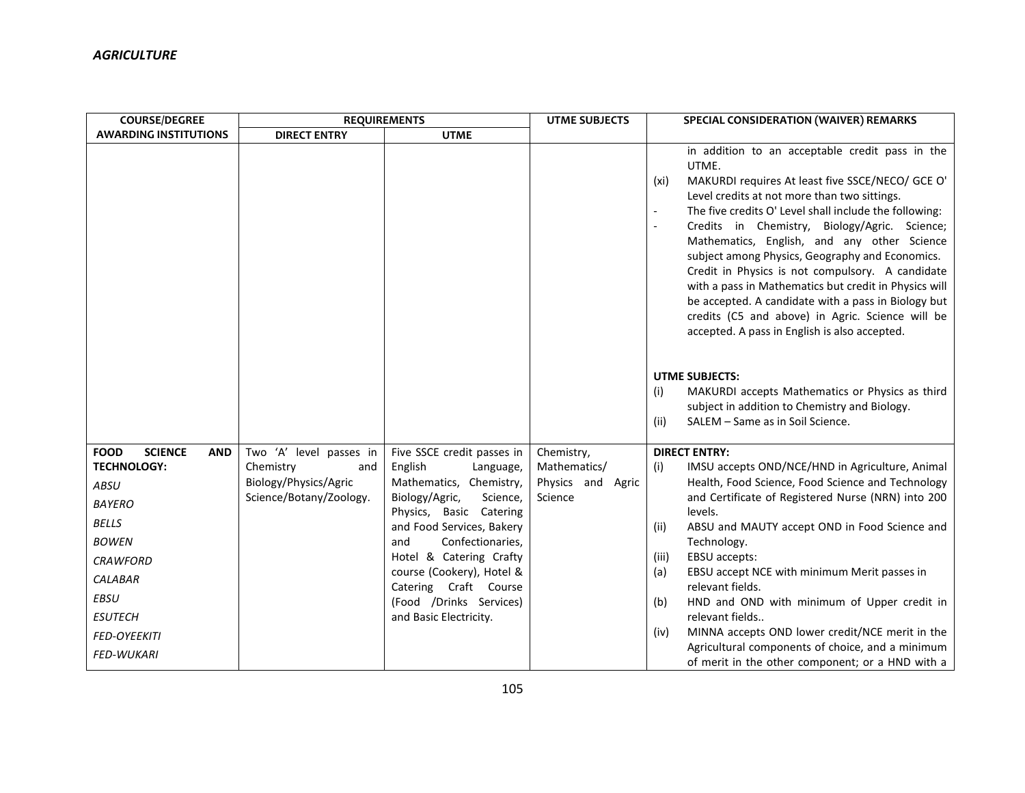| <b>COURSE/DEGREE</b>                                                                                                                                                                                                                         | <b>REQUIREMENTS</b>                                                                             |                                                                                                                                                                                                                                                                                                                                      | <b>UTME SUBJECTS</b>                                          | SPECIAL CONSIDERATION (WAIVER) REMARKS                                                                                                                                                                                                                                                                                                                                                                                                                                                                                                                                                                                                                     |
|----------------------------------------------------------------------------------------------------------------------------------------------------------------------------------------------------------------------------------------------|-------------------------------------------------------------------------------------------------|--------------------------------------------------------------------------------------------------------------------------------------------------------------------------------------------------------------------------------------------------------------------------------------------------------------------------------------|---------------------------------------------------------------|------------------------------------------------------------------------------------------------------------------------------------------------------------------------------------------------------------------------------------------------------------------------------------------------------------------------------------------------------------------------------------------------------------------------------------------------------------------------------------------------------------------------------------------------------------------------------------------------------------------------------------------------------------|
| <b>AWARDING INSTITUTIONS</b>                                                                                                                                                                                                                 | <b>DIRECT ENTRY</b>                                                                             | <b>UTME</b>                                                                                                                                                                                                                                                                                                                          |                                                               |                                                                                                                                                                                                                                                                                                                                                                                                                                                                                                                                                                                                                                                            |
|                                                                                                                                                                                                                                              |                                                                                                 |                                                                                                                                                                                                                                                                                                                                      |                                                               | in addition to an acceptable credit pass in the<br>UTME.<br>MAKURDI requires At least five SSCE/NECO/ GCE O'<br>(xi)<br>Level credits at not more than two sittings.<br>The five credits O' Level shall include the following:<br>Credits in Chemistry, Biology/Agric. Science;<br>Mathematics, English, and any other Science<br>subject among Physics, Geography and Economics.<br>Credit in Physics is not compulsory. A candidate<br>with a pass in Mathematics but credit in Physics will<br>be accepted. A candidate with a pass in Biology but<br>credits (C5 and above) in Agric. Science will be<br>accepted. A pass in English is also accepted. |
|                                                                                                                                                                                                                                              |                                                                                                 |                                                                                                                                                                                                                                                                                                                                      |                                                               | <b>UTME SUBJECTS:</b><br>MAKURDI accepts Mathematics or Physics as third<br>(i)<br>subject in addition to Chemistry and Biology.<br>SALEM - Same as in Soil Science.<br>(ii)                                                                                                                                                                                                                                                                                                                                                                                                                                                                               |
| <b>SCIENCE</b><br><b>FOOD</b><br><b>AND</b><br><b>TECHNOLOGY:</b><br>ABSU<br><b>BAYERO</b><br><b>BELLS</b><br><b>BOWEN</b><br><b>CRAWFORD</b><br><b>CALABAR</b><br><b>EBSU</b><br><b>ESUTECH</b><br><b>FED-OYEEKITI</b><br><b>FED-WUKARI</b> | Two 'A' level passes in<br>Chemistry<br>and<br>Biology/Physics/Agric<br>Science/Botany/Zoology. | Five SSCE credit passes in<br>English<br>Language,<br>Mathematics, Chemistry,<br>Biology/Agric,<br>Science,<br>Physics, Basic Catering<br>and Food Services, Bakery<br>Confectionaries,<br>and<br>Hotel & Catering Crafty<br>course (Cookery), Hotel &<br>Catering Craft Course<br>(Food /Drinks Services)<br>and Basic Electricity. | Chemistry,<br>Mathematics/<br>Physics and<br>Agric<br>Science | <b>DIRECT ENTRY:</b><br>IMSU accepts OND/NCE/HND in Agriculture, Animal<br>(i)<br>Health, Food Science, Food Science and Technology<br>and Certificate of Registered Nurse (NRN) into 200<br>levels.<br>ABSU and MAUTY accept OND in Food Science and<br>(ii)<br>Technology.<br>EBSU accepts:<br>(iii)<br>EBSU accept NCE with minimum Merit passes in<br>(a)<br>relevant fields.<br>HND and OND with minimum of Upper credit in<br>(b)<br>relevant fields<br>MINNA accepts OND lower credit/NCE merit in the<br>(iv)<br>Agricultural components of choice, and a minimum<br>of merit in the other component; or a HND with a                              |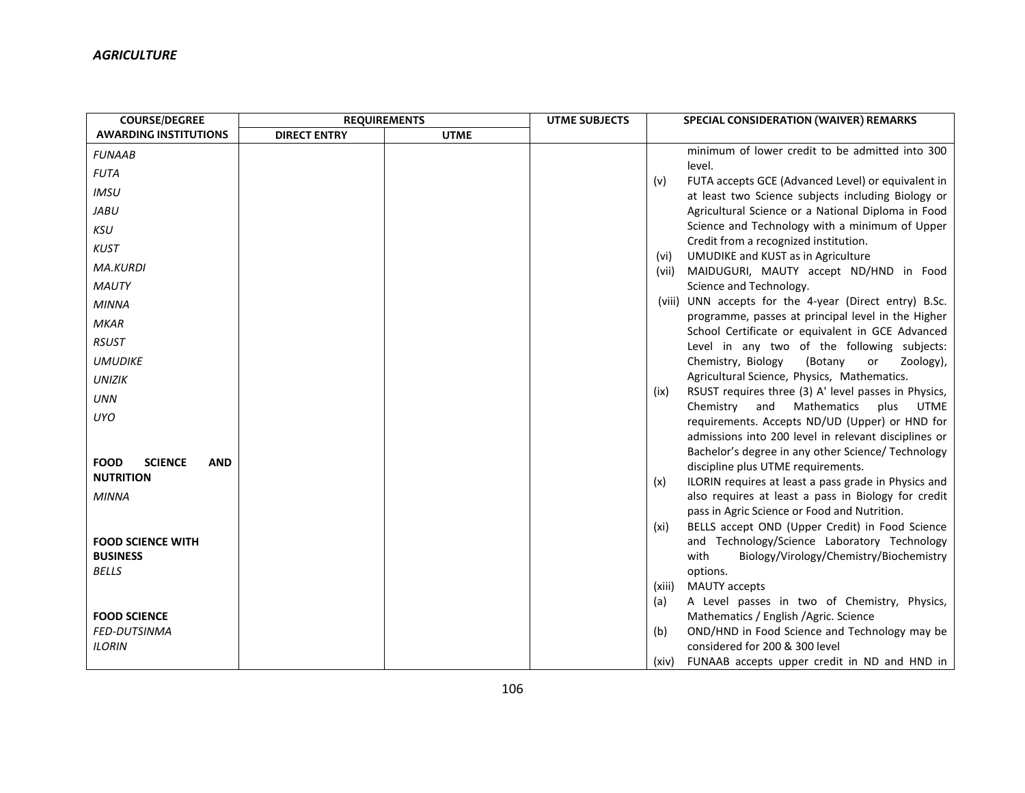| <b>COURSE/DEGREE</b>                        | <b>REQUIREMENTS</b> |             | <b>UTME SUBJECTS</b> |        | SPECIAL CONSIDERATION (WAIVER) REMARKS                                                                      |
|---------------------------------------------|---------------------|-------------|----------------------|--------|-------------------------------------------------------------------------------------------------------------|
| <b>AWARDING INSTITUTIONS</b>                | <b>DIRECT ENTRY</b> | <b>UTME</b> |                      |        |                                                                                                             |
| <b>FUNAAB</b>                               |                     |             |                      |        | minimum of lower credit to be admitted into 300                                                             |
| <b>FUTA</b>                                 |                     |             |                      |        | level.                                                                                                      |
| <b>IMSU</b>                                 |                     |             |                      | (v)    | FUTA accepts GCE (Advanced Level) or equivalent in<br>at least two Science subjects including Biology or    |
| <b>JABU</b>                                 |                     |             |                      |        | Agricultural Science or a National Diploma in Food                                                          |
| <b>KSU</b>                                  |                     |             |                      |        | Science and Technology with a minimum of Upper                                                              |
| <b>KUST</b>                                 |                     |             |                      |        | Credit from a recognized institution.                                                                       |
| <b>MA.KURDI</b>                             |                     |             |                      | (vi)   | UMUDIKE and KUST as in Agriculture                                                                          |
|                                             |                     |             |                      | (vii)  | MAIDUGURI, MAUTY accept ND/HND in Food                                                                      |
| <b>MAUTY</b>                                |                     |             |                      |        | Science and Technology.                                                                                     |
| <b>MINNA</b>                                |                     |             |                      |        | (viii) UNN accepts for the 4-year (Direct entry) B.Sc.                                                      |
| <b>MKAR</b>                                 |                     |             |                      |        | programme, passes at principal level in the Higher<br>School Certificate or equivalent in GCE Advanced      |
| <b>RSUST</b>                                |                     |             |                      |        | Level in any two of the following subjects:                                                                 |
| <b>UMUDIKE</b>                              |                     |             |                      |        | Chemistry, Biology<br>(Botany<br>Zoology),<br>or                                                            |
| <b>UNIZIK</b>                               |                     |             |                      |        | Agricultural Science, Physics, Mathematics.                                                                 |
| <b>UNN</b>                                  |                     |             |                      | (ix)   | RSUST requires three (3) A' level passes in Physics,                                                        |
| <b>UYO</b>                                  |                     |             |                      |        | Mathematics<br>Chemistry and<br>plus<br><b>UTME</b>                                                         |
|                                             |                     |             |                      |        | requirements. Accepts ND/UD (Upper) or HND for                                                              |
|                                             |                     |             |                      |        | admissions into 200 level in relevant disciplines or                                                        |
| <b>FOOD</b><br><b>SCIENCE</b><br><b>AND</b> |                     |             |                      |        | Bachelor's degree in any other Science/ Technology                                                          |
| <b>NUTRITION</b>                            |                     |             |                      |        | discipline plus UTME requirements.                                                                          |
| <b>MINNA</b>                                |                     |             |                      | (x)    | ILORIN requires at least a pass grade in Physics and<br>also requires at least a pass in Biology for credit |
|                                             |                     |             |                      |        | pass in Agric Science or Food and Nutrition.                                                                |
|                                             |                     |             |                      | (xi)   | BELLS accept OND (Upper Credit) in Food Science                                                             |
| <b>FOOD SCIENCE WITH</b>                    |                     |             |                      |        | and Technology/Science Laboratory Technology                                                                |
| <b>BUSINESS</b>                             |                     |             |                      |        | with<br>Biology/Virology/Chemistry/Biochemistry                                                             |
| <b>BELLS</b>                                |                     |             |                      |        | options.                                                                                                    |
|                                             |                     |             |                      | (xiii) | <b>MAUTY</b> accepts                                                                                        |
|                                             |                     |             |                      | (a)    | A Level passes in two of Chemistry, Physics,                                                                |
| <b>FOOD SCIENCE</b>                         |                     |             |                      |        | Mathematics / English / Agric. Science                                                                      |
| FED-DUTSINMA                                |                     |             |                      | (b)    | OND/HND in Food Science and Technology may be                                                               |
| <b>ILORIN</b>                               |                     |             |                      |        | considered for 200 & 300 level                                                                              |
|                                             |                     |             |                      | (xiv)  | FUNAAB accepts upper credit in ND and HND in                                                                |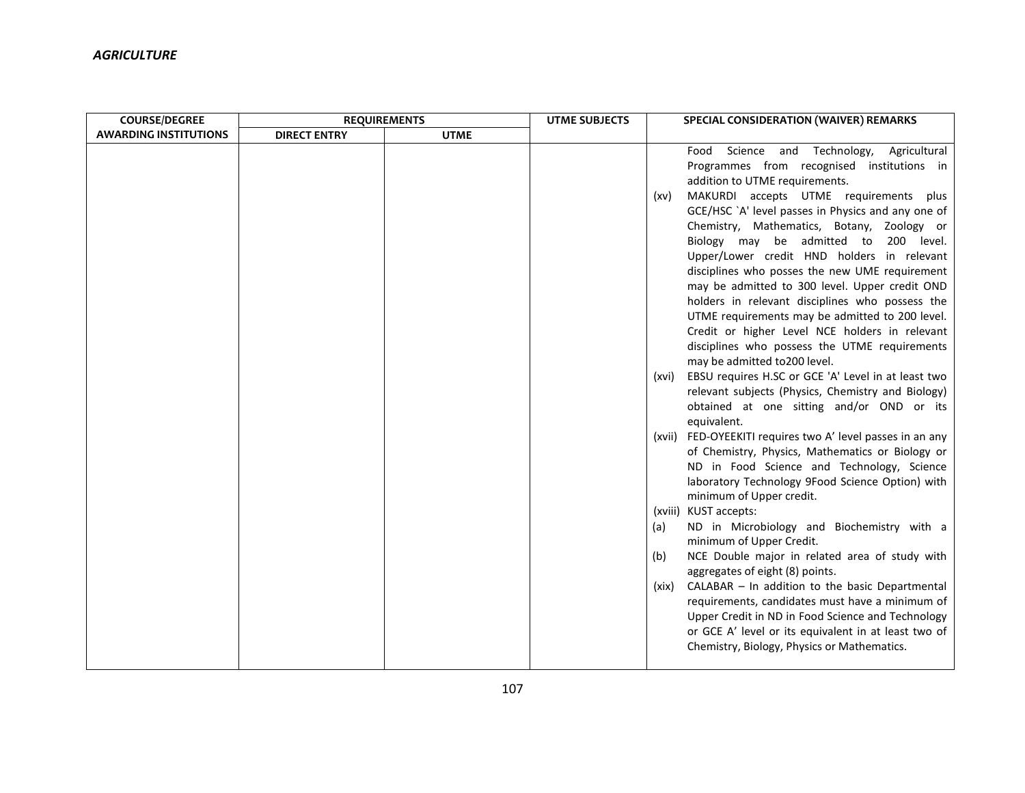| <b>COURSE/DEGREE</b>         | <b>REQUIREMENTS</b> |             | <b>UTME SUBJECTS</b> |                                      | SPECIAL CONSIDERATION (WAIVER) REMARKS                                                                                                                                                                                                                                                                                                                                                                                                                                                                                                                                                                                                                                                                                                                                                                                                                                                                                                                                                                                                                                                                                                                                                                                                                                                                                                                                                                                                                                                                                                                                                            |
|------------------------------|---------------------|-------------|----------------------|--------------------------------------|---------------------------------------------------------------------------------------------------------------------------------------------------------------------------------------------------------------------------------------------------------------------------------------------------------------------------------------------------------------------------------------------------------------------------------------------------------------------------------------------------------------------------------------------------------------------------------------------------------------------------------------------------------------------------------------------------------------------------------------------------------------------------------------------------------------------------------------------------------------------------------------------------------------------------------------------------------------------------------------------------------------------------------------------------------------------------------------------------------------------------------------------------------------------------------------------------------------------------------------------------------------------------------------------------------------------------------------------------------------------------------------------------------------------------------------------------------------------------------------------------------------------------------------------------------------------------------------------------|
| <b>AWARDING INSTITUTIONS</b> | <b>DIRECT ENTRY</b> | <b>UTME</b> |                      |                                      |                                                                                                                                                                                                                                                                                                                                                                                                                                                                                                                                                                                                                                                                                                                                                                                                                                                                                                                                                                                                                                                                                                                                                                                                                                                                                                                                                                                                                                                                                                                                                                                                   |
|                              |                     |             |                      | (xv)<br>(xvi)<br>(a)<br>(b)<br>(xix) | Food Science and Technology,<br>Agricultural<br>Programmes from recognised institutions in<br>addition to UTME requirements.<br>MAKURDI accepts UTME requirements plus<br>GCE/HSC `A' level passes in Physics and any one of<br>Chemistry, Mathematics, Botany, Zoology or<br>Biology may be admitted to 200 level.<br>Upper/Lower credit HND holders in relevant<br>disciplines who posses the new UME requirement<br>may be admitted to 300 level. Upper credit OND<br>holders in relevant disciplines who possess the<br>UTME requirements may be admitted to 200 level.<br>Credit or higher Level NCE holders in relevant<br>disciplines who possess the UTME requirements<br>may be admitted to200 level.<br>EBSU requires H.SC or GCE 'A' Level in at least two<br>relevant subjects (Physics, Chemistry and Biology)<br>obtained at one sitting and/or OND or its<br>equivalent.<br>(xvii) FED-OYEEKITI requires two A' level passes in an any<br>of Chemistry, Physics, Mathematics or Biology or<br>ND in Food Science and Technology, Science<br>laboratory Technology 9Food Science Option) with<br>minimum of Upper credit.<br>(xviii) KUST accepts:<br>ND in Microbiology and Biochemistry with a<br>minimum of Upper Credit.<br>NCE Double major in related area of study with<br>aggregates of eight (8) points.<br>CALABAR - In addition to the basic Departmental<br>requirements, candidates must have a minimum of<br>Upper Credit in ND in Food Science and Technology<br>or GCE A' level or its equivalent in at least two of<br>Chemistry, Biology, Physics or Mathematics. |
|                              |                     |             |                      |                                      |                                                                                                                                                                                                                                                                                                                                                                                                                                                                                                                                                                                                                                                                                                                                                                                                                                                                                                                                                                                                                                                                                                                                                                                                                                                                                                                                                                                                                                                                                                                                                                                                   |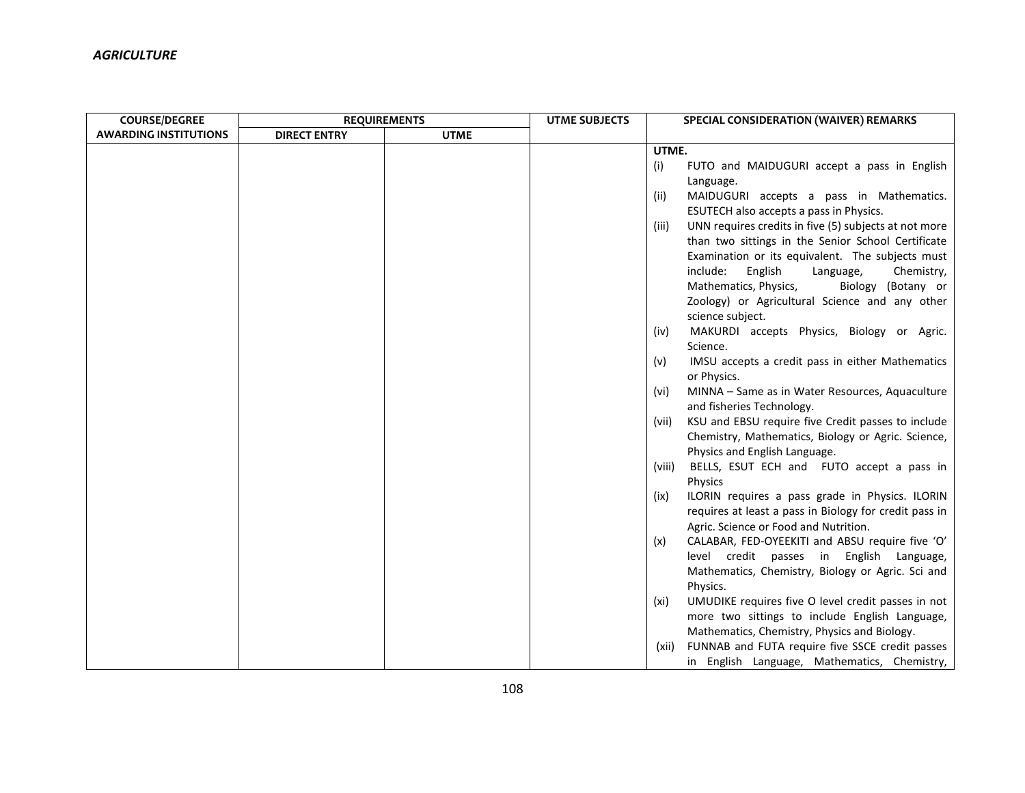| <b>COURSE/DEGREE</b>         | <b>REQUIREMENTS</b> |             | <b>UTME SUBJECTS</b> |        | SPECIAL CONSIDERATION (WAIVER) REMARKS                 |
|------------------------------|---------------------|-------------|----------------------|--------|--------------------------------------------------------|
| <b>AWARDING INSTITUTIONS</b> | <b>DIRECT ENTRY</b> | <b>UTME</b> |                      |        |                                                        |
|                              |                     |             |                      | UTME.  |                                                        |
|                              |                     |             |                      | (i)    | FUTO and MAIDUGURI accept a pass in English            |
|                              |                     |             |                      |        | Language.                                              |
|                              |                     |             |                      | (ii)   | MAIDUGURI accepts a pass in Mathematics.               |
|                              |                     |             |                      |        | ESUTECH also accepts a pass in Physics.                |
|                              |                     |             |                      | (iii)  | UNN requires credits in five (5) subjects at not more  |
|                              |                     |             |                      |        | than two sittings in the Senior School Certificate     |
|                              |                     |             |                      |        | Examination or its equivalent. The subjects must       |
|                              |                     |             |                      |        | include:<br>English<br>Language,<br>Chemistry,         |
|                              |                     |             |                      |        | Mathematics, Physics,<br>Biology (Botany or            |
|                              |                     |             |                      |        | Zoology) or Agricultural Science and any other         |
|                              |                     |             |                      |        | science subject.                                       |
|                              |                     |             |                      | (iv)   | MAKURDI accepts Physics, Biology or Agric.             |
|                              |                     |             |                      |        | Science.                                               |
|                              |                     |             |                      | (v)    | IMSU accepts a credit pass in either Mathematics       |
|                              |                     |             |                      |        | or Physics.                                            |
|                              |                     |             |                      | (vi)   | MINNA - Same as in Water Resources, Aquaculture        |
|                              |                     |             |                      |        | and fisheries Technology.                              |
|                              |                     |             |                      | (vii)  | KSU and EBSU require five Credit passes to include     |
|                              |                     |             |                      |        | Chemistry, Mathematics, Biology or Agric. Science,     |
|                              |                     |             |                      |        | Physics and English Language.                          |
|                              |                     |             |                      | (viii) | BELLS, ESUT ECH and FUTO accept a pass in              |
|                              |                     |             |                      |        | Physics                                                |
|                              |                     |             |                      | (ix)   | ILORIN requires a pass grade in Physics. ILORIN        |
|                              |                     |             |                      |        | requires at least a pass in Biology for credit pass in |
|                              |                     |             |                      |        | Agric. Science or Food and Nutrition.                  |
|                              |                     |             |                      | (x)    | CALABAR, FED-OYEEKITI and ABSU require five 'O'        |
|                              |                     |             |                      |        | level credit passes in English Language,               |
|                              |                     |             |                      |        | Mathematics, Chemistry, Biology or Agric. Sci and      |
|                              |                     |             |                      |        | Physics.                                               |
|                              |                     |             |                      | (xi)   | UMUDIKE requires five O level credit passes in not     |
|                              |                     |             |                      |        | more two sittings to include English Language,         |
|                              |                     |             |                      |        | Mathematics, Chemistry, Physics and Biology.           |
|                              |                     |             |                      | (xii)  | FUNNAB and FUTA require five SSCE credit passes        |
|                              |                     |             |                      |        | in English Language, Mathematics, Chemistry,           |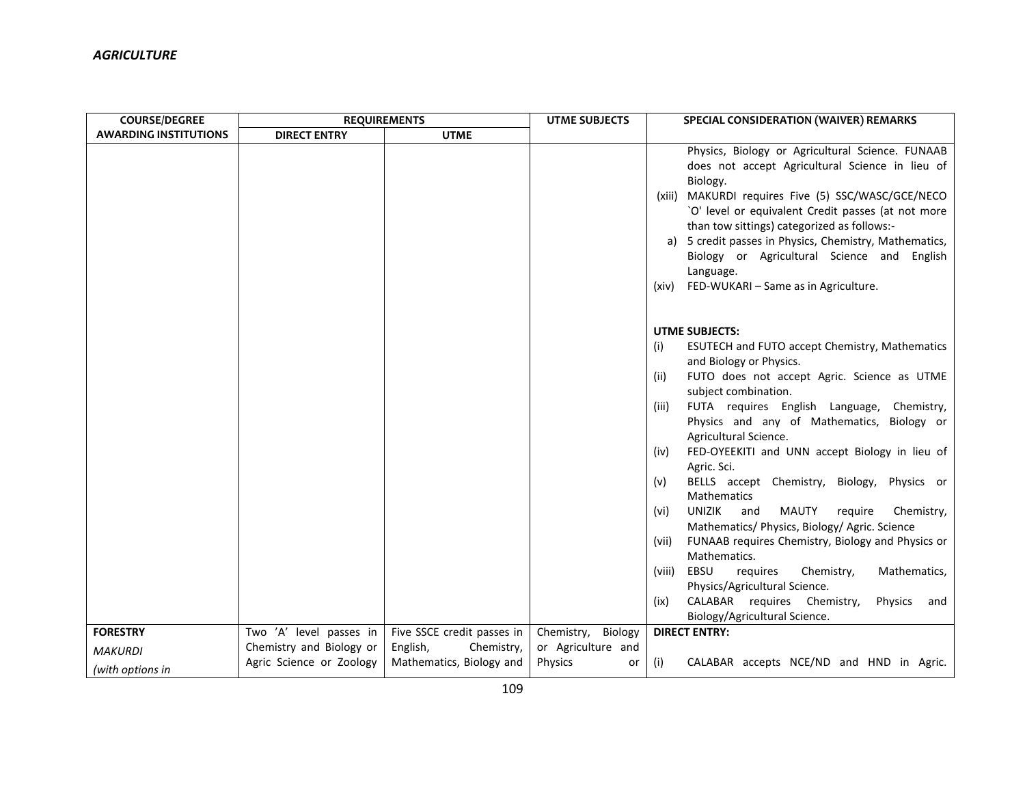| <b>COURSE/DEGREE</b>         | <b>REQUIREMENTS</b>      |                            | <b>UTME SUBJECTS</b> | SPECIAL CONSIDERATION (WAIVER) REMARKS                                                                                                                                                                                                                                                                                                                                                                                                                                                                                                                                                                                                                                                                                                                                                                                                                                        |
|------------------------------|--------------------------|----------------------------|----------------------|-------------------------------------------------------------------------------------------------------------------------------------------------------------------------------------------------------------------------------------------------------------------------------------------------------------------------------------------------------------------------------------------------------------------------------------------------------------------------------------------------------------------------------------------------------------------------------------------------------------------------------------------------------------------------------------------------------------------------------------------------------------------------------------------------------------------------------------------------------------------------------|
| <b>AWARDING INSTITUTIONS</b> | <b>DIRECT ENTRY</b>      | <b>UTME</b>                |                      |                                                                                                                                                                                                                                                                                                                                                                                                                                                                                                                                                                                                                                                                                                                                                                                                                                                                               |
|                              |                          |                            |                      | Physics, Biology or Agricultural Science. FUNAAB<br>does not accept Agricultural Science in lieu of<br>Biology.<br>MAKURDI requires Five (5) SSC/WASC/GCE/NECO<br>(xiii)<br>`O' level or equivalent Credit passes (at not more<br>than tow sittings) categorized as follows:-<br>a) 5 credit passes in Physics, Chemistry, Mathematics,<br>Biology or Agricultural Science and English<br>Language.<br>(xiv) FED-WUKARI - Same as in Agriculture.                                                                                                                                                                                                                                                                                                                                                                                                                             |
|                              |                          |                            |                      | <b>UTME SUBJECTS:</b><br>(i)<br><b>ESUTECH and FUTO accept Chemistry, Mathematics</b><br>and Biology or Physics.<br>FUTO does not accept Agric. Science as UTME<br>(ii)<br>subject combination.<br>FUTA requires English Language,<br>Chemistry,<br>(iii)<br>Physics and any of Mathematics, Biology or<br>Agricultural Science.<br>FED-OYEEKITI and UNN accept Biology in lieu of<br>(iv)<br>Agric. Sci.<br>BELLS accept Chemistry, Biology, Physics or<br>(v)<br>Mathematics<br><b>UNIZIK</b><br><b>MAUTY</b><br>and<br>require<br>Chemistry,<br>(vi)<br>Mathematics/ Physics, Biology/ Agric. Science<br>FUNAAB requires Chemistry, Biology and Physics or<br>(vii)<br>Mathematics.<br>EBSU<br>requires<br>Chemistry,<br>Mathematics,<br>(viii)<br>Physics/Agricultural Science.<br>CALABAR requires Chemistry,<br>Physics<br>(ix)<br>and<br>Biology/Agricultural Science. |
| <b>FORESTRY</b>              | Two 'A' level passes in  | Five SSCE credit passes in | Chemistry, Biology   | <b>DIRECT ENTRY:</b>                                                                                                                                                                                                                                                                                                                                                                                                                                                                                                                                                                                                                                                                                                                                                                                                                                                          |
| <b>MAKURDI</b>               | Chemistry and Biology or | English,<br>Chemistry,     | or Agriculture and   |                                                                                                                                                                                                                                                                                                                                                                                                                                                                                                                                                                                                                                                                                                                                                                                                                                                                               |
| (with options in             | Agric Science or Zoology | Mathematics, Biology and   | <b>Physics</b><br>or | CALABAR accepts NCE/ND and HND in Agric.<br>(i)                                                                                                                                                                                                                                                                                                                                                                                                                                                                                                                                                                                                                                                                                                                                                                                                                               |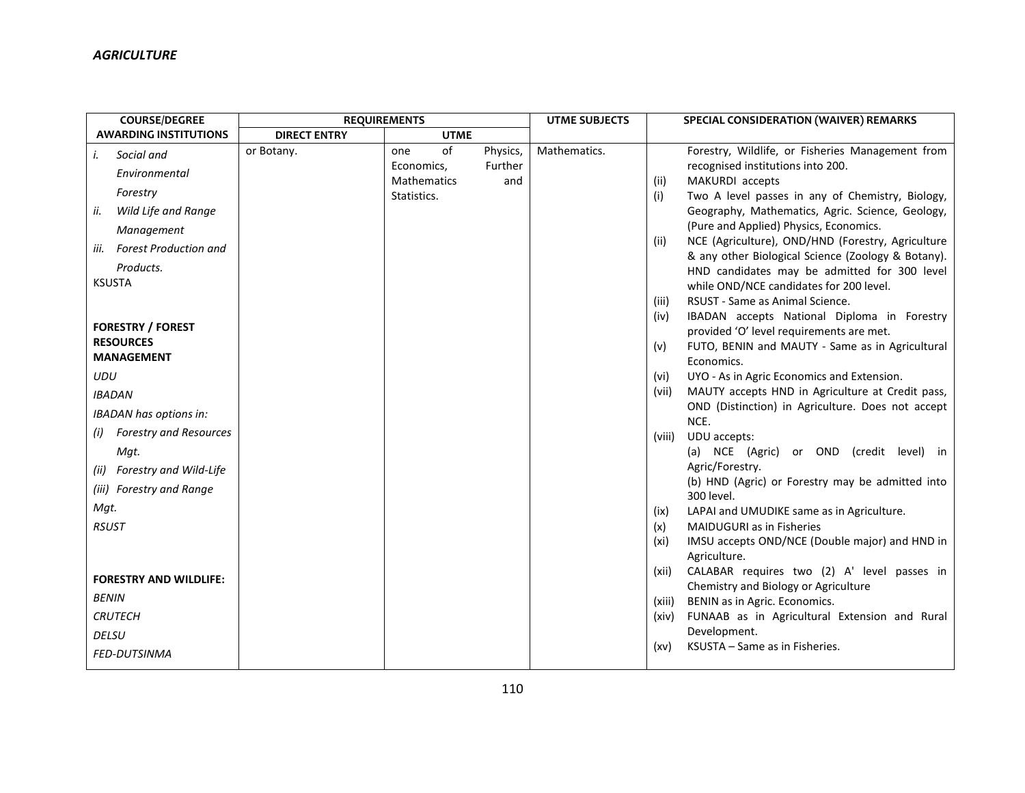| <b>COURSE/DEGREE</b>                 |                     | <b>REQUIREMENTS</b> |          | <b>UTME SUBJECTS</b> |        | SPECIAL CONSIDERATION (WAIVER) REMARKS                                                               |
|--------------------------------------|---------------------|---------------------|----------|----------------------|--------|------------------------------------------------------------------------------------------------------|
| <b>AWARDING INSTITUTIONS</b>         | <b>DIRECT ENTRY</b> | <b>UTME</b>         |          |                      |        |                                                                                                      |
| i.<br>Social and                     | or Botany.          | of<br>one           | Physics, | Mathematics.         |        | Forestry, Wildlife, or Fisheries Management from                                                     |
| Environmental                        |                     | Economics,          | Further  |                      |        | recognised institutions into 200.                                                                    |
| Forestry                             |                     | <b>Mathematics</b>  | and      |                      | (ii)   | MAKURDI accepts                                                                                      |
| ii.<br>Wild Life and Range           |                     | Statistics.         |          |                      | (i)    | Two A level passes in any of Chemistry, Biology,<br>Geography, Mathematics, Agric. Science, Geology, |
| Management                           |                     |                     |          |                      |        | (Pure and Applied) Physics, Economics.                                                               |
| <b>Forest Production and</b><br>iii. |                     |                     |          |                      | (ii)   | NCE (Agriculture), OND/HND (Forestry, Agriculture                                                    |
|                                      |                     |                     |          |                      |        | & any other Biological Science (Zoology & Botany).                                                   |
| Products.<br><b>KSUSTA</b>           |                     |                     |          |                      |        | HND candidates may be admitted for 300 level                                                         |
|                                      |                     |                     |          |                      |        | while OND/NCE candidates for 200 level.                                                              |
|                                      |                     |                     |          |                      | (iii)  | RSUST - Same as Animal Science.                                                                      |
| <b>FORESTRY / FOREST</b>             |                     |                     |          |                      | (iv)   | IBADAN accepts National Diploma in Forestry                                                          |
| <b>RESOURCES</b>                     |                     |                     |          |                      | (v)    | provided 'O' level requirements are met.<br>FUTO, BENIN and MAUTY - Same as in Agricultural          |
| <b>MANAGEMENT</b>                    |                     |                     |          |                      |        | Economics.                                                                                           |
| <b>UDU</b>                           |                     |                     |          |                      | (vi)   | UYO - As in Agric Economics and Extension.                                                           |
| <b>IBADAN</b>                        |                     |                     |          |                      | (vii)  | MAUTY accepts HND in Agriculture at Credit pass,                                                     |
| <b>IBADAN has options in:</b>        |                     |                     |          |                      |        | OND (Distinction) in Agriculture. Does not accept                                                    |
| <b>Forestry and Resources</b><br>(i) |                     |                     |          |                      |        | NCE.                                                                                                 |
| Mqt.                                 |                     |                     |          |                      | (viii) | UDU accepts:<br>(a) NCE (Agric)<br>or OND (credit level) in                                          |
| Forestry and Wild-Life<br>(ii)       |                     |                     |          |                      |        | Agric/Forestry.                                                                                      |
| (iii) Forestry and Range             |                     |                     |          |                      |        | (b) HND (Agric) or Forestry may be admitted into                                                     |
|                                      |                     |                     |          |                      |        | 300 level.                                                                                           |
| Mqt.                                 |                     |                     |          |                      | (ix)   | LAPAI and UMUDIKE same as in Agriculture.                                                            |
| <b>RSUST</b>                         |                     |                     |          |                      | (x)    | <b>MAIDUGURI</b> as in Fisheries                                                                     |
|                                      |                     |                     |          |                      | (xi)   | IMSU accepts OND/NCE (Double major) and HND in                                                       |
|                                      |                     |                     |          |                      | (xii)  | Agriculture.<br>CALABAR requires two (2) A' level passes in                                          |
| <b>FORESTRY AND WILDLIFE:</b>        |                     |                     |          |                      |        | Chemistry and Biology or Agriculture                                                                 |
| <b>BENIN</b>                         |                     |                     |          |                      | (xiii) | BENIN as in Agric. Economics.                                                                        |
| <b>CRUTECH</b>                       |                     |                     |          |                      | (xiv)  | FUNAAB as in Agricultural Extension and Rural                                                        |
| <b>DELSU</b>                         |                     |                     |          |                      |        | Development.                                                                                         |
| FED-DUTSINMA                         |                     |                     |          |                      | (xv)   | KSUSTA - Same as in Fisheries.                                                                       |
|                                      |                     |                     |          |                      |        |                                                                                                      |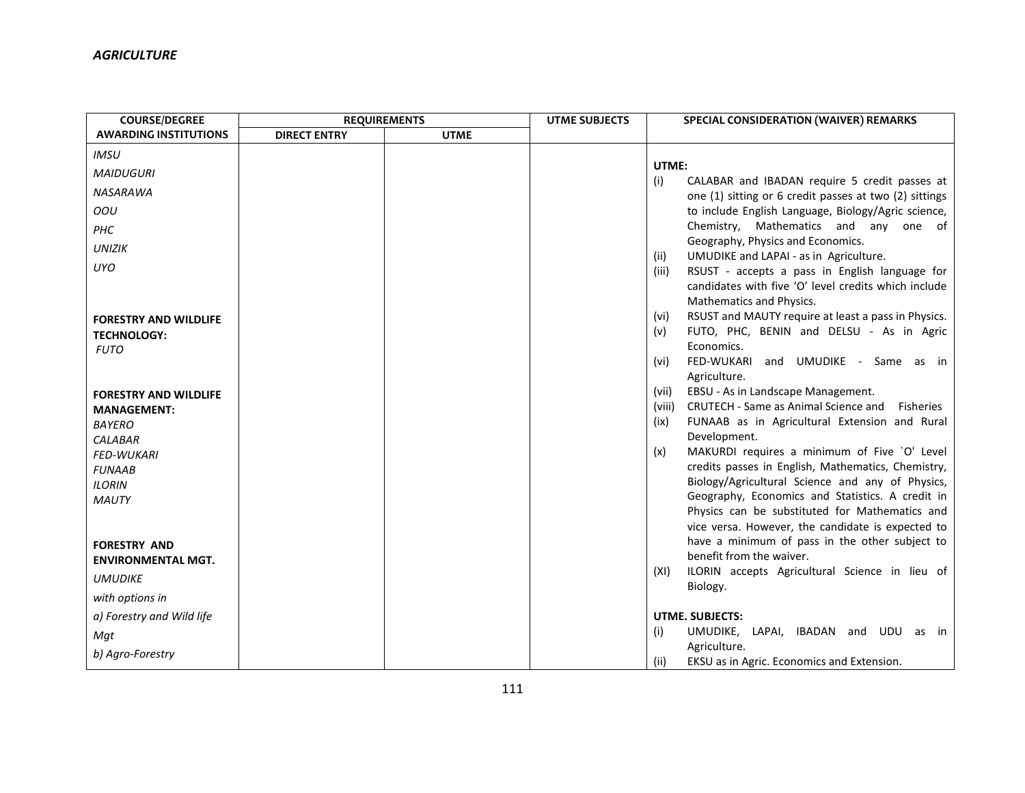| <b>COURSE/DEGREE</b>                | <b>REQUIREMENTS</b> |             | <b>UTME SUBJECTS</b> | SPECIAL CONSIDERATION (WAIVER) REMARKS                                                                        |
|-------------------------------------|---------------------|-------------|----------------------|---------------------------------------------------------------------------------------------------------------|
| <b>AWARDING INSTITUTIONS</b>        | <b>DIRECT ENTRY</b> | <b>UTME</b> |                      |                                                                                                               |
| <b>IMSU</b>                         |                     |             |                      |                                                                                                               |
| <b>MAIDUGURI</b>                    |                     |             |                      | UTME:                                                                                                         |
| <b>NASARAWA</b>                     |                     |             |                      | CALABAR and IBADAN require 5 credit passes at<br>(i)                                                          |
| OOU                                 |                     |             |                      | one (1) sitting or 6 credit passes at two (2) sittings<br>to include English Language, Biology/Agric science, |
|                                     |                     |             |                      | Chemistry, Mathematics and any one of                                                                         |
| PHC                                 |                     |             |                      | Geography, Physics and Economics.                                                                             |
| <b>UNIZIK</b>                       |                     |             |                      | UMUDIKE and LAPAI - as in Agriculture.<br>(ii)                                                                |
| <b>UYO</b>                          |                     |             |                      | RSUST - accepts a pass in English language for<br>(iii)                                                       |
|                                     |                     |             |                      | candidates with five 'O' level credits which include                                                          |
|                                     |                     |             |                      | Mathematics and Physics.                                                                                      |
| <b>FORESTRY AND WILDLIFE</b>        |                     |             |                      | RSUST and MAUTY require at least a pass in Physics.<br>(vi)                                                   |
| <b>TECHNOLOGY:</b>                  |                     |             |                      | FUTO, PHC, BENIN and DELSU - As in Agric<br>(v)                                                               |
| <b>FUTO</b>                         |                     |             |                      | Economics.                                                                                                    |
|                                     |                     |             |                      | FED-WUKARI and UMUDIKE - Same as in<br>(vi)                                                                   |
|                                     |                     |             |                      | Agriculture.                                                                                                  |
| <b>FORESTRY AND WILDLIFE</b>        |                     |             |                      | EBSU - As in Landscape Management.<br>(vii)<br>CRUTECH - Same as Animal Science and<br>Fisheries<br>(viii)    |
| <b>MANAGEMENT:</b>                  |                     |             |                      | FUNAAB as in Agricultural Extension and Rural<br>(ix)                                                         |
| <b>BAYERO</b>                       |                     |             |                      | Development.                                                                                                  |
| <b>CALABAR</b><br><b>FED-WUKARI</b> |                     |             |                      | MAKURDI requires a minimum of Five `O' Level<br>(x)                                                           |
| <b>FUNAAB</b>                       |                     |             |                      | credits passes in English, Mathematics, Chemistry,                                                            |
| <b>ILORIN</b>                       |                     |             |                      | Biology/Agricultural Science and any of Physics,                                                              |
| <b>MAUTY</b>                        |                     |             |                      | Geography, Economics and Statistics. A credit in                                                              |
|                                     |                     |             |                      | Physics can be substituted for Mathematics and                                                                |
|                                     |                     |             |                      | vice versa. However, the candidate is expected to                                                             |
| <b>FORESTRY AND</b>                 |                     |             |                      | have a minimum of pass in the other subject to                                                                |
| <b>ENVIRONMENTAL MGT.</b>           |                     |             |                      | benefit from the waiver.                                                                                      |
| <b>UMUDIKE</b>                      |                     |             |                      | ILORIN accepts Agricultural Science in lieu of<br>(XI)                                                        |
| with options in                     |                     |             |                      | Biology.                                                                                                      |
| a) Forestry and Wild life           |                     |             |                      | <b>UTME. SUBJECTS:</b>                                                                                        |
| Mat                                 |                     |             |                      | (i)<br>UMUDIKE, LAPAI, IBADAN and UDU as in                                                                   |
| b) Agro-Forestry                    |                     |             |                      | Agriculture.                                                                                                  |
|                                     |                     |             |                      | (ii)<br>EKSU as in Agric. Economics and Extension.                                                            |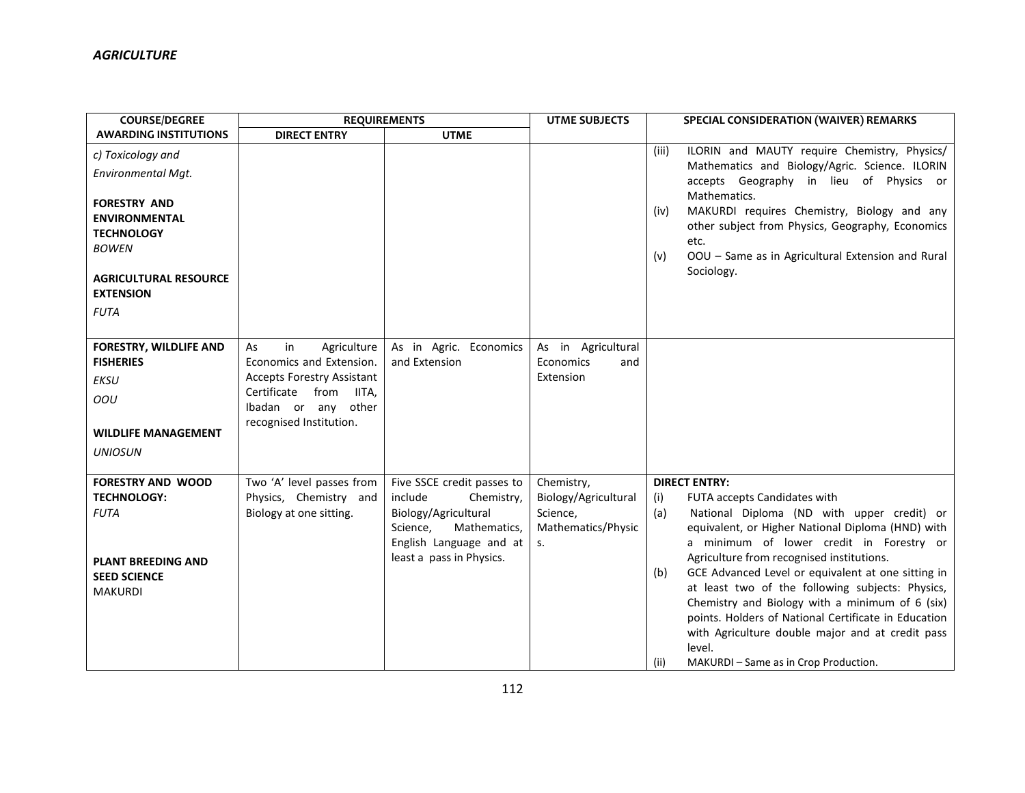| <b>COURSE/DEGREE</b>                                                                                                                | <b>REQUIREMENTS</b>                                                                                                                                                  |                                                                                                                                                                | <b>UTME SUBJECTS</b>                                                       | <b>SPECIAL CONSIDERATION (WAIVER) REMARKS</b>                                                                                                                                                                                                                                                                                                                                                                                                                                                                                                                                                           |  |
|-------------------------------------------------------------------------------------------------------------------------------------|----------------------------------------------------------------------------------------------------------------------------------------------------------------------|----------------------------------------------------------------------------------------------------------------------------------------------------------------|----------------------------------------------------------------------------|---------------------------------------------------------------------------------------------------------------------------------------------------------------------------------------------------------------------------------------------------------------------------------------------------------------------------------------------------------------------------------------------------------------------------------------------------------------------------------------------------------------------------------------------------------------------------------------------------------|--|
| <b>AWARDING INSTITUTIONS</b>                                                                                                        | <b>DIRECT ENTRY</b>                                                                                                                                                  | <b>UTME</b>                                                                                                                                                    |                                                                            |                                                                                                                                                                                                                                                                                                                                                                                                                                                                                                                                                                                                         |  |
| c) Toxicology and<br>Environmental Mgt.<br><b>FORESTRY AND</b>                                                                      |                                                                                                                                                                      |                                                                                                                                                                |                                                                            | ILORIN and MAUTY require Chemistry, Physics/<br>(iii)<br>Mathematics and Biology/Agric. Science. ILORIN<br>accepts Geography in lieu of Physics or<br>Mathematics.                                                                                                                                                                                                                                                                                                                                                                                                                                      |  |
| <b>ENVIRONMENTAL</b><br><b>TECHNOLOGY</b><br><b>BOWEN</b><br><b>AGRICULTURAL RESOURCE</b><br><b>EXTENSION</b><br><b>FUTA</b>        |                                                                                                                                                                      |                                                                                                                                                                |                                                                            | MAKURDI requires Chemistry, Biology and any<br>(iv)<br>other subject from Physics, Geography, Economics<br>etc.<br>OOU - Same as in Agricultural Extension and Rural<br>(v)<br>Sociology.                                                                                                                                                                                                                                                                                                                                                                                                               |  |
|                                                                                                                                     |                                                                                                                                                                      |                                                                                                                                                                |                                                                            |                                                                                                                                                                                                                                                                                                                                                                                                                                                                                                                                                                                                         |  |
| <b>FORESTRY, WILDLIFE AND</b><br><b>FISHERIES</b><br><b>EKSU</b><br>OOU<br><b>WILDLIFE MANAGEMENT</b><br><b>UNIOSUN</b>             | in<br>Agriculture<br>As<br>Economics and Extension.<br><b>Accepts Forestry Assistant</b><br>Certificate from IITA.<br>Ibadan or any other<br>recognised Institution. | As in Agric. Economics<br>and Extension                                                                                                                        | As in Agricultural<br>Economics<br>and<br>Extension                        |                                                                                                                                                                                                                                                                                                                                                                                                                                                                                                                                                                                                         |  |
| <b>FORESTRY AND WOOD</b><br><b>TECHNOLOGY:</b><br><b>FUTA</b><br><b>PLANT BREEDING AND</b><br><b>SEED SCIENCE</b><br><b>MAKURDI</b> | Two 'A' level passes from<br>Physics, Chemistry and<br>Biology at one sitting.                                                                                       | Five SSCE credit passes to<br>include<br>Chemistry,<br>Biology/Agricultural<br>Science,<br>Mathematics,<br>English Language and at<br>least a pass in Physics. | Chemistry,<br>Biology/Agricultural<br>Science,<br>Mathematics/Physic<br>S. | <b>DIRECT ENTRY:</b><br>FUTA accepts Candidates with<br>(i)<br>(a)<br>National Diploma (ND with upper credit) or<br>equivalent, or Higher National Diploma (HND) with<br>a minimum of lower credit in Forestry or<br>Agriculture from recognised institutions.<br>GCE Advanced Level or equivalent at one sitting in<br>(b)<br>at least two of the following subjects: Physics,<br>Chemistry and Biology with a minimum of 6 (six)<br>points. Holders of National Certificate in Education<br>with Agriculture double major and at credit pass<br>level.<br>MAKURDI-Same as in Crop Production.<br>(ii) |  |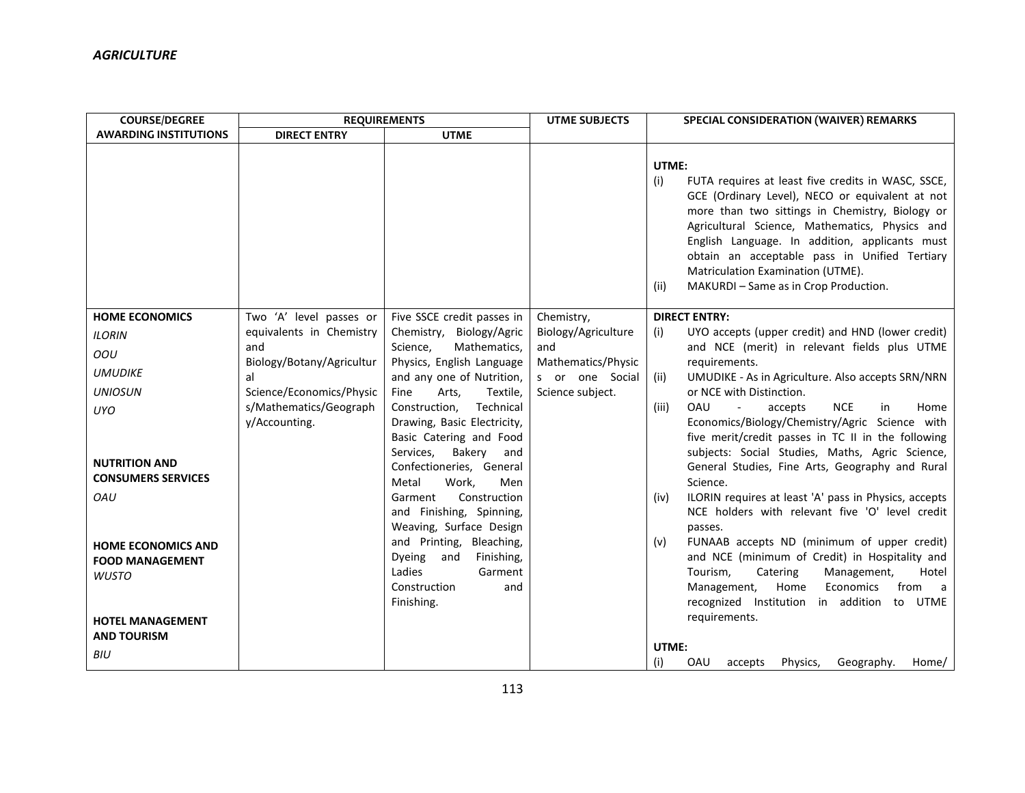| <b>COURSE/DEGREE</b>                              | <b>REQUIREMENTS</b>                     |                                                                                 | <b>UTME SUBJECTS</b>       | SPECIAL CONSIDERATION (WAIVER) REMARKS                                                                                                                                                                                                                                                                                                                                                                              |
|---------------------------------------------------|-----------------------------------------|---------------------------------------------------------------------------------|----------------------------|---------------------------------------------------------------------------------------------------------------------------------------------------------------------------------------------------------------------------------------------------------------------------------------------------------------------------------------------------------------------------------------------------------------------|
| <b>AWARDING INSTITUTIONS</b>                      | <b>DIRECT ENTRY</b>                     | <b>UTME</b>                                                                     |                            |                                                                                                                                                                                                                                                                                                                                                                                                                     |
|                                                   |                                         |                                                                                 |                            | UTME:<br>FUTA requires at least five credits in WASC, SSCE,<br>(i)<br>GCE (Ordinary Level), NECO or equivalent at not<br>more than two sittings in Chemistry, Biology or<br>Agricultural Science, Mathematics, Physics and<br>English Language. In addition, applicants must<br>obtain an acceptable pass in Unified Tertiary<br>Matriculation Examination (UTME).<br>MAKURDI - Same as in Crop Production.<br>(ii) |
| <b>HOME ECONOMICS</b>                             | Two 'A' level passes or                 | Five SSCE credit passes in                                                      | Chemistry,                 | <b>DIRECT ENTRY:</b>                                                                                                                                                                                                                                                                                                                                                                                                |
| <b>ILORIN</b>                                     | equivalents in Chemistry                | Chemistry, Biology/Agric                                                        | Biology/Agriculture<br>and | UYO accepts (upper credit) and HND (lower credit)<br>(i)                                                                                                                                                                                                                                                                                                                                                            |
| OOU                                               | and<br>Biology/Botany/Agricultur        | Science.<br>Mathematics,<br>Physics, English Language                           | Mathematics/Physic         | and NCE (merit) in relevant fields plus UTME<br>requirements.                                                                                                                                                                                                                                                                                                                                                       |
| <b>UMUDIKE</b>                                    | al                                      | and any one of Nutrition,                                                       | s or one Social            | UMUDIKE - As in Agriculture. Also accepts SRN/NRN<br>(ii)                                                                                                                                                                                                                                                                                                                                                           |
| <b>UNIOSUN</b>                                    | Science/Economics/Physic                | Arts,<br>Textile,<br>Fine                                                       | Science subject.           | or NCE with Distinction.                                                                                                                                                                                                                                                                                                                                                                                            |
| <b>UYO</b>                                        | s/Mathematics/Geograph<br>y/Accounting. | Construction,<br>Technical<br>Drawing, Basic Electricity,                       |                            | <b>OAU</b><br><b>NCE</b><br>(iii)<br>$\blacksquare$<br>accepts<br>in<br>Home<br>Economics/Biology/Chemistry/Agric Science with                                                                                                                                                                                                                                                                                      |
|                                                   |                                         | Basic Catering and Food                                                         |                            | five merit/credit passes in TC II in the following                                                                                                                                                                                                                                                                                                                                                                  |
| <b>NUTRITION AND</b><br><b>CONSUMERS SERVICES</b> |                                         | Services,<br>Bakery<br>and<br>Confectioneries, General<br>Metal<br>Work,<br>Men |                            | subjects: Social Studies, Maths, Agric Science,<br>General Studies, Fine Arts, Geography and Rural<br>Science.                                                                                                                                                                                                                                                                                                      |
| OAU                                               |                                         | Construction<br>Garment                                                         |                            | ILORIN requires at least 'A' pass in Physics, accepts<br>(iv)                                                                                                                                                                                                                                                                                                                                                       |
|                                                   |                                         | and Finishing, Spinning,<br>Weaving, Surface Design                             |                            | NCE holders with relevant five 'O' level credit<br>passes.                                                                                                                                                                                                                                                                                                                                                          |
| <b>HOME ECONOMICS AND</b>                         |                                         | and Printing, Bleaching,                                                        |                            | FUNAAB accepts ND (minimum of upper credit)<br>(v)                                                                                                                                                                                                                                                                                                                                                                  |
| <b>FOOD MANAGEMENT</b>                            |                                         | Dyeing<br>and<br>Finishing,                                                     |                            | and NCE (minimum of Credit) in Hospitality and                                                                                                                                                                                                                                                                                                                                                                      |
| <b>WUSTO</b>                                      |                                         | Ladies<br>Garment                                                               |                            | Tourism,<br>Catering<br>Management,<br>Hotel                                                                                                                                                                                                                                                                                                                                                                        |
|                                                   |                                         | Construction<br>and<br>Finishing.                                               |                            | Home<br>Economics<br>from<br>Management,<br>a a<br>recognized Institution in addition to UTME                                                                                                                                                                                                                                                                                                                       |
| <b>HOTEL MANAGEMENT</b>                           |                                         |                                                                                 |                            | requirements.                                                                                                                                                                                                                                                                                                                                                                                                       |
| <b>AND TOURISM</b>                                |                                         |                                                                                 |                            |                                                                                                                                                                                                                                                                                                                                                                                                                     |
| <b>BIU</b>                                        |                                         |                                                                                 |                            | UTME:                                                                                                                                                                                                                                                                                                                                                                                                               |
|                                                   |                                         |                                                                                 |                            | (i)<br>OAU<br>Geography.<br>Physics,<br>Home/<br>accepts                                                                                                                                                                                                                                                                                                                                                            |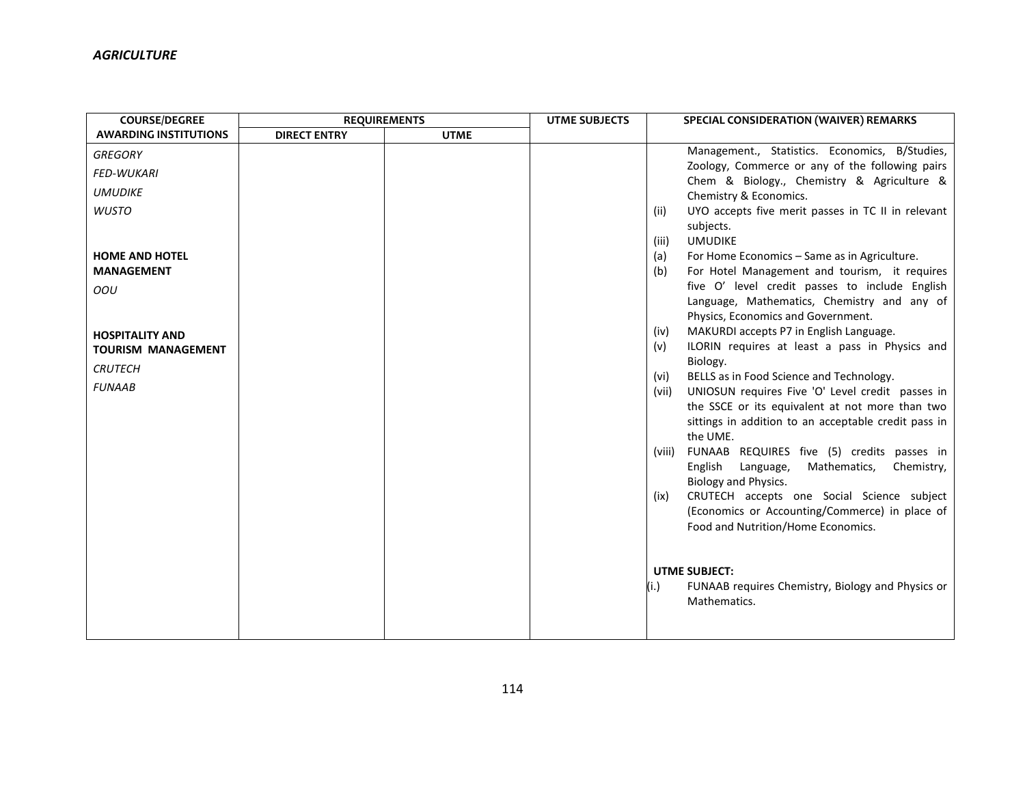| <b>COURSE/DEGREE</b>         | <b>REQUIREMENTS</b> |             | <b>UTME SUBJECTS</b> | SPECIAL CONSIDERATION (WAIVER) REMARKS                                                        |
|------------------------------|---------------------|-------------|----------------------|-----------------------------------------------------------------------------------------------|
| <b>AWARDING INSTITUTIONS</b> | <b>DIRECT ENTRY</b> | <b>UTME</b> |                      |                                                                                               |
| <b>GREGORY</b>               |                     |             |                      | Management., Statistics. Economics, B/Studies,                                                |
| <b>FED-WUKARI</b>            |                     |             |                      | Zoology, Commerce or any of the following pairs<br>Chem & Biology., Chemistry & Agriculture & |
| <b>UMUDIKE</b>               |                     |             |                      | Chemistry & Economics.                                                                        |
| <b>WUSTO</b>                 |                     |             |                      | UYO accepts five merit passes in TC II in relevant<br>(ii)                                    |
|                              |                     |             |                      | subjects.                                                                                     |
|                              |                     |             |                      | <b>UMUDIKE</b><br>(iii)                                                                       |
| <b>HOME AND HOTEL</b>        |                     |             |                      | For Home Economics - Same as in Agriculture.<br>(a)                                           |
| <b>MANAGEMENT</b>            |                     |             |                      | For Hotel Management and tourism, it requires<br>(b)                                          |
| OOU                          |                     |             |                      | five O' level credit passes to include English                                                |
|                              |                     |             |                      | Language, Mathematics, Chemistry and any of                                                   |
|                              |                     |             |                      | Physics, Economics and Government.                                                            |
| <b>HOSPITALITY AND</b>       |                     |             |                      | MAKURDI accepts P7 in English Language.<br>(iv)                                               |
| <b>TOURISM MANAGEMENT</b>    |                     |             |                      | ILORIN requires at least a pass in Physics and<br>(v)                                         |
| <b>CRUTECH</b>               |                     |             |                      | Biology.                                                                                      |
| <b>FUNAAB</b>                |                     |             |                      | BELLS as in Food Science and Technology.<br>(vi)                                              |
|                              |                     |             |                      | UNIOSUN requires Five 'O' Level credit passes in<br>(vii)                                     |
|                              |                     |             |                      | the SSCE or its equivalent at not more than two                                               |
|                              |                     |             |                      | sittings in addition to an acceptable credit pass in<br>the UME.                              |
|                              |                     |             |                      | FUNAAB REQUIRES five (5) credits passes in<br>(viii)                                          |
|                              |                     |             |                      | English Language,<br>Mathematics,<br>Chemistry,                                               |
|                              |                     |             |                      | Biology and Physics.                                                                          |
|                              |                     |             |                      | CRUTECH accepts one Social Science subject<br>(ix)                                            |
|                              |                     |             |                      | (Economics or Accounting/Commerce) in place of                                                |
|                              |                     |             |                      | Food and Nutrition/Home Economics.                                                            |
|                              |                     |             |                      |                                                                                               |
|                              |                     |             |                      |                                                                                               |
|                              |                     |             |                      | <b>UTME SUBJECT:</b>                                                                          |
|                              |                     |             |                      | FUNAAB requires Chemistry, Biology and Physics or<br>(i.)                                     |
|                              |                     |             |                      | Mathematics.                                                                                  |
|                              |                     |             |                      |                                                                                               |
|                              |                     |             |                      |                                                                                               |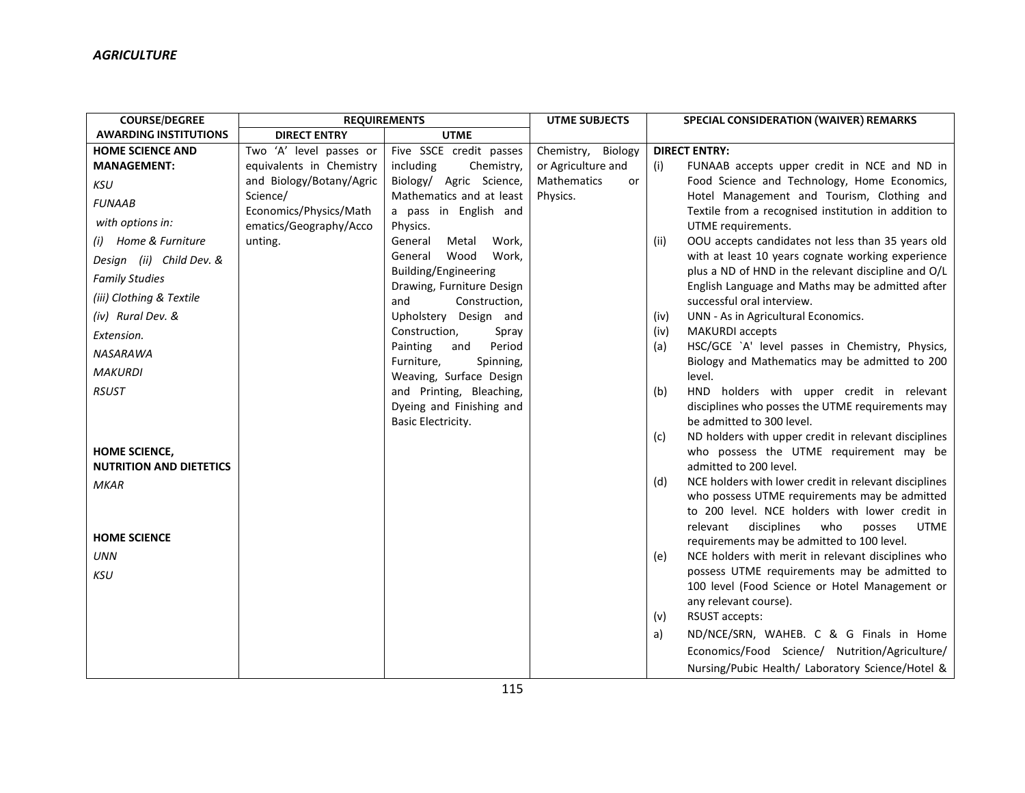| <b>COURSE/DEGREE</b>                            | <b>REQUIREMENTS</b>      |                                                          | <b>UTME SUBJECTS</b>     | SPECIAL CONSIDERATION (WAIVER) REMARKS                                                                  |
|-------------------------------------------------|--------------------------|----------------------------------------------------------|--------------------------|---------------------------------------------------------------------------------------------------------|
| <b>AWARDING INSTITUTIONS</b>                    | <b>DIRECT ENTRY</b>      | <b>UTME</b>                                              |                          |                                                                                                         |
| <b>HOME SCIENCE AND</b>                         | Two 'A' level passes or  | Five SSCE credit passes                                  | Chemistry, Biology       | <b>DIRECT ENTRY:</b>                                                                                    |
| <b>MANAGEMENT:</b>                              | equivalents in Chemistry | including<br>Chemistry,                                  | or Agriculture and       | FUNAAB accepts upper credit in NCE and ND in<br>(i)                                                     |
| <b>KSU</b>                                      | and Biology/Botany/Agric | Biology/ Agric Science,                                  | <b>Mathematics</b><br>or | Food Science and Technology, Home Economics,                                                            |
| <b>FUNAAB</b>                                   | Science/                 | Mathematics and at least                                 | Physics.                 | Hotel Management and Tourism, Clothing and                                                              |
| with options in:                                | Economics/Physics/Math   | a pass in English and                                    |                          | Textile from a recognised institution in addition to                                                    |
|                                                 | ematics/Geography/Acco   | Physics.                                                 |                          | UTME requirements.                                                                                      |
| (i) Home & Furniture                            | unting.                  | General<br>Work,<br>Metal                                |                          | OOU accepts candidates not less than 35 years old<br>(iii)                                              |
| Design (ii) Child Dev. &                        |                          | Wood<br>Work,<br>General                                 |                          | with at least 10 years cognate working experience                                                       |
| <b>Family Studies</b>                           |                          | <b>Building/Engineering</b><br>Drawing, Furniture Design |                          | plus a ND of HND in the relevant discipline and O/L<br>English Language and Maths may be admitted after |
| (iii) Clothing & Textile                        |                          | and<br>Construction,                                     |                          | successful oral interview.                                                                              |
| (iv) Rural Dev. &                               |                          | Upholstery Design and                                    |                          | UNN - As in Agricultural Economics.<br>(iv)                                                             |
| Extension.                                      |                          | Construction,<br>Spray                                   |                          | <b>MAKURDI</b> accepts<br>(iv)                                                                          |
| <b>NASARAWA</b>                                 |                          | Period<br>Painting<br>and                                |                          | HSC/GCE `A' level passes in Chemistry, Physics,<br>(a)                                                  |
|                                                 |                          | Furniture,<br>Spinning,                                  |                          | Biology and Mathematics may be admitted to 200                                                          |
| <b>MAKURDI</b>                                  |                          | Weaving, Surface Design                                  |                          | level.                                                                                                  |
| <b>RSUST</b>                                    |                          | and Printing, Bleaching,                                 |                          | HND holders with upper credit in relevant<br>(b)                                                        |
|                                                 |                          | Dyeing and Finishing and                                 |                          | disciplines who posses the UTME requirements may                                                        |
|                                                 |                          | Basic Electricity.                                       |                          | be admitted to 300 level.                                                                               |
|                                                 |                          |                                                          |                          | ND holders with upper credit in relevant disciplines<br>(c)<br>who possess the UTME requirement may be  |
| HOME SCIENCE,<br><b>NUTRITION AND DIETETICS</b> |                          |                                                          |                          | admitted to 200 level.                                                                                  |
|                                                 |                          |                                                          |                          | NCE holders with lower credit in relevant disciplines<br>(d)                                            |
| <b>MKAR</b>                                     |                          |                                                          |                          | who possess UTME requirements may be admitted                                                           |
|                                                 |                          |                                                          |                          | to 200 level. NCE holders with lower credit in                                                          |
|                                                 |                          |                                                          |                          | disciplines<br>who<br><b>UTME</b><br>relevant<br>posses                                                 |
| <b>HOME SCIENCE</b>                             |                          |                                                          |                          | requirements may be admitted to 100 level.                                                              |
| <b>UNN</b>                                      |                          |                                                          |                          | NCE holders with merit in relevant disciplines who<br>(e)                                               |
| <b>KSU</b>                                      |                          |                                                          |                          | possess UTME requirements may be admitted to                                                            |
|                                                 |                          |                                                          |                          | 100 level (Food Science or Hotel Management or                                                          |
|                                                 |                          |                                                          |                          | any relevant course).                                                                                   |
|                                                 |                          |                                                          |                          | RSUST accepts:<br>(v)                                                                                   |
|                                                 |                          |                                                          |                          | ND/NCE/SRN, WAHEB. C & G Finals in Home<br>a)                                                           |
|                                                 |                          |                                                          |                          | Economics/Food Science/ Nutrition/Agriculture/                                                          |
|                                                 |                          |                                                          |                          | Nursing/Pubic Health/ Laboratory Science/Hotel &                                                        |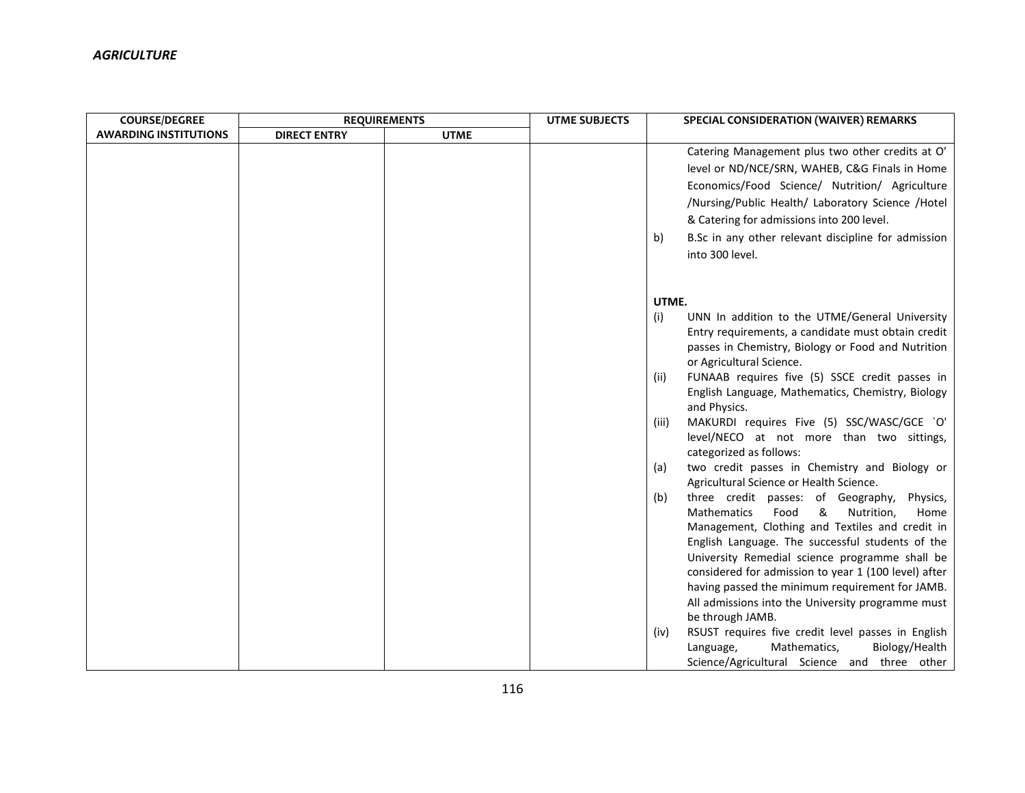| <b>COURSE/DEGREE</b>         | <b>REQUIREMENTS</b> |             | <b>UTME SUBJECTS</b> | SPECIAL CONSIDERATION (WAIVER) REMARKS                                                                                                                                                                                                                                                                                                                                                                                                                                                                                                                                                                                                                                                                                                                                                                                                                                                                                                                                                                      |
|------------------------------|---------------------|-------------|----------------------|-------------------------------------------------------------------------------------------------------------------------------------------------------------------------------------------------------------------------------------------------------------------------------------------------------------------------------------------------------------------------------------------------------------------------------------------------------------------------------------------------------------------------------------------------------------------------------------------------------------------------------------------------------------------------------------------------------------------------------------------------------------------------------------------------------------------------------------------------------------------------------------------------------------------------------------------------------------------------------------------------------------|
| <b>AWARDING INSTITUTIONS</b> | <b>DIRECT ENTRY</b> | <b>UTME</b> |                      |                                                                                                                                                                                                                                                                                                                                                                                                                                                                                                                                                                                                                                                                                                                                                                                                                                                                                                                                                                                                             |
|                              |                     |             |                      | Catering Management plus two other credits at O'<br>level or ND/NCE/SRN, WAHEB, C&G Finals in Home<br>Economics/Food Science/ Nutrition/ Agriculture<br>/Nursing/Public Health/ Laboratory Science /Hotel<br>& Catering for admissions into 200 level.<br>B.Sc in any other relevant discipline for admission<br>b)<br>into 300 level.                                                                                                                                                                                                                                                                                                                                                                                                                                                                                                                                                                                                                                                                      |
|                              |                     |             |                      |                                                                                                                                                                                                                                                                                                                                                                                                                                                                                                                                                                                                                                                                                                                                                                                                                                                                                                                                                                                                             |
|                              |                     |             |                      | UTME.<br>UNN In addition to the UTME/General University<br>(i)<br>Entry requirements, a candidate must obtain credit<br>passes in Chemistry, Biology or Food and Nutrition<br>or Agricultural Science.<br>FUNAAB requires five (5) SSCE credit passes in<br>(ii)<br>English Language, Mathematics, Chemistry, Biology<br>and Physics.<br>MAKURDI requires Five (5) SSC/WASC/GCE `O'<br>(iii)<br>level/NECO at not more than two sittings,<br>categorized as follows:<br>two credit passes in Chemistry and Biology or<br>(a)<br>Agricultural Science or Health Science.<br>three credit passes: of Geography,<br>Physics,<br>(b)<br>Mathematics<br>Food<br>&<br>Nutrition,<br>Home<br>Management, Clothing and Textiles and credit in<br>English Language. The successful students of the<br>University Remedial science programme shall be<br>considered for admission to year 1 (100 level) after<br>having passed the minimum requirement for JAMB.<br>All admissions into the University programme must |
|                              |                     |             |                      | be through JAMB.<br>RSUST requires five credit level passes in English<br>(iv)<br>Mathematics,<br>Biology/Health<br>Language,<br>Science/Agricultural Science and three other                                                                                                                                                                                                                                                                                                                                                                                                                                                                                                                                                                                                                                                                                                                                                                                                                               |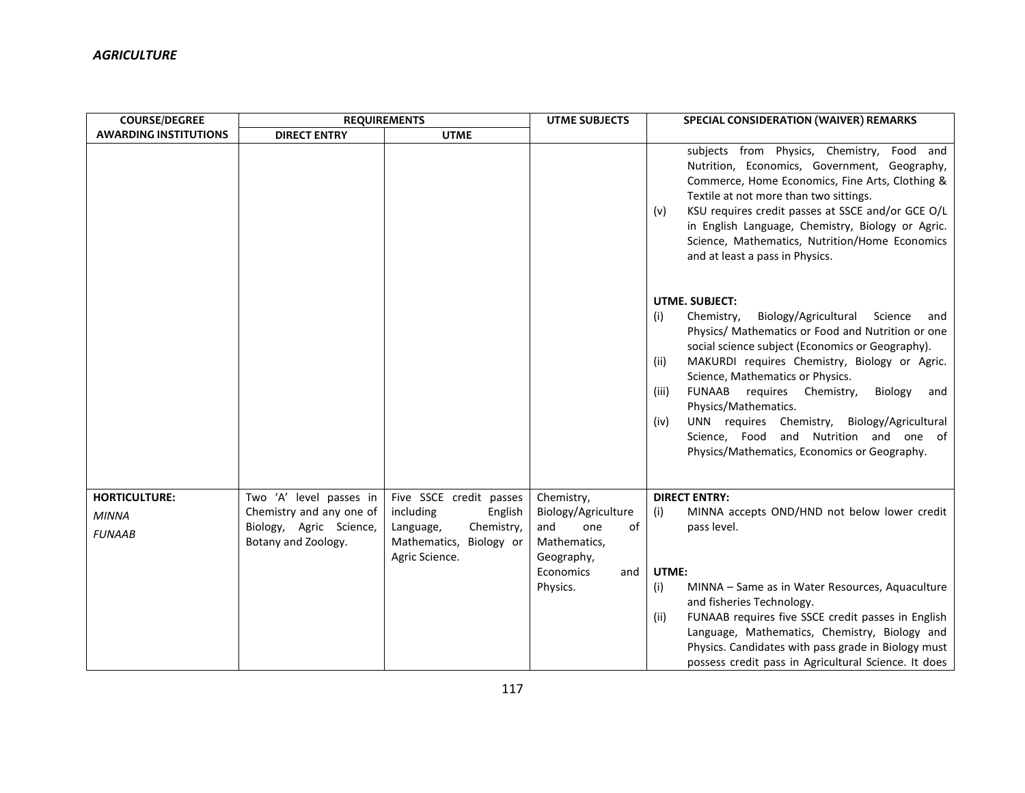| <b>COURSE/DEGREE</b>                                  | <b>REQUIREMENTS</b>                                                                                   |                                                                                                                         | <b>UTME SUBJECTS</b>                                                                                                | SPECIAL CONSIDERATION (WAIVER) REMARKS                                                                                                                                                                                                                                                                                                                                                                                                                                                                                        |  |
|-------------------------------------------------------|-------------------------------------------------------------------------------------------------------|-------------------------------------------------------------------------------------------------------------------------|---------------------------------------------------------------------------------------------------------------------|-------------------------------------------------------------------------------------------------------------------------------------------------------------------------------------------------------------------------------------------------------------------------------------------------------------------------------------------------------------------------------------------------------------------------------------------------------------------------------------------------------------------------------|--|
| <b>AWARDING INSTITUTIONS</b>                          | <b>DIRECT ENTRY</b>                                                                                   | <b>UTME</b>                                                                                                             |                                                                                                                     |                                                                                                                                                                                                                                                                                                                                                                                                                                                                                                                               |  |
|                                                       |                                                                                                       |                                                                                                                         |                                                                                                                     | subjects from Physics, Chemistry, Food and<br>Nutrition, Economics, Government, Geography,<br>Commerce, Home Economics, Fine Arts, Clothing &<br>Textile at not more than two sittings.<br>KSU requires credit passes at SSCE and/or GCE O/L<br>(v)<br>in English Language, Chemistry, Biology or Agric.<br>Science, Mathematics, Nutrition/Home Economics<br>and at least a pass in Physics.                                                                                                                                 |  |
|                                                       |                                                                                                       |                                                                                                                         |                                                                                                                     | <b>UTME, SUBJECT:</b><br>Biology/Agricultural<br>Chemistry,<br>Science<br>(i)<br>and<br>Physics/ Mathematics or Food and Nutrition or one<br>social science subject (Economics or Geography).<br>MAKURDI requires Chemistry, Biology or Agric.<br>(ii)<br>Science, Mathematics or Physics.<br>FUNAAB requires Chemistry,<br>Biology<br>(iii)<br>and<br>Physics/Mathematics.<br>UNN requires Chemistry, Biology/Agricultural<br>(iv)<br>Science, Food and Nutrition and one of<br>Physics/Mathematics, Economics or Geography. |  |
| <b>HORTICULTURE:</b><br><b>MINNA</b><br><b>FUNAAB</b> | Two 'A' level passes in<br>Chemistry and any one of<br>Biology, Agric Science,<br>Botany and Zoology. | Five SSCE credit passes<br>including<br>English<br>Chemistry,<br>Language,<br>Mathematics, Biology or<br>Agric Science. | Chemistry,<br>Biology/Agriculture<br>and<br>of<br>one<br>Mathematics,<br>Geography,<br>Economics<br>and<br>Physics. | <b>DIRECT ENTRY:</b><br>MINNA accepts OND/HND not below lower credit<br>(i)<br>pass level.<br>UTME:<br>MINNA - Same as in Water Resources, Aquaculture<br>(i)<br>and fisheries Technology.<br>FUNAAB requires five SSCE credit passes in English<br>(ii)<br>Language, Mathematics, Chemistry, Biology and<br>Physics. Candidates with pass grade in Biology must<br>possess credit pass in Agricultural Science. It does                                                                                                      |  |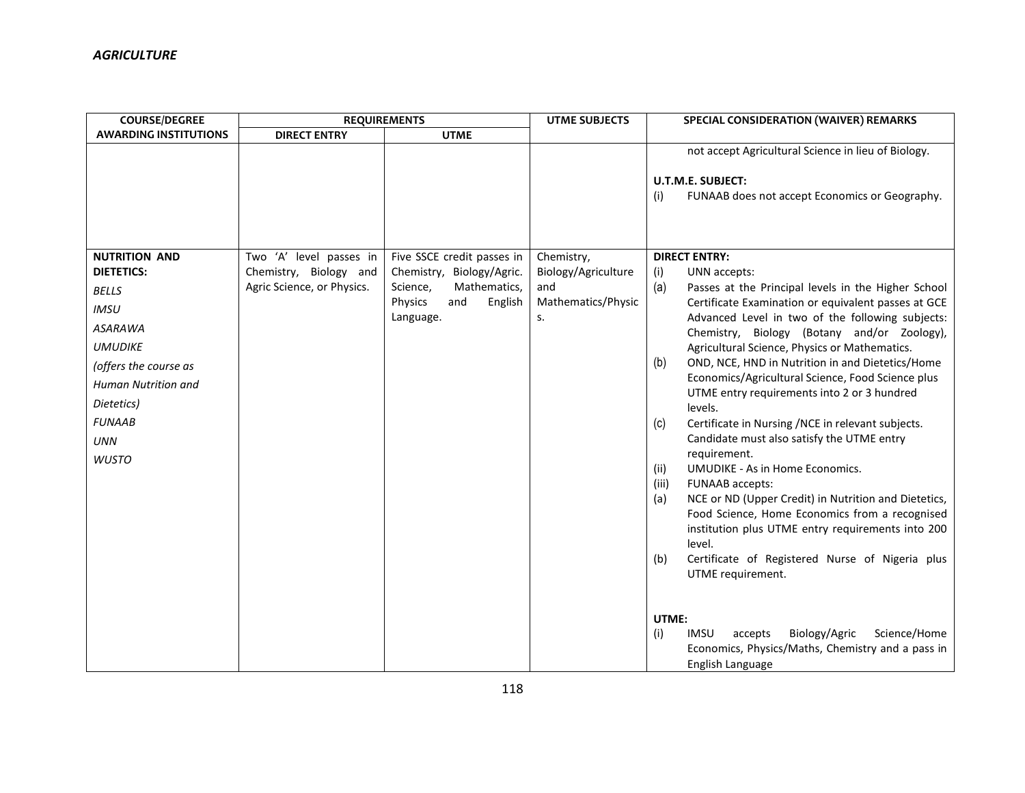| <b>COURSE/DEGREE</b>         | <b>REQUIREMENTS</b>        |                            | <b>UTME SUBJECTS</b> | SPECIAL CONSIDERATION (WAIVER) REMARKS                                                          |
|------------------------------|----------------------------|----------------------------|----------------------|-------------------------------------------------------------------------------------------------|
| <b>AWARDING INSTITUTIONS</b> | <b>DIRECT ENTRY</b>        | <b>UTME</b>                |                      |                                                                                                 |
|                              |                            |                            |                      | not accept Agricultural Science in lieu of Biology.                                             |
|                              |                            |                            |                      | <b>U.T.M.E. SUBJECT:</b>                                                                        |
|                              |                            |                            |                      | FUNAAB does not accept Economics or Geography.<br>(i)                                           |
|                              |                            |                            |                      |                                                                                                 |
|                              |                            |                            |                      |                                                                                                 |
| <b>NUTRITION AND</b>         | Two 'A' level passes in    | Five SSCE credit passes in | Chemistry,           | <b>DIRECT ENTRY:</b>                                                                            |
| <b>DIETETICS:</b>            | Chemistry, Biology and     | Chemistry, Biology/Agric.  | Biology/Agriculture  | UNN accepts:<br>(i)                                                                             |
| <b>BELLS</b>                 | Agric Science, or Physics. | Mathematics,<br>Science,   | and                  | (a)<br>Passes at the Principal levels in the Higher School                                      |
| <b>IMSU</b>                  |                            | Physics<br>English<br>and  | Mathematics/Physic   | Certificate Examination or equivalent passes at GCE                                             |
| <b>ASARAWA</b>               |                            | Language.                  | s.                   | Advanced Level in two of the following subjects:<br>Chemistry, Biology (Botany and/or Zoology), |
| <b>UMUDIKE</b>               |                            |                            |                      | Agricultural Science, Physics or Mathematics.                                                   |
| (offers the course as        |                            |                            |                      | OND, NCE, HND in Nutrition in and Dietetics/Home<br>(b)                                         |
| Human Nutrition and          |                            |                            |                      | Economics/Agricultural Science, Food Science plus                                               |
| Dietetics)                   |                            |                            |                      | UTME entry requirements into 2 or 3 hundred<br>levels.                                          |
| <b>FUNAAB</b>                |                            |                            |                      | Certificate in Nursing / NCE in relevant subjects.<br>(c)                                       |
| <b>UNN</b>                   |                            |                            |                      | Candidate must also satisfy the UTME entry<br>requirement.                                      |
| <b>WUSTO</b>                 |                            |                            |                      | <b>UMUDIKE - As in Home Economics.</b><br>(ii)                                                  |
|                              |                            |                            |                      | (iii)<br>FUNAAB accepts:                                                                        |
|                              |                            |                            |                      | NCE or ND (Upper Credit) in Nutrition and Dietetics,<br>(a)                                     |
|                              |                            |                            |                      | Food Science, Home Economics from a recognised                                                  |
|                              |                            |                            |                      | institution plus UTME entry requirements into 200                                               |
|                              |                            |                            |                      | level.                                                                                          |
|                              |                            |                            |                      | Certificate of Registered Nurse of Nigeria plus<br>(b)                                          |
|                              |                            |                            |                      | UTME requirement.                                                                               |
|                              |                            |                            |                      |                                                                                                 |
|                              |                            |                            |                      | UTME:                                                                                           |
|                              |                            |                            |                      | (i)<br><b>IMSU</b><br>Biology/Agric<br>Science/Home<br>accepts                                  |
|                              |                            |                            |                      | Economics, Physics/Maths, Chemistry and a pass in                                               |
|                              |                            |                            |                      | English Language                                                                                |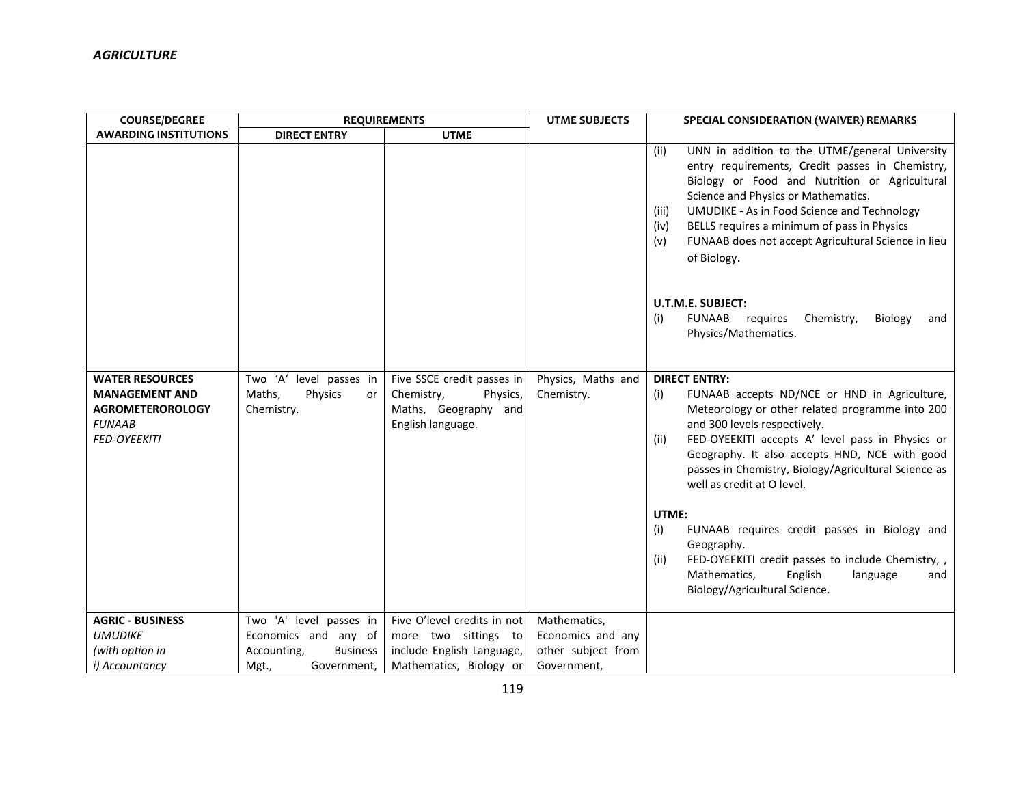| <b>COURSE/DEGREE</b>                                                                                               | <b>REQUIREMENTS</b>                                              |                                                                                                   | <b>UTME SUBJECTS</b>             | SPECIAL CONSIDERATION (WAIVER) REMARKS                                                                                                                                                                                                                                                                                                                                                                                                                                                                                                                                                      |
|--------------------------------------------------------------------------------------------------------------------|------------------------------------------------------------------|---------------------------------------------------------------------------------------------------|----------------------------------|---------------------------------------------------------------------------------------------------------------------------------------------------------------------------------------------------------------------------------------------------------------------------------------------------------------------------------------------------------------------------------------------------------------------------------------------------------------------------------------------------------------------------------------------------------------------------------------------|
| <b>AWARDING INSTITUTIONS</b>                                                                                       | <b>DIRECT ENTRY</b>                                              | <b>UTME</b>                                                                                       |                                  |                                                                                                                                                                                                                                                                                                                                                                                                                                                                                                                                                                                             |
|                                                                                                                    |                                                                  |                                                                                                   |                                  | UNN in addition to the UTME/general University<br>(ii)<br>entry requirements, Credit passes in Chemistry,<br>Biology or Food and Nutrition or Agricultural<br>Science and Physics or Mathematics.<br>UMUDIKE - As in Food Science and Technology<br>(iii)<br>BELLS requires a minimum of pass in Physics<br>(iv)<br>FUNAAB does not accept Agricultural Science in lieu<br>(v)<br>of Biology.<br><b>U.T.M.E. SUBJECT:</b><br><b>FUNAAB</b><br>requires<br>Chemistry,<br>Biology<br>(i)<br>and<br>Physics/Mathematics.                                                                       |
| <b>WATER RESOURCES</b><br><b>MANAGEMENT AND</b><br><b>AGROMETEROROLOGY</b><br><b>FUNAAB</b><br><b>FED-OYEEKITI</b> | Two 'A' level passes in<br>Physics<br>Maths,<br>or<br>Chemistry. | Five SSCE credit passes in<br>Chemistry,<br>Physics,<br>Maths, Geography and<br>English language. | Physics, Maths and<br>Chemistry. | <b>DIRECT ENTRY:</b><br>FUNAAB accepts ND/NCE or HND in Agriculture,<br>(i)<br>Meteorology or other related programme into 200<br>and 300 levels respectively.<br>FED-OYEEKITI accepts A' level pass in Physics or<br>(iii)<br>Geography. It also accepts HND, NCE with good<br>passes in Chemistry, Biology/Agricultural Science as<br>well as credit at O level.<br>UTME:<br>FUNAAB requires credit passes in Biology and<br>(i)<br>Geography.<br>FED-OYEEKITI credit passes to include Chemistry,<br>(ii)<br>Mathematics,<br>English<br>language<br>and<br>Biology/Agricultural Science. |
| <b>AGRIC - BUSINESS</b>                                                                                            | Two 'A' level passes in                                          | Five O'level credits in not                                                                       | Mathematics,                     |                                                                                                                                                                                                                                                                                                                                                                                                                                                                                                                                                                                             |
| <b>UMUDIKE</b>                                                                                                     | Economics and any of                                             | more two sittings to                                                                              | Economics and any                |                                                                                                                                                                                                                                                                                                                                                                                                                                                                                                                                                                                             |
| (with option in                                                                                                    | Accounting,<br><b>Business</b>                                   | include English Language,                                                                         | other subject from               |                                                                                                                                                                                                                                                                                                                                                                                                                                                                                                                                                                                             |
| i) Accountancy                                                                                                     | Government,<br>Mgt.,                                             | Mathematics, Biology or                                                                           | Government,                      |                                                                                                                                                                                                                                                                                                                                                                                                                                                                                                                                                                                             |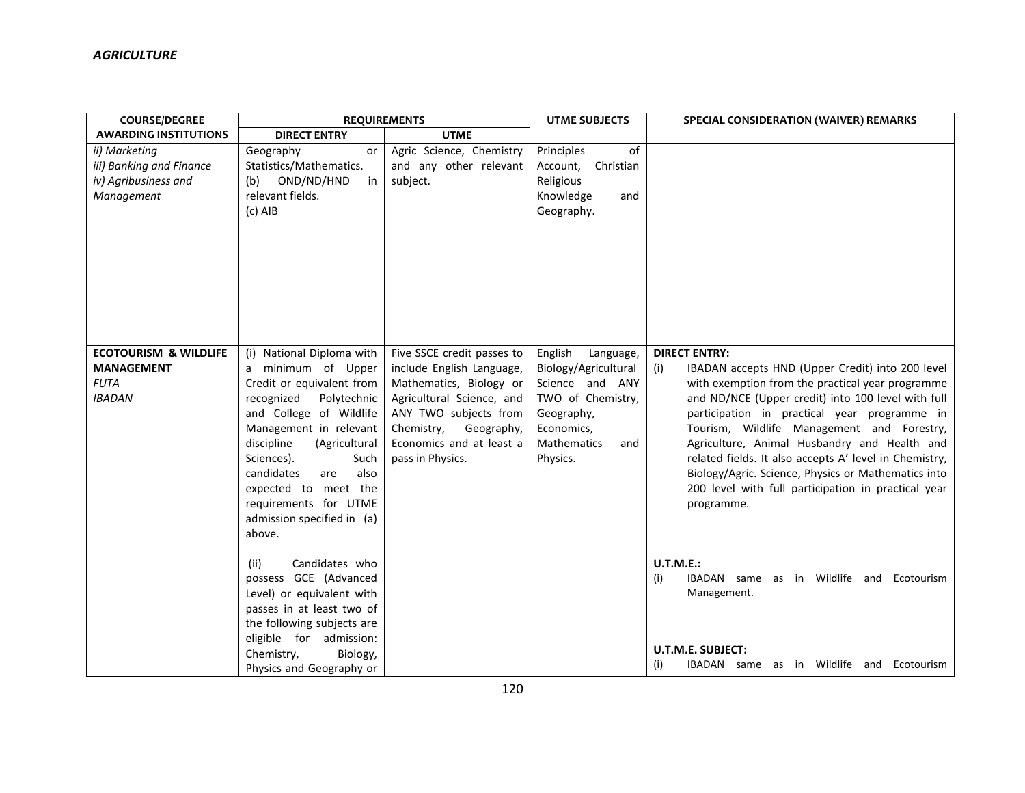| <b>COURSE/DEGREE</b>             | <b>REQUIREMENTS</b>                               |                                                   | <b>UTME SUBJECTS</b>      | SPECIAL CONSIDERATION (WAIVER) REMARKS                                                     |
|----------------------------------|---------------------------------------------------|---------------------------------------------------|---------------------------|--------------------------------------------------------------------------------------------|
| <b>AWARDING INSTITUTIONS</b>     | <b>DIRECT ENTRY</b>                               | <b>UTME</b>                                       |                           |                                                                                            |
| ii) Marketing                    | Geography<br><b>or</b>                            | Agric Science, Chemistry                          | Principles<br>of          |                                                                                            |
| iii) Banking and Finance         | Statistics/Mathematics.                           | and any other relevant                            | Christian<br>Account,     |                                                                                            |
| iv) Agribusiness and             | OND/ND/HND<br>in<br>(b)                           | subject.                                          | Religious                 |                                                                                            |
| Management                       | relevant fields.                                  |                                                   | Knowledge<br>and          |                                                                                            |
|                                  | $(c)$ AIB                                         |                                                   | Geography.                |                                                                                            |
|                                  |                                                   |                                                   |                           |                                                                                            |
|                                  |                                                   |                                                   |                           |                                                                                            |
|                                  |                                                   |                                                   |                           |                                                                                            |
|                                  |                                                   |                                                   |                           |                                                                                            |
|                                  |                                                   |                                                   |                           |                                                                                            |
|                                  |                                                   |                                                   |                           |                                                                                            |
|                                  |                                                   |                                                   |                           |                                                                                            |
|                                  |                                                   |                                                   |                           |                                                                                            |
| <b>ECOTOURISM &amp; WILDLIFE</b> | (i) National Diploma with                         | Five SSCE credit passes to                        | English<br>Language,      | <b>DIRECT ENTRY:</b>                                                                       |
| <b>MANAGEMENT</b>                | a minimum of Upper                                | include English Language,                         | Biology/Agricultural      | IBADAN accepts HND (Upper Credit) into 200 level<br>(i)                                    |
| <b>FUTA</b>                      | Credit or equivalent from                         | Mathematics, Biology or                           | Science and ANY           | with exemption from the practical year programme                                           |
| <b>IBADAN</b>                    | Polytechnic<br>recognized                         | Agricultural Science, and                         | TWO of Chemistry,         | and ND/NCE (Upper credit) into 100 level with full                                         |
|                                  | and College of Wildlife<br>Management in relevant | ANY TWO subjects from<br>Chemistry,<br>Geography, | Geography,<br>Economics,  | participation in practical year programme in<br>Tourism, Wildlife Management and Forestry, |
|                                  | discipline<br>(Agricultural                       | Economics and at least a                          | <b>Mathematics</b><br>and | Agriculture, Animal Husbandry and Health and                                               |
|                                  | Sciences).<br>Such                                | pass in Physics.                                  | Physics.                  | related fields. It also accepts A' level in Chemistry,                                     |
|                                  | candidates<br>also<br>are                         |                                                   |                           | Biology/Agric. Science, Physics or Mathematics into                                        |
|                                  | expected to meet the                              |                                                   |                           | 200 level with full participation in practical year                                        |
|                                  | requirements for UTME                             |                                                   |                           | programme.                                                                                 |
|                                  | admission specified in (a)                        |                                                   |                           |                                                                                            |
|                                  | above.                                            |                                                   |                           |                                                                                            |
|                                  |                                                   |                                                   |                           |                                                                                            |
|                                  | Candidates who<br>(ii)                            |                                                   |                           | <b>U.T.M.E.:</b>                                                                           |
|                                  | possess GCE (Advanced                             |                                                   |                           | (i)<br>IBADAN same as in Wildlife and Ecotourism                                           |
|                                  | Level) or equivalent with                         |                                                   |                           | Management.                                                                                |
|                                  | passes in at least two of                         |                                                   |                           |                                                                                            |
|                                  | the following subjects are                        |                                                   |                           |                                                                                            |
|                                  | eligible for admission:                           |                                                   |                           | U.T.M.E. SUBJECT:                                                                          |
|                                  | Chemistry,<br>Biology,                            |                                                   |                           | IBADAN same as in Wildlife and Ecotourism<br>(i)                                           |
|                                  | Physics and Geography or                          |                                                   |                           |                                                                                            |